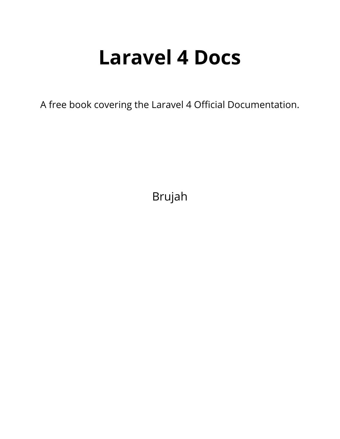# **Laravel 4 Docs**

A free book covering the Laravel 4 Official Documentation.

Brujah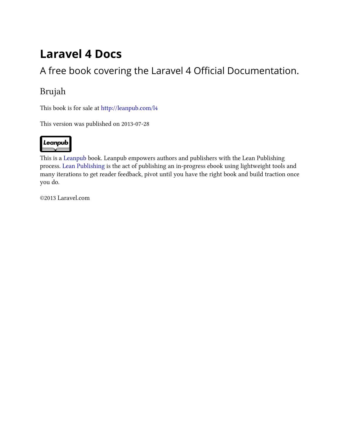# **Laravel 4 Docs**

### A free book covering the Laravel 4 Official Documentation.

### Brujah

This book is for sale at <http://leanpub.com/l4>

This version was published on 2013-07-28



This is a [Leanpub](http://leanpub.com) book. Leanpub empowers authors and publishers with the Lean Publishing process. [Lean Publishing](http://leanpub.com/manifesto) is the act of publishing an in-progress ebook using lightweight tools and many iterations to get reader feedback, pivot until you have the right book and build traction once you do.

©2013 Laravel.com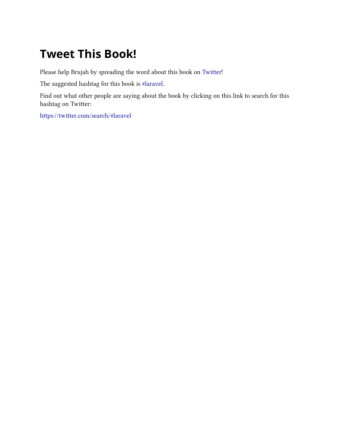# **Tweet This Book!**

Please help Brujah by spreading the word about this book on [Twitter!](http://twitter.com)

The suggested hashtag for this book is [#laravel](https://twitter.com/search/#laravel).

Find out what other people are saying about the book by clicking on this link to search for this hashtag on Twitter:

<https://twitter.com/search/#laravel>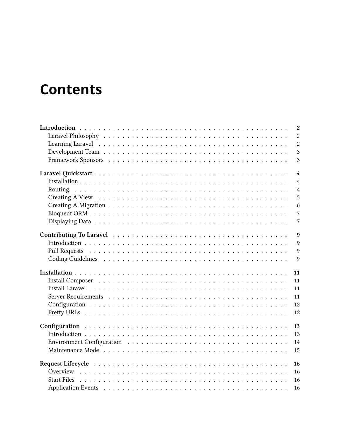# **Contents**

|         | $\mathbf{2}$   |
|---------|----------------|
|         | $\overline{2}$ |
|         | $\overline{2}$ |
|         | 3              |
|         | 3              |
|         | $\overline{4}$ |
|         | $\overline{4}$ |
| Routing | $\overline{4}$ |
|         | 5              |
|         | 6              |
|         | $\overline{7}$ |
|         | $\overline{7}$ |
|         | 9              |
|         | 9              |
|         | $\overline{Q}$ |
|         | $\overline{Q}$ |
|         | 11             |
|         | 11             |
|         | 11             |
|         | 11             |
|         | 12             |
|         | 12             |
|         | 13             |
|         | 13             |
|         | 14             |
|         | 15             |
|         | 16             |
|         | 16             |
|         | 16             |
|         | 16             |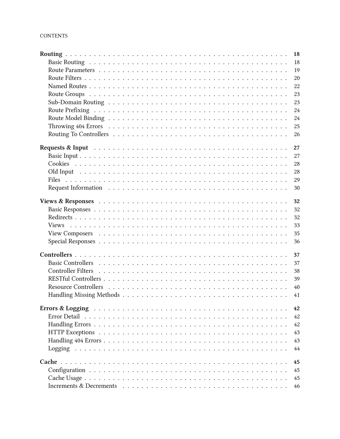|              | 18 |
|--------------|----|
|              | 18 |
|              | 19 |
|              | 20 |
|              | 22 |
|              | 23 |
|              | 23 |
|              | 24 |
|              | 24 |
|              | 25 |
|              | 26 |
|              |    |
|              | 27 |
|              | 27 |
|              | 28 |
|              | 28 |
|              | 29 |
|              | 30 |
|              | 32 |
|              | 32 |
|              | 32 |
| <b>Views</b> | 33 |
|              | 35 |
|              |    |
|              | 36 |
|              | 37 |
|              | 37 |
|              | 38 |
|              | 39 |
|              | 40 |
|              | 41 |
|              |    |
|              | 42 |
|              | 42 |
|              | 42 |
|              | 43 |
|              | 43 |
|              | 44 |
| Cache        | 45 |
|              | 45 |
|              | 45 |
|              |    |
|              | 46 |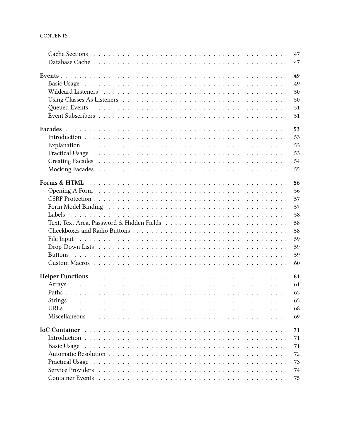|                                                                                                                                                                                                                                | 47 |
|--------------------------------------------------------------------------------------------------------------------------------------------------------------------------------------------------------------------------------|----|
|                                                                                                                                                                                                                                | 47 |
|                                                                                                                                                                                                                                | 49 |
|                                                                                                                                                                                                                                | 49 |
|                                                                                                                                                                                                                                | 50 |
|                                                                                                                                                                                                                                | 50 |
| Queued Events recovered as a series of the contract of the contract of the contract of the contract of the contract of the contract of the contract of the contract of the contract of the contract of the contract of the con | 51 |
|                                                                                                                                                                                                                                | 51 |
|                                                                                                                                                                                                                                | 53 |
|                                                                                                                                                                                                                                | 53 |
|                                                                                                                                                                                                                                | 53 |
|                                                                                                                                                                                                                                | 53 |
|                                                                                                                                                                                                                                | 54 |
|                                                                                                                                                                                                                                | 55 |
|                                                                                                                                                                                                                                | 56 |
|                                                                                                                                                                                                                                | 56 |
|                                                                                                                                                                                                                                | 57 |
|                                                                                                                                                                                                                                | 57 |
|                                                                                                                                                                                                                                | 58 |
|                                                                                                                                                                                                                                |    |
|                                                                                                                                                                                                                                | 58 |
|                                                                                                                                                                                                                                | 58 |
| File Input                                                                                                                                                                                                                     | 59 |
|                                                                                                                                                                                                                                | 59 |
|                                                                                                                                                                                                                                | 59 |
|                                                                                                                                                                                                                                | 60 |
| Helper Functions (a) respectively and the set of the set of the set of the set of the set of the set of the set of the set of the set of the set of the set of the set of the set of the set of the set of the set of the set  | 61 |
|                                                                                                                                                                                                                                | 61 |
|                                                                                                                                                                                                                                | 65 |
|                                                                                                                                                                                                                                | 65 |
|                                                                                                                                                                                                                                | 68 |
|                                                                                                                                                                                                                                | 69 |
|                                                                                                                                                                                                                                | 71 |
|                                                                                                                                                                                                                                | 71 |
| <b>Basic Usage</b>                                                                                                                                                                                                             | 71 |
|                                                                                                                                                                                                                                | 72 |
| <b>Practical Usage</b>                                                                                                                                                                                                         | 73 |
|                                                                                                                                                                                                                                | 74 |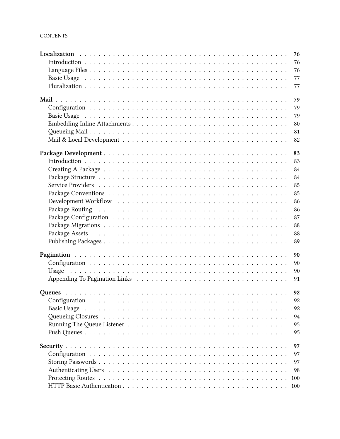|       |  |  |  |  |  |  |  |  |  |  | 76  |
|-------|--|--|--|--|--|--|--|--|--|--|-----|
|       |  |  |  |  |  |  |  |  |  |  | 76  |
|       |  |  |  |  |  |  |  |  |  |  | 76  |
|       |  |  |  |  |  |  |  |  |  |  | 77  |
|       |  |  |  |  |  |  |  |  |  |  | 77  |
|       |  |  |  |  |  |  |  |  |  |  | 79  |
|       |  |  |  |  |  |  |  |  |  |  | 79  |
|       |  |  |  |  |  |  |  |  |  |  | 79  |
|       |  |  |  |  |  |  |  |  |  |  | 80  |
|       |  |  |  |  |  |  |  |  |  |  | 81  |
|       |  |  |  |  |  |  |  |  |  |  | 82  |
|       |  |  |  |  |  |  |  |  |  |  | 83  |
|       |  |  |  |  |  |  |  |  |  |  | 83  |
|       |  |  |  |  |  |  |  |  |  |  | 84  |
|       |  |  |  |  |  |  |  |  |  |  | 84  |
|       |  |  |  |  |  |  |  |  |  |  | 85  |
|       |  |  |  |  |  |  |  |  |  |  | 85  |
|       |  |  |  |  |  |  |  |  |  |  | 86  |
|       |  |  |  |  |  |  |  |  |  |  | 86  |
|       |  |  |  |  |  |  |  |  |  |  | 87  |
|       |  |  |  |  |  |  |  |  |  |  | 88  |
|       |  |  |  |  |  |  |  |  |  |  | 88  |
|       |  |  |  |  |  |  |  |  |  |  | 89  |
|       |  |  |  |  |  |  |  |  |  |  | 90  |
|       |  |  |  |  |  |  |  |  |  |  | 90  |
| Usage |  |  |  |  |  |  |  |  |  |  | 90  |
|       |  |  |  |  |  |  |  |  |  |  | 91  |
|       |  |  |  |  |  |  |  |  |  |  |     |
|       |  |  |  |  |  |  |  |  |  |  |     |
|       |  |  |  |  |  |  |  |  |  |  |     |
|       |  |  |  |  |  |  |  |  |  |  | 92  |
|       |  |  |  |  |  |  |  |  |  |  | 94  |
|       |  |  |  |  |  |  |  |  |  |  | 95  |
|       |  |  |  |  |  |  |  |  |  |  | 95  |
|       |  |  |  |  |  |  |  |  |  |  | 97  |
|       |  |  |  |  |  |  |  |  |  |  | 97  |
|       |  |  |  |  |  |  |  |  |  |  | 97  |
|       |  |  |  |  |  |  |  |  |  |  | 98  |
|       |  |  |  |  |  |  |  |  |  |  | 100 |
|       |  |  |  |  |  |  |  |  |  |  |     |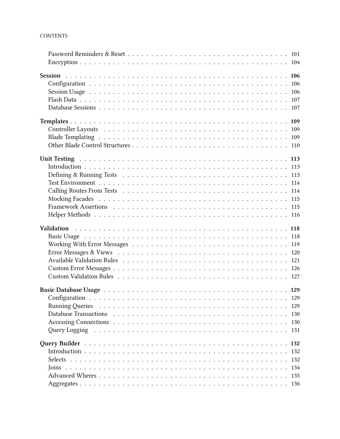| Unit Testing Address and Address of The Unit Testing Address and Address and Address of The Unit Testing Address and The Unit Testing Address of The Unit Testing Address of The Unit Testing Address of Testing Address of Te |  |  |  |  |  |  |  |  |  |  |     |
|--------------------------------------------------------------------------------------------------------------------------------------------------------------------------------------------------------------------------------|--|--|--|--|--|--|--|--|--|--|-----|
|                                                                                                                                                                                                                                |  |  |  |  |  |  |  |  |  |  |     |
|                                                                                                                                                                                                                                |  |  |  |  |  |  |  |  |  |  |     |
|                                                                                                                                                                                                                                |  |  |  |  |  |  |  |  |  |  |     |
|                                                                                                                                                                                                                                |  |  |  |  |  |  |  |  |  |  |     |
|                                                                                                                                                                                                                                |  |  |  |  |  |  |  |  |  |  |     |
|                                                                                                                                                                                                                                |  |  |  |  |  |  |  |  |  |  |     |
|                                                                                                                                                                                                                                |  |  |  |  |  |  |  |  |  |  |     |
|                                                                                                                                                                                                                                |  |  |  |  |  |  |  |  |  |  |     |
|                                                                                                                                                                                                                                |  |  |  |  |  |  |  |  |  |  |     |
|                                                                                                                                                                                                                                |  |  |  |  |  |  |  |  |  |  |     |
|                                                                                                                                                                                                                                |  |  |  |  |  |  |  |  |  |  |     |
|                                                                                                                                                                                                                                |  |  |  |  |  |  |  |  |  |  |     |
|                                                                                                                                                                                                                                |  |  |  |  |  |  |  |  |  |  |     |
|                                                                                                                                                                                                                                |  |  |  |  |  |  |  |  |  |  |     |
|                                                                                                                                                                                                                                |  |  |  |  |  |  |  |  |  |  |     |
|                                                                                                                                                                                                                                |  |  |  |  |  |  |  |  |  |  |     |
|                                                                                                                                                                                                                                |  |  |  |  |  |  |  |  |  |  |     |
|                                                                                                                                                                                                                                |  |  |  |  |  |  |  |  |  |  |     |
|                                                                                                                                                                                                                                |  |  |  |  |  |  |  |  |  |  |     |
|                                                                                                                                                                                                                                |  |  |  |  |  |  |  |  |  |  |     |
|                                                                                                                                                                                                                                |  |  |  |  |  |  |  |  |  |  | 130 |
| Query Logging research research in the contract of the contract of the contract of the contract of the contract of the contract of the contract of the contract of the contract of the contract of the contract of the contrac |  |  |  |  |  |  |  |  |  |  |     |
|                                                                                                                                                                                                                                |  |  |  |  |  |  |  |  |  |  |     |
|                                                                                                                                                                                                                                |  |  |  |  |  |  |  |  |  |  |     |
|                                                                                                                                                                                                                                |  |  |  |  |  |  |  |  |  |  | 132 |
|                                                                                                                                                                                                                                |  |  |  |  |  |  |  |  |  |  |     |
|                                                                                                                                                                                                                                |  |  |  |  |  |  |  |  |  |  |     |
|                                                                                                                                                                                                                                |  |  |  |  |  |  |  |  |  |  | 135 |
|                                                                                                                                                                                                                                |  |  |  |  |  |  |  |  |  |  |     |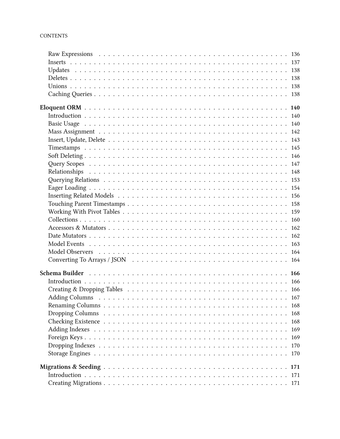| Model Observers response to the contract of the contract of the contract of the contract of the contract of the contract of the contract of the contract of the contract of the contract of the contract of the contract of th |     |
|--------------------------------------------------------------------------------------------------------------------------------------------------------------------------------------------------------------------------------|-----|
|                                                                                                                                                                                                                                |     |
|                                                                                                                                                                                                                                |     |
|                                                                                                                                                                                                                                |     |
|                                                                                                                                                                                                                                |     |
|                                                                                                                                                                                                                                |     |
|                                                                                                                                                                                                                                |     |
|                                                                                                                                                                                                                                |     |
|                                                                                                                                                                                                                                | 168 |
|                                                                                                                                                                                                                                |     |
|                                                                                                                                                                                                                                | 169 |
|                                                                                                                                                                                                                                | 169 |
|                                                                                                                                                                                                                                |     |
|                                                                                                                                                                                                                                |     |
|                                                                                                                                                                                                                                |     |
|                                                                                                                                                                                                                                |     |
|                                                                                                                                                                                                                                |     |
|                                                                                                                                                                                                                                |     |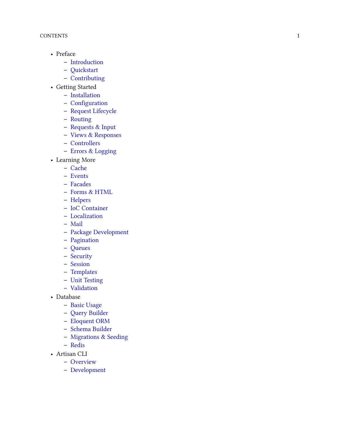- Preface
	- **–** [Introduction](#page-11-0)
	- **–** [Quickstart](#page-13-0)
	- **–** [Contributing](#page-18-0)
- Getting Started
	- **–** [Installation](#page-13-3)
	- **–** [Configuration](#page-22-0)
	- **–** [Request Lifecycle](#page-25-0)
	- **–** [Routing](#page-13-4)
	- **–** [Requests & Input](#page-36-0)
	- **–** [Views & Responses](#page-41-0)
	- **–** [Controllers](#page-46-0)
	- **–** [Errors & Logging](#page-51-0)
- Learning More
	- **–** [Cache](#page-54-0)
	- **–** [Events](#page-58-0)
	- **–** [Facades](#page-62-0)
	- **–** [Forms & HTML](#page-65-0)
	- **–** [Helpers](#page-70-0)
	- **–** [IoC Container](#page-80-0)
	- **–** [Localization](#page-85-0)
	- **–** [Mail](#page-88-0)
	- **–** [Package Development](#page-92-0)
	- **–** [Pagination](#page-99-0)
	- **–** [Queues](#page-101-0)
	- **–** [Security](#page-106-0)
	- **–** [Session](#page-115-0)
	- **–** [Templates](#page-118-0)
	- **–** [Unit Testing](#page-122-0)
	- **–** [Validation](#page-127-0)
- Database
	- **–** [Basic Usage](#page-138-0)
	- **–** [Query Builder](#page-141-0)
	- **–** [Eloquent ORM](#page-149-0)
	- **–** [Schema Builder](#page-175-0)
	- **–** [Migrations & Seeding](#page-180-0)
	- **–** [Redis](#page-183-0)
- Artisan CLI
	- **–** [Overview](#page-186-0)
	- **–** [Development](#page-188-0)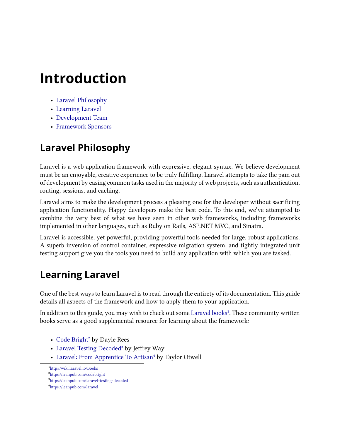# <span id="page-11-0"></span>**Introduction**

- [Laravel Philosophy](#page-11-3)
- [Learning Laravel](#page-11-4)
- [Development Team](#page-11-5)
- [Framework Sponsors](#page-12-2)

### <span id="page-11-3"></span><span id="page-11-1"></span>**Laravel Philosophy**

Laravel is a web application framework with expressive, elegant syntax. We believe development must be an enjoyable, creative experience to be truly fulfilling. Laravel attempts to take the pain out of development by easing common tasks used in the majority of web projects, such as authentication, routing, sessions, and caching.

Laravel aims to make the development process a pleasing one for the developer without sacrificing application functionality. Happy developers make the best code. To this end, we've attempted to combine the very best of what we have seen in other web frameworks, including frameworks implemented in other languages, such as Ruby on Rails, ASP.NET MVC, and Sinatra.

Laravel is accessible, yet powerful, providing powerful tools needed for large, robust applications. A superb inversion of control container, expressive migration system, and tightly integrated unit testing support give you the tools you need to build any application with which you are tasked.

### <span id="page-11-4"></span><span id="page-11-2"></span>**Learning Laravel**

One of the best ways to learn Laravel is to read through the entirety of its documentation. This guide details all aspects of the framework and how to apply them to your application.

In addition to this guide, you may wish to check out some [Laravel books](http://wiki.laravel.io/Books)<sup>1</sup>. These community written books serve as a good supplemental resource for learning about the framework:

- [Code Bright](https://leanpub.com/codebright)<sup>2</sup> by Dayle Rees
- [Laravel Testing Decoded](https://leanpub.com/laravel-testing-decoded)<sup>3</sup> by Jeffrey Way
- [Laravel: From Apprentice To Artisan](https://leanpub.com/laravel)<sup>4</sup> by Taylor Otwell

<span id="page-11-6"></span><span id="page-11-5"></span><sup>1</sup><http://wiki.laravel.io/Books>

<span id="page-11-7"></span>²<https://leanpub.com/codebright>

<span id="page-11-8"></span>³<https://leanpub.com/laravel-testing-decoded>

<span id="page-11-9"></span>⁴<https://leanpub.com/laravel>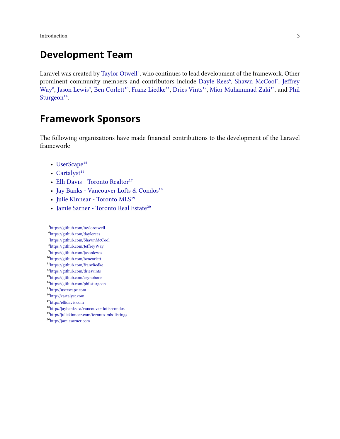**Introduction** 3

#### <span id="page-12-0"></span>**Development Team**

Laravel was created by [Taylor Otwell](https://github.com/taylorotwell)<sup>5</sup>, who continues to lead development of the framework. Other prominent community members and contributors include [Dayle Rees](https://github.com/daylerees)<sup>6</sup>, [Shawn McCool](https://github.com/ShawnMcCool)<sup>7</sup>, [Jeffrey](https://github.com/JeffreyWay) [Way](https://github.com/JeffreyWay)<sup>8</sup>, [Jason Lewis](https://github.com/jasonlewis)<sup>9</sup>, [Ben Corlett](https://github.com/bencorlett)<sup>10</sup>, [Franz Liedke](https://github.com/franzliedke)<sup>11</sup>, [Dries Vints](https://github.com/driesvints)<sup>12</sup>, [Mior Muhammad Zaki](https://github.com/crynobone)<sup>13</sup>, and [Phil](https://github.com/philsturgeon) [Sturgeon](https://github.com/philsturgeon)<sup>14</sup>.

#### <span id="page-12-2"></span><span id="page-12-1"></span>**Framework Sponsors**

The following organizations have made financial contributions to the development of the Laravel framework:

- [UserScape](http://userscape.com) $15$
- [Cartalyst](http://cartalyst.com)<sup>16</sup>
- [Elli Davis Toronto Realtor](http://ellidavis.com)<sup>17</sup>
- [Jay Banks Vancouver Lofts & Condos](http://jaybanks.ca/vancouver-lofts-condos)<sup>18</sup>
- Julie Kinnear Toronto  $\rm MLS^{19}$
- [Jamie Sarner Toronto Real Estate](http://jamiesarner.com)<sup>20</sup>
- <span id="page-12-3"></span>⁵<https://github.com/taylorotwell>
- <span id="page-12-4"></span>⁶<https://github.com/daylerees>
- <span id="page-12-5"></span>⁷<https://github.com/ShawnMcCool>
- <span id="page-12-6"></span>⁸<https://github.com/JeffreyWay>
- <span id="page-12-7"></span>⁹<https://github.com/jasonlewis>
- <span id="page-12-8"></span>10<sub><https://github.com/bencorlett></sub>
- <span id="page-12-9"></span> $11$ <https://github.com/franzliedke>
- <span id="page-12-10"></span> $\rm ^{12}$ <https://github.com/driesvints>
- <span id="page-12-11"></span> $\rm ^{13}$  <https://github.com/crynobone>
- <span id="page-12-12"></span> $\rm ^{14}$ <https://github.com/philsturgeon>
- <span id="page-12-13"></span>15<sub><http://userscape.com></sub>
- <span id="page-12-14"></span>16<sub><http://cartalyst.com></sub>
- <span id="page-12-15"></span><sup>17</sup><http://ellidavis.com>
- <span id="page-12-16"></span>18<http://jaybanks.ca/vancouver-lofts-condos>
- <span id="page-12-17"></span><sup>19</sup><http://juliekinnear.com/toronto-mls-listings>
- <span id="page-12-18"></span> $\rm ^{20}$ <http://jamiesarner.com>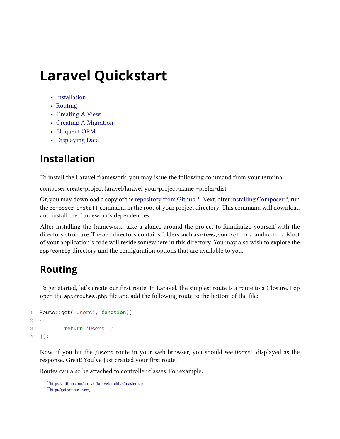- <span id="page-13-0"></span>• [Installation](#page-13-3)
- [Routing](#page-13-4)
- [Creating A View](#page-14-1)
- [Creating A Migration](#page-15-1)
- [Eloquent ORM](#page-16-2)
- [Displaying Data](#page-16-3)

### <span id="page-13-3"></span><span id="page-13-1"></span>**Installation**

To install the Laravel framework, you may issue the following command from your terminal:

composer create-project laravel/laravel your-project-name –prefer-dist

Or, you may download a copy of the [repository from Github](https://github.com/laravel/laravel/archive/master.zip)<sup>21</sup>. Next, after [installing Composer](http://getcomposer.org)<sup>22</sup>, run the composer install command in the root of your project directory. This command will download and install the framework's dependencies.

After installing the framework, take a glance around the project to familiarize yourself with the directory structure. The app directory contains folders such as views, controllers, and models. Most of your application's code will reside somewhere in this directory. You may also wish to explore the app/config directory and the configuration options that are available to you.

### <span id="page-13-4"></span><span id="page-13-2"></span>**Routing**

To get started, let's create our first route. In Laravel, the simplest route is a route to a Closure. Pop open the app/routes.php file and add the following route to the bottom of the file:

```
1 Route::get('users', function()
2 {
3 return 'Users!';
4 });
```
Now, if you hit the /users route in your web browser, you should see Users! displayed as the response. Great! You've just created your first route.

Routes can also be attached to controller classes. For example:

<span id="page-13-5"></span><sup>&</sup>lt;sup>21</sup><https://github.com/laravel/laravel/archive/master.zip>

<span id="page-13-6"></span>²²<http://getcomposer.org>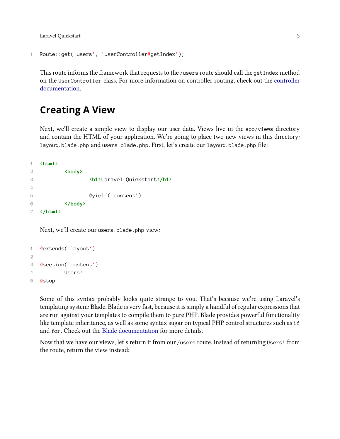```
1 Route::get('users', 'UserController@getIndex');
```
This route informs the framework that requests to the /users route should call the getIndex method on the UserController class. For more information on controller routing, check out the [controller](#page-46-0) [documentation.](#page-46-0)

#### <span id="page-14-1"></span><span id="page-14-0"></span>**Creating A View**

Next, we'll create a simple view to display our user data. Views live in the app/views directory and contain the HTML of your application. We're going to place two new views in this directory: layout.blade.php and users.blade.php. First, let's create our layout.blade.php file:

```
1 <html>
2 <body>
3 <h1>Laravel Quickstart</h1>
4
5 @yield('content')
6 </body>
7 </html>
```
Next, we'll create our users.blade.php view:

```
1 @extends('layout')
2
3 @section('content')
4 Users!
5 @stop
```
Some of this syntax probably looks quite strange to you. That's because we're using Laravel's templating system: Blade. Blade is very fast, because it is simply a handful of regular expressions that are run against your templates to compile them to pure PHP. Blade provides powerful functionality like template inheritance, as well as some syntax sugar on typical PHP control structures such as if and for. Check out the [Blade documentation](#page-118-0) for more details.

Now that we have our views, let's return it from our /users route. Instead of returning Users! from the route, return the view instead: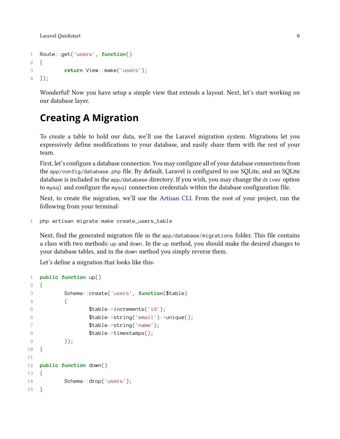```
1 Route::get('users', function()
2 {
3 return View::make('users');
4 });
```
Wonderful! Now you have setup a simple view that extends a layout. Next, let's start working on our database layer.

#### <span id="page-15-1"></span><span id="page-15-0"></span>**Creating A Migration**

To create a table to hold our data, we'll use the Laravel migration system. Migrations let you expressively define modifications to your database, and easily share them with the rest of your team.

First, let's configure a database connection. You may configure all of your database connections from the app/config/database.php file. By default, Laravel is configured to use SQLite, and an SQLite database is included in the app/database directory. If you wish, you may change the driver option to mysql and configure the mysql connection credentials within the database configuration file.

Next, to create the migration, we'll use the [Artisan CLI.](#page-186-0) From the root of your project, run the following from your terminal:

```
1 php artisan migrate:make create_users_table
```
Next, find the generated migration file in the app/database/migrations folder. This file contains a class with two methods: up and down. In the up method, you should make the desired changes to your database tables, and in the down method you simply reverse them.

Let's define a migration that looks like this:

```
1 public function up()
2 {
3 Schema::create('users', function($table)
4 {
5 $table->increments('id');
6 $table->string('email')->unique();
7 $table->string('name');
8 $table->timestamps();
9 });
10 }
11
12 public function down()
13 {
14 Schema::drop('users');
15 }
```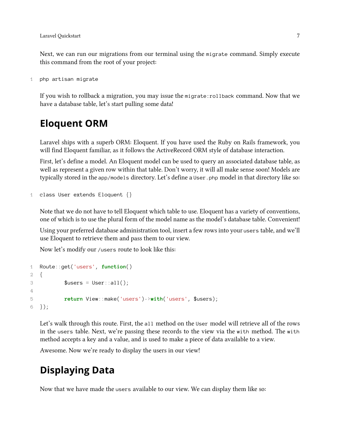Next, we can run our migrations from our terminal using the migrate command. Simply execute this command from the root of your project:

```
1 php artisan migrate
```
If you wish to rollback a migration, you may issue the migrate:rollback command. Now that we have a database table, let's start pulling some data!

#### <span id="page-16-2"></span><span id="page-16-0"></span>**Eloquent ORM**

Laravel ships with a superb ORM: Eloquent. If you have used the Ruby on Rails framework, you will find Eloquent familiar, as it follows the ActiveRecord ORM style of database interaction.

First, let's define a model. An Eloquent model can be used to query an associated database table, as well as represent a given row within that table. Don't worry, it will all make sense soon! Models are typically stored in the app/models directory. Let's define a User. php model in that directory like so:

```
1 class User extends Eloquent {}
```
Note that we do not have to tell Eloquent which table to use. Eloquent has a variety of conventions, one of which is to use the plural form of the model name as the model's database table. Convenient!

Using your preferred database administration tool, insert a few rows into your users table, and we'll use Eloquent to retrieve them and pass them to our view.

Now let's modify our /users route to look like this:

```
1 Route::get('users', function()
2 {
3 $users = User::all();
4
5 return View::make('users')->with('users', $users);
6 });
```
Let's walk through this route. First, the all method on the User model will retrieve all of the rows in the users table. Next, we're passing these records to the view via the with method. The with method accepts a key and a value, and is used to make a piece of data available to a view.

<span id="page-16-3"></span>Awesome. Now we're ready to display the users in our view!

#### <span id="page-16-1"></span>**Displaying Data**

Now that we have made the users available to our view. We can display them like so: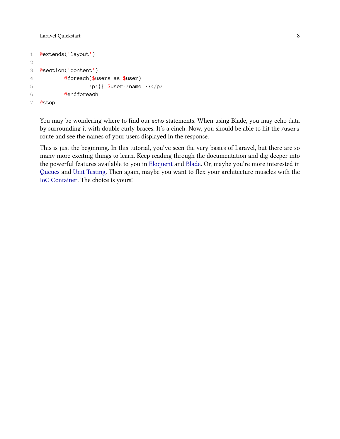```
1 @extends('layout')
2
3 @section('content')
4 @foreach($users as $user)
5 \langle p \rangle { \{\$user\}name} \langle/p \rangle6 @endforeach
7 @stop
```
You may be wondering where to find our echo statements. When using Blade, you may echo data by surrounding it with double curly braces. It's a cinch. Now, you should be able to hit the /users route and see the names of your users displayed in the response.

This is just the beginning. In this tutorial, you've seen the very basics of Laravel, but there are so many more exciting things to learn. Keep reading through the documentation and dig deeper into the powerful features available to you in [Eloquent](#page-149-0) and [Blade](#page-118-0). Or, maybe you're more interested in [Queues](#page-101-0) and [Unit Testing](#page-122-0). Then again, maybe you want to flex your architecture muscles with the [IoC Container](#page-80-0). The choice is yours!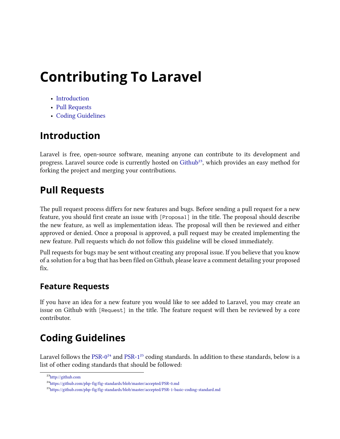# <span id="page-18-0"></span>**Contributing To Laravel**

- [Introduction](#page-18-4)
- [Pull Requests](#page-18-5)
- [Coding Guidelines](#page-18-6)

### <span id="page-18-4"></span><span id="page-18-1"></span>**Introduction**

Laravel is free, open-source software, meaning anyone can contribute to its development and progress. Laravel source code is currently hosted on [Github](http://github.com)<sup>23</sup>, which provides an easy method for forking the project and merging your contributions.

### <span id="page-18-5"></span><span id="page-18-2"></span>**Pull Requests**

The pull request process differs for new features and bugs. Before sending a pull request for a new feature, you should first create an issue with [Proposal] in the title. The proposal should describe the new feature, as well as implementation ideas. The proposal will then be reviewed and either approved or denied. Once a proposal is approved, a pull request may be created implementing the new feature. Pull requests which do not follow this guideline will be closed immediately.

Pull requests for bugs may be sent without creating any proposal issue. If you believe that you know of a solution for a bug that has been filed on Github, please leave a comment detailing your proposed fix.

#### **Feature Requests**

If you have an idea for a new feature you would like to see added to Laravel, you may create an issue on Github with [Request] in the title. The feature request will then be reviewed by a core contributor.

### <span id="page-18-6"></span><span id="page-18-3"></span>**Coding Guidelines**

Laravel follows the [PSR-0](https://github.com/php-fig/fig-standards/blob/master/accepted/PSR-0.md)<sup>24</sup> and [PSR-1](https://github.com/php-fig/fig-standards/blob/master/accepted/PSR-1-basic-coding-standard.md)<sup>25</sup> coding standards. In addition to these standards, below is a list of other coding standards that should be followed:

<span id="page-18-7"></span> $^{23}{\rm http://github.com}$  $^{23}{\rm http://github.com}$  $^{23}{\rm http://github.com}$ 

<span id="page-18-8"></span><sup>&</sup>lt;sup>24</sup><https://github.com/php-fig/fig-standards/blob/master/accepted/PSR-0.md>

<span id="page-18-9"></span><sup>&</sup>lt;sup>25</sup><https://github.com/php-fig/fig-standards/blob/master/accepted/PSR-1-basic-coding-standard.md>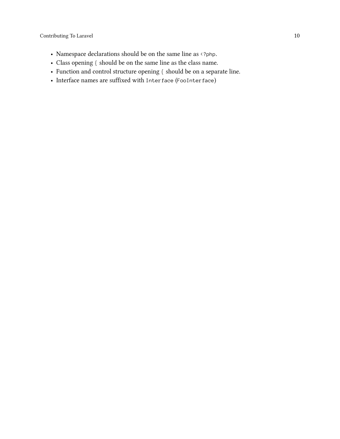- Namespace declarations should be on the same line as  $\leftrightarrow$  2php.
- Class opening { should be on the same line as the class name.
- Function and control structure opening { should be on a separate line.
- Interface names are suffixed with Interface (FooInterface)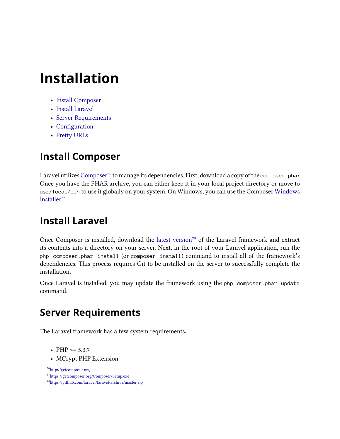# <span id="page-20-0"></span>**Installation**

- [Install Composer](#page-20-4)
- [Install Laravel](#page-20-5)
- [Server Requirements](#page-20-6)
- [Configuration](#page-20-7)
- [Pretty URLs](#page-21-2)

### <span id="page-20-4"></span><span id="page-20-1"></span>**Install Composer**

Laravel utilizes [Composer](http://getcomposer.org)<sup>26</sup> to manage its dependencies. First, download a copy of the composer. phar. Once you have the PHAR archive, you can either keep it in your local project directory or move to usr/local/bin to use it globally on your system. On Windows, you can use the Composer [Windows](https://getcomposer.org/Composer-Setup.exe) [installer](https://getcomposer.org/Composer-Setup.exe)<sup>27</sup>.

### <span id="page-20-5"></span><span id="page-20-2"></span>**Install Laravel**

Once Composer is installed, download the [latest version](https://github.com/laravel/laravel/archive/master.zip)<sup>28</sup> of the Laravel framework and extract its contents into a directory on your server. Next, in the root of your Laravel application, run the php composer.phar install (or composer install) command to install all of the framework's dependencies. This process requires Git to be installed on the server to successfully complete the installation.

<span id="page-20-6"></span>Once Laravel is installed, you may update the framework using the php composer.phar update command.

### <span id="page-20-3"></span>**Server Requirements**

The Laravel framework has a few system requirements:

- PHP  $>= 5.3.7$
- MCrypt PHP Extension

<span id="page-20-8"></span><span id="page-20-7"></span> $^{26}\mathrm{http://getcomposer.org}$  $^{26}\mathrm{http://getcomposer.org}$  $^{26}\mathrm{http://getcomposer.org}$ 

<span id="page-20-9"></span>²⁷<https://getcomposer.org/Composer-Setup.exe>

<span id="page-20-10"></span>²⁸<https://github.com/laravel/laravel/archive/master.zip>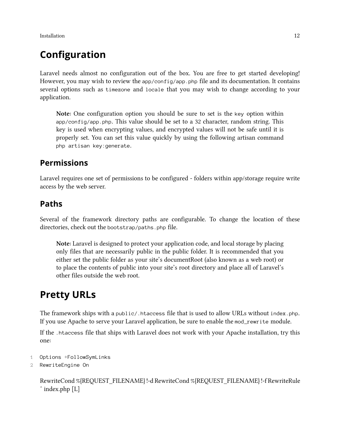**Installation** 12

### <span id="page-21-0"></span>**Configuration**

Laravel needs almost no configuration out of the box. You are free to get started developing! However, you may wish to review the app/config/app.php file and its documentation. It contains several options such as timezone and locale that you may wish to change according to your application.

**Note:** One configuration option you should be sure to set is the key option within app/config/app.php. This value should be set to a 32 character, random string. This key is used when encrypting values, and encrypted values will not be safe until it is properly set. You can set this value quickly by using the following artisan command php artisan key:generate.

#### **Permissions**

Laravel requires one set of permissions to be configured - folders within app/storage require write access by the web server.

#### **Paths**

Several of the framework directory paths are configurable. To change the location of these directories, check out the bootstrap/paths.php file.

**Note:** Laravel is designed to protect your application code, and local storage by placing only files that are necessarily public in the public folder. It is recommended that you either set the public folder as your site's documentRoot (also known as a web root) or to place the contents of public into your site's root directory and place all of Laravel's other files outside the web root.

### <span id="page-21-2"></span><span id="page-21-1"></span>**Pretty URLs**

The framework ships with a public/.htaccess file that is used to allow URLs without index.php. If you use Apache to serve your Laravel application, be sure to enable the mod\_rewrite module.

If the .htaccess file that ships with Laravel does not work with your Apache installation, try this one:

```
1 Options +FollowSymLinks
```

```
2 RewriteEngine On
```
RewriteCond %{REQUEST\_FILENAME} !-d RewriteCond %{REQUEST\_FILENAME} !-f RewriteRule ˆ index.php [L]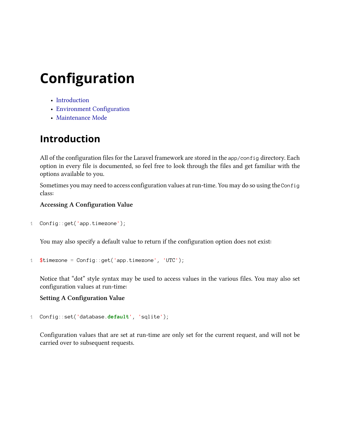# <span id="page-22-0"></span>**Configuration**

- [Introduction](#page-22-2)
- [Environment Configuration](#page-22-3)
- [Maintenance Mode](#page-24-1)

### <span id="page-22-2"></span><span id="page-22-1"></span>**Introduction**

All of the configuration files for the Laravel framework are stored in the app/config directory. Each option in every file is documented, so feel free to look through the files and get familiar with the options available to you.

Sometimes you may need to access configuration values at run-time. You may do so using the Config class:

**Accessing A Configuration Value**

```
1 Config::get('app.timezone');
```
You may also specify a default value to return if the configuration option does not exist:

```
1 $timezone = Config::get('app.timezone', 'UTC');
```
Notice that "dot" style syntax may be used to access values in the various files. You may also set configuration values at run-time:

#### **Setting A Configuration Value**

```
1 Config::set('database.default', 'sqlite');
```
<span id="page-22-3"></span>Configuration values that are set at run-time are only set for the current request, and will not be carried over to subsequent requests.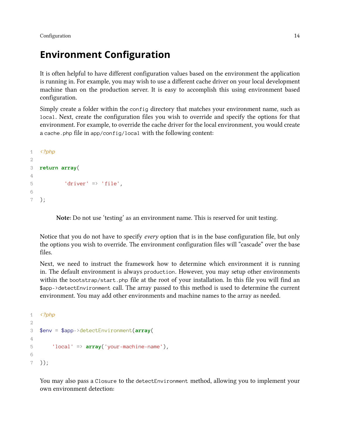Configuration 2014

#### <span id="page-23-0"></span>**Environment Configuration**

It is often helpful to have different configuration values based on the environment the application is running in. For example, you may wish to use a different cache driver on your local development machine than on the production server. It is easy to accomplish this using environment based configuration.

Simply create a folder within the config directory that matches your environment name, such as local. Next, create the configuration files you wish to override and specify the options for that environment. For example, to override the cache driver for the local environment, you would create a cache.php file in app/config/local with the following content:

```
1 <?php
2
3 return array(
4
5 'driver' => 'file',
6
7 );
```
**Note:** Do not use 'testing' as an environment name. This is reserved for unit testing.

Notice that you do not have to specify *every* option that is in the base configuration file, but only the options you wish to override. The environment configuration files will "cascade" over the base files.

Next, we need to instruct the framework how to determine which environment it is running in. The default environment is always production. However, you may setup other environments within the bootstrap/start.php file at the root of your installation. In this file you will find an \$app->detectEnvironment call. The array passed to this method is used to determine the current environment. You may add other environments and machine names to the array as needed.

```
1 <?php
2
3 $env = $app->detectEnvironment(array(
4
5 'local' => array('your-machine-name'),
6
7 ));
```
You may also pass a Closure to the detectEnvironment method, allowing you to implement your own environment detection: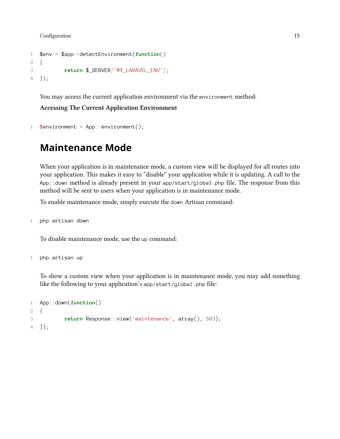**Configuration** 15

```
1 $env = $app->detectEnvironment(function()
2 {
3 return $_SERVER['MY_LARAVEL_ENV'];
4 });
```
You may access the current application environment via the environment method:

**Accessing The Current Application Environment**

```
1 \text{Senviroment} = \text{App::environment}();
```
#### <span id="page-24-1"></span><span id="page-24-0"></span>**Maintenance Mode**

When your application is in maintenance mode, a custom view will be displayed for all routes into your application. This makes it easy to "disable" your application while it is updating. A call to the App::down method is already present in your app/start/global.php file. The response from this method will be sent to users when your application is in maintenance mode.

To enable maintenance mode, simply execute the down Artisan command:

1 php artisan down

To disable maintenance mode, use the up command:

1 php artisan up

To show a custom view when your application is in maintenance mode, you may add something like the following to your application's app/start/global.php file:

```
1 App::down(function()
2 {
3 return Response::view('maintenance', array(), 503);
4 });
```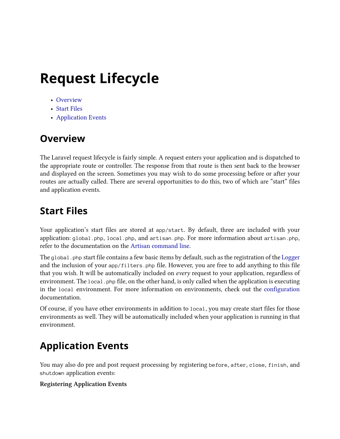# <span id="page-25-0"></span>**Request Lifecycle**

- [Overview](#page-25-4)
- [Start Files](#page-25-5)
- [Application Events](#page-25-6)

### <span id="page-25-4"></span><span id="page-25-1"></span>**Overview**

The Laravel request lifecycle is fairly simple. A request enters your application and is dispatched to the appropriate route or controller. The response from that route is then sent back to the browser and displayed on the screen. Sometimes you may wish to do some processing before or after your routes are actually called. There are several opportunities to do this, two of which are "start" files and application events.

### <span id="page-25-5"></span><span id="page-25-2"></span>**Start Files**

Your application's start files are stored at app/start. By default, three are included with your application: global.php, local.php, and artisan.php. For more information about artisan.php, refer to the documentation on the [Artisan command line](#page-191-2).

The global.php start file contains a few basic items by default, such as the registration of the [Logger](#page-51-0) and the inclusion of your app/filters.php file. However, you are free to add anything to this file that you wish. It will be automatically included on *every* request to your application, regardless of environment. The local php file, on the other hand, is only called when the application is executing in the local environment. For more information on environments, check out the [configuration](#page-22-0) documentation.

Of course, if you have other environments in addition to local, you may create start files for those environments as well. They will be automatically included when your application is running in that environment.

### <span id="page-25-6"></span><span id="page-25-3"></span>**Application Events**

You may also do pre and post request processing by registering before, after, close, finish, and shutdown application events:

#### **Registering Application Events**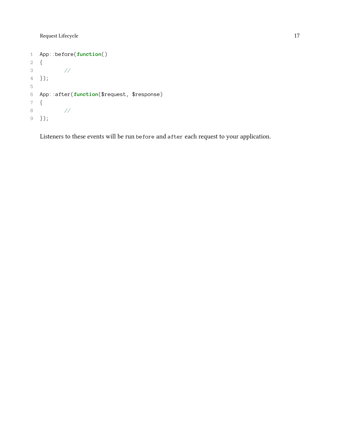Request Lifecycle 17

```
1 App::before(function()
2 {
3 //
4 });
5
6 App::after(function($request, $response)
7 {
8 //
9 });
```
Listeners to these events will be run before and after each request to your application.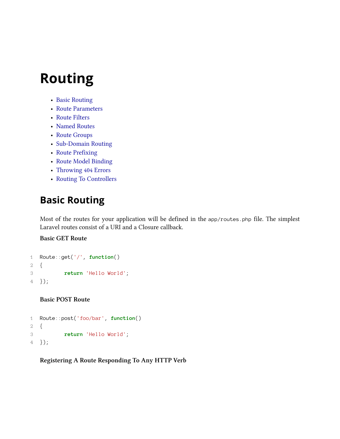- <span id="page-27-0"></span>• [Basic Routing](#page-27-2)
- [Route Parameters](#page-28-1)
- [Route Filters](#page-29-1)
- [Named Routes](#page-31-1)
- [Route Groups](#page-32-2)
- [Sub-Domain Routing](#page-32-3)
- [Route Prefixing](#page-33-2)
- [Route Model Binding](#page-33-3)
- [Throwing 404 Errors](#page-34-1)
- [Routing To Controllers](#page-34-2)

### <span id="page-27-2"></span><span id="page-27-1"></span>**Basic Routing**

Most of the routes for your application will be defined in the app/routes.php file. The simplest Laravel routes consist of a URI and a Closure callback.

#### **Basic GET Route**

```
1 Route::get('/', function()
2 {
3 return 'Hello World';
4 });
```
**Basic POST Route**

```
1 Route::post('foo/bar', function()
2 {
3 return 'Hello World';
4 });
```
**Registering A Route Responding To Any HTTP Verb**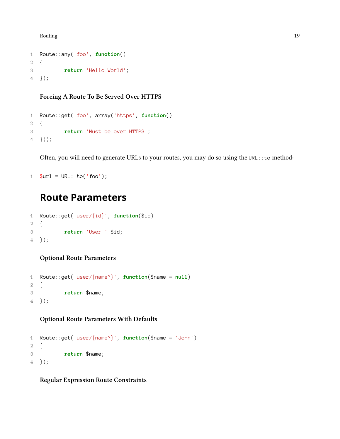Routing 2018 and the contract of the contract of the contract of the contract of the contract of the contract of the contract of the contract of the contract of the contract of the contract of the contract of the contract

```
1 Route::any('foo', function()
2 {
3 return 'Hello World';
4 });
```
**Forcing A Route To Be Served Over HTTPS**

```
1 Route::get('foo', array('https', function()
2 {
3 return 'Must be over HTTPS';
4 }));
```
Often, you will need to generate URLs to your routes, you may do so using the URL:: to method:

```
1 $url = URL::to('foo');
```
#### <span id="page-28-1"></span><span id="page-28-0"></span>**Route Parameters**

```
1 Route::get('user/{id}', function($id)
2 {
3 return 'User '.$id;
4 });
```
#### **Optional Route Parameters**

```
1 Route::get('user/{name?}', function($name = null)
2 {
3 return $name;
4 });
```
**Optional Route Parameters With Defaults**

```
1 Route::get('user/{name?}', function($name = 'John')
2 {
3 return $name;
4 });
```
**Regular Expression Route Constraints**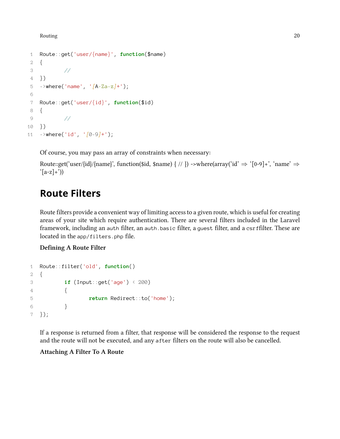```
1 Route::get('user/{name}', function($name)
2 {
3 //
4 })
5 ->where('name', '[A-Za-z]+');
6
7 Route::get('user/{id}', function($id)
8 {
9 //
10 })
11 ->where('id', '[0-9]+');
```
Of course, you may pass an array of constraints when necessary:

Route::get('user/{id}/{name}', function(\$id, \$name) { // }) ->where(array('id'  $\Rightarrow$  '[0-9]+', 'name'  $\Rightarrow$  $^(a-z]+')$ 

#### <span id="page-29-1"></span><span id="page-29-0"></span>**Route Filters**

Route filters provide a convenient way of limiting access to a given route, which is useful for creating areas of your site which require authentication. There are several filters included in the Laravel framework, including an auth filter, an auth.basic filter, a guest filter, and a csrffilter. These are located in the app/filters.php file.

#### **Defining A Route Filter**

```
1 Route::filter('old', function()
2 {
3 if (Input::get('age') < 200)
\overline{4} \overline{6}5 return Redirect::to('home');
6 }
7 });
```
If a response is returned from a filter, that response will be considered the response to the request and the route will not be executed, and any after filters on the route will also be cancelled.

#### **Attaching A Filter To A Route**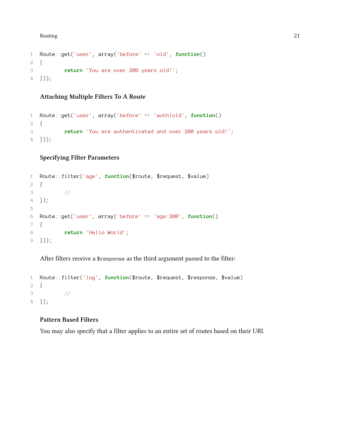```
1 Route::get('user', array('before' => 'old', function()
2 {
3 return 'You are over 200 years old!';
4 }));
```
**Attaching Multiple Filters To A Route**

```
1 Route::get('user', array('before' => 'auth|old', function()
2 {
3 return 'You are authenticated and over 200 years old!';
4 }));
```
#### **Specifying Filter Parameters**

```
1 Route::filter('age', function($route, $request, $value)
2 {
3 //
4 });
5
6 Route::get('user', array('before' => 'age:200', function()
7 {
8 return 'Hello World';
9 }));
```
After filters receive a \$response as the third argument passed to the filter:

```
1 Route::filter('log', function($route, $request, $response, $value)
2 {
3 //
4 });
```
#### **Pattern Based Filters**

You may also specify that a filter applies to an entire set of routes based on their URI.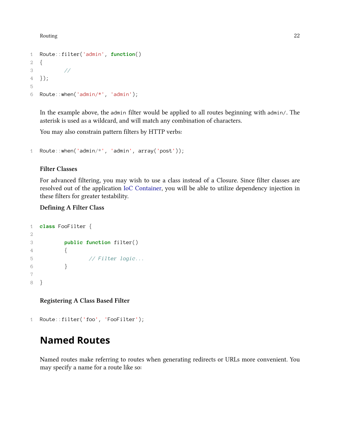```
1 Route::filter('admin', function()
2 {
3 //
4 });
5
6 Route::when('admin/*', 'admin');
```
In the example above, the admin filter would be applied to all routes beginning with admin/. The asterisk is used as a wildcard, and will match any combination of characters.

You may also constrain pattern filters by HTTP verbs:

```
1 Route::when('admin/*', 'admin', array('post'));
```
#### **Filter Classes**

For advanced filtering, you may wish to use a class instead of a Closure. Since filter classes are resolved out of the application [IoC Container,](#page-80-0) you will be able to utilize dependency injection in these filters for greater testability.

#### **Defining A Filter Class**

```
1 class FooFilter {
2
3 public function filter()
4 {
5 // Filter logic...
6 }
7
8 }
```
**Registering A Class Based Filter**

```
1 Route::filter('foo', 'FooFilter');
```
#### <span id="page-31-1"></span><span id="page-31-0"></span>**Named Routes**

Named routes make referring to routes when generating redirects or URLs more convenient. You may specify a name for a route like so: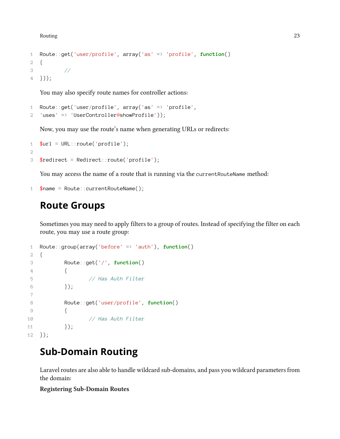```
1 Route::get('user/profile', array('as' => 'profile', function()
2 {
3 //
4 }));
```
You may also specify route names for controller actions:

```
1 Route::get('user/profile', array('as' => 'profile',
2 'uses' => 'UserController@showProfile'));
```
Now, you may use the route's name when generating URLs or redirects:

```
1 $url = URL::route('profile');2
3 $redirect = Redirect::route('profile');
```
You may access the name of a route that is running via the currentRouteName method:

```
1 $name = Route::currentRouteName();
```
#### <span id="page-32-2"></span><span id="page-32-0"></span>**Route Groups**

Sometimes you may need to apply filters to a group of routes. Instead of specifying the filter on each route, you may use a route group:

```
1 Route::group(array('before' => 'auth'), function()
2 {
3 Route::get('/', function()
4 {
5 // Has Auth Filter
6 \{\};
7
8 Route::get('user/profile', function()
9 {
10 // Has Auth Filter
11 });
12 });
```
#### <span id="page-32-3"></span><span id="page-32-1"></span>**Sub-Domain Routing**

Laravel routes are also able to handle wildcard sub-domains, and pass you wildcard parameters from the domain:

#### **Registering Sub-Domain Routes**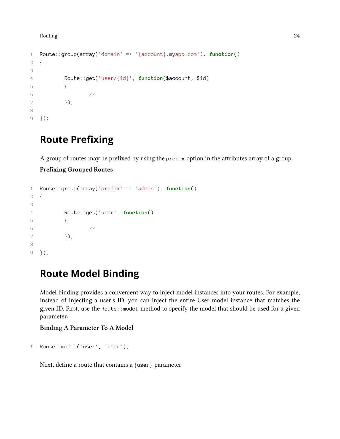```
1 Route::group(array('domain' => '{account}.myapp.com'), function()
2 {
3
4 Route::get('user/{id}', function($account, $id)
5 {
6 //
7 });
8
9 });
```
#### <span id="page-33-2"></span><span id="page-33-0"></span>**Route Prefixing**

A group of routes may be prefixed by using the prefix option in the attributes array of a group:

#### **Prefixing Grouped Routes**

```
1 Route::group(array('prefix' => 'admin'), function()
2 {
3
4 Route::get('user', function()
5 {
6 //
7 });
8
9 });
```
### <span id="page-33-3"></span><span id="page-33-1"></span>**Route Model Binding**

Model binding provides a convenient way to inject model instances into your routes. For example, instead of injecting a user's ID, you can inject the entire User model instance that matches the given ID. First, use the Route::model method to specify the model that should be used for a given parameter:

**Binding A Parameter To A Model**

```
1 Route::model('user', 'User');
```
Next, define a route that contains a {user} parameter: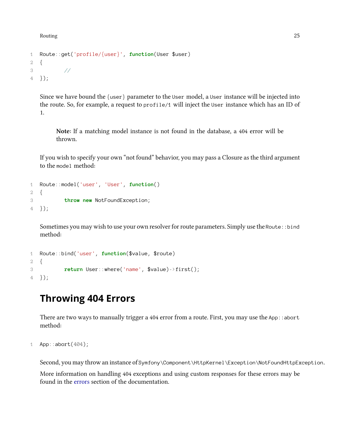```
1 Route::get('profile/{user}', function(User $user)
2 {
3 //
4 });
```
Since we have bound the {user} parameter to the User model, a User instance will be injected into the route. So, for example, a request to profile/1 will inject the User instance which has an ID of 1.

**Note:** If a matching model instance is not found in the database, a 404 error will be thrown.

If you wish to specify your own "not found" behavior, you may pass a Closure as the third argument to the model method:

```
1 Route::model('user', 'User', function()
2 {
3 throw new NotFoundException;
4 });
```
Sometimes you may wish to use your own resolver for route parameters. Simply use the Route::bind method:

```
1 Route::bind('user', function($value, $route)
2 {
3 return User::where('name', $value)->first();
4 });
```
#### <span id="page-34-1"></span><span id="page-34-0"></span>**Throwing 404 Errors**

There are two ways to manually trigger a 404 error from a route. First, you may use the App:: abort method:

```
1 App::abort(404);
```
Second, you may throw an instance of Symfony\Component\HttpKernel\Exception\NotFoundHttpException.

<span id="page-34-2"></span>More information on handling 404 exceptions and using custom responses for these errors may be found in the [errors](#page-52-2) section of the documentation.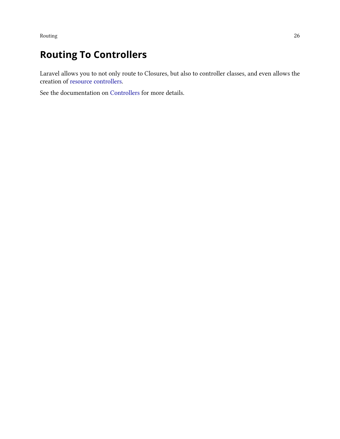### <span id="page-35-0"></span>**Routing To Controllers**

Laravel allows you to not only route to Closures, but also to controller classes, and even allows the creation of [resource controllers](#page-49-1).

See the documentation on [Controllers](#page-46-0) for more details.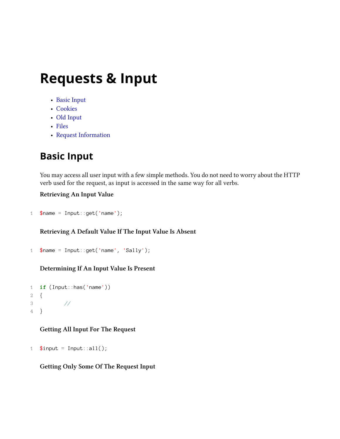- [Basic Input](#page-36-0)
- [Cookies](#page-37-0)
- [Old Input](#page-37-1)
- [Files](#page-38-0)
- [Request Information](#page-39-0)

# <span id="page-36-0"></span>**Basic Input**

You may access all user input with a few simple methods. You do not need to worry about the HTTP verb used for the request, as input is accessed in the same way for all verbs.

### **Retrieving An Input Value**

```
1 $name = Input::get('name');
```
### **Retrieving A Default Value If The Input Value Is Absent**

```
1 \text{?name} = \text{Input} : \text{get('name', 'Sally')};
```
### **Determining If An Input Value Is Present**

```
1 if (Input::has('name'))
2 {
3 //
4 }
```
### **Getting All Input For The Request**

```
1 $input = Input::all();
```
### **Getting Only Some Of The Request Input**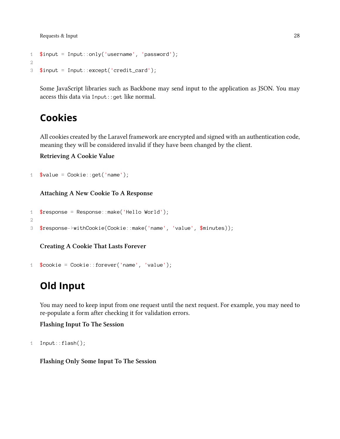```
1 $input = Input::only('username', 'password');
2
3 $input = Input::except('credit_card');
```
Some JavaScript libraries such as Backbone may send input to the application as JSON. You may access this data via Input::get like normal.

### <span id="page-37-0"></span>**Cookies**

All cookies created by the Laravel framework are encrypted and signed with an authentication code, meaning they will be considered invalid if they have been changed by the client.

**Retrieving A Cookie Value**

```
1 \text{Value} = \text{Cookie}: \text{get('name')};
```
**Attaching A New Cookie To A Response**

```
1 $response = Response::make('Hello World');
2^{\circ}3 $response->withCookie(Cookie::make('name', 'value', $minutes));
```
**Creating A Cookie That Lasts Forever**

```
1 $coskie = Cookie::forever('name', 'value');
```
# <span id="page-37-1"></span>**Old Input**

You may need to keep input from one request until the next request. For example, you may need to re-populate a form after checking it for validation errors.

**Flashing Input To The Session**

```
1 Input::flash();
```
**Flashing Only Some Input To The Session**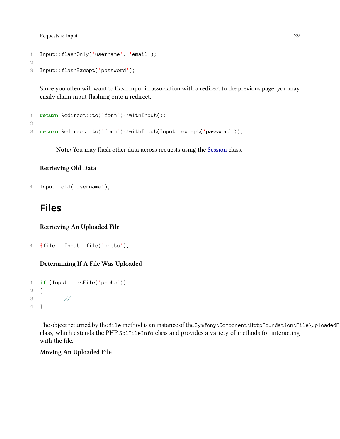```
1 Input::flashOnly('username', 'email');
2
```

```
3 Input::flashExcept('password');
```
Since you often will want to flash input in association with a redirect to the previous page, you may easily chain input flashing onto a redirect.

```
1 return Redirect::to('form')->withInput();
2
3 return Redirect::to('form')->withInput(Input::except('password'));
```
**Note:** You may flash other data across requests using the [Session](#page-115-0) class.

### **Retrieving Old Data**

```
1 Input::old('username');
```
## <span id="page-38-0"></span>**Files**

**Retrieving An Uploaded File**

```
1 $file = Input::file('photo');
```
### **Determining If A File Was Uploaded**

```
1 if (Input::hasFile('photo'))
2 {
3 //
4 }
```
The object returned by the file method is an instance of the Symfony\Component\HttpFoundation\File\UploadedF class, which extends the PHP SplFileInfo class and provides a variety of methods for interacting with the file.

**Moving An Uploaded File**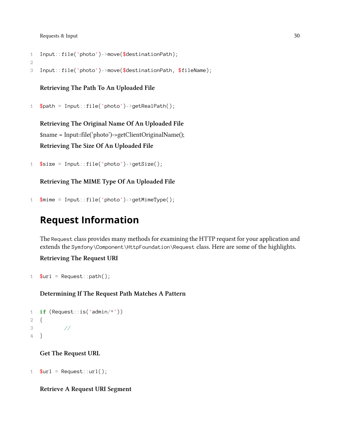```
1 Input::file('photo')->move($destinationPath);
```
2

```
3 Input::file('photo')->move($destinationPath, $fileName);
```
**Retrieving The Path To An Uploaded File**

```
1 $path = Input::file('photo')->getRealPath();
```
**Retrieving The Original Name Of An Uploaded File** \$name = Input::file('photo')->getClientOriginalName(); **Retrieving The Size Of An Uploaded File**

```
1 $size = Input::file('photo')->getSize();
```
**Retrieving The MIME Type Of An Uploaded File**

```
1 \text{ 3}mime = Input::file('photo')->getMimeType();
```
# <span id="page-39-0"></span>**Request Information**

The Request class provides many methods for examining the HTTP request for your application and extends the Symfony\Component\HttpFoundation\Request class. Here are some of the highlights.

**Retrieving The Request URI**

```
1 \text{Suri} = \text{Request}:\text{path}(
```
**Determining If The Request Path Matches A Pattern**

```
1 if (Request::is('admin/*'))
2 {
3 //
4 }
```
**Get The Request URL**

1  $$url = Request::url();$ 

**Retrieve A Request URI Segment**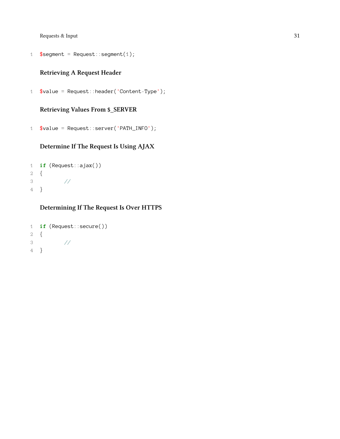```
1 $segment = Request::segment(1);
```
### **Retrieving A Request Header**

\$value = Request::header('Content-Type');

### **Retrieving Values From \$\_SERVER**

\$value = Request::server('PATH\_INFO');

### **Determine If The Request Is Using AJAX**

```
1 if (Request::ajax())
2 {
3 //
4 }
```
### **Determining If The Request Is Over HTTPS**

```
1 if (Request::secure())
2 {
3 //
4 }
```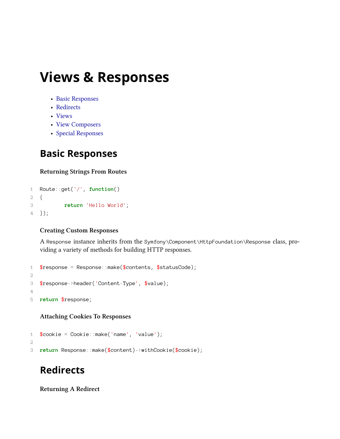# **Views & Responses**

- [Basic Responses](#page-41-0)
- [Redirects](#page-41-1)
- [Views](#page-42-0)
- [View Composers](#page-44-0)
- [Special Responses](#page-45-0)

## <span id="page-41-0"></span>**Basic Responses**

### **Returning Strings From Routes**

```
1 Route::get('/', function()
2 {
3 return 'Hello World';
4 });
```
### **Creating Custom Responses**

A Response instance inherits from the Symfony\Component\HttpFoundation\Response class, providing a variety of methods for building HTTP responses.

```
1 $response = Response:make ($contents, $statusCode);2
3 $response->header('Content-Type', $value);
4
5 return $response;
```
### **Attaching Cookies To Responses**

```
1 $cookie = Cookie::make('name', 'value');
2
3 return Response::make($content)->withCookie($cookie);
```
# <span id="page-41-1"></span>**Redirects**

**Returning A Redirect**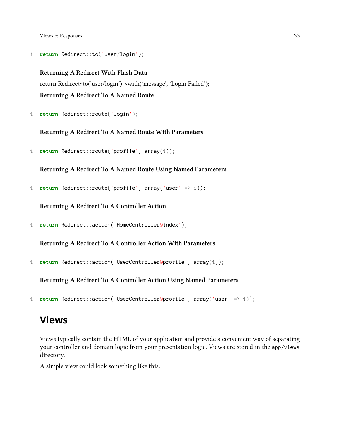Views & Responses 33

1 **return** Redirect::to('user/login');

**Returning A Redirect With Flash Data** return Redirect::to('user/login')->with('message', 'Login Failed'); **Returning A Redirect To A Named Route**

1 **return** Redirect::route('login');

#### **Returning A Redirect To A Named Route With Parameters**

1 **return** Redirect::route('profile', array(1));

### **Returning A Redirect To A Named Route Using Named Parameters**

1 **return** Redirect::route('profile', array('user' => 1));

**Returning A Redirect To A Controller Action**

1 **return** Redirect::action('HomeController@index');

**Returning A Redirect To A Controller Action With Parameters**

1 **return** Redirect::action('UserController@profile', array(1));

**Returning A Redirect To A Controller Action Using Named Parameters**

1 **return** Redirect::action('UserController@profile', array('user' => 1));

### <span id="page-42-0"></span>**Views**

Views typically contain the HTML of your application and provide a convenient way of separating your controller and domain logic from your presentation logic. Views are stored in the app/views directory.

A simple view could look something like this: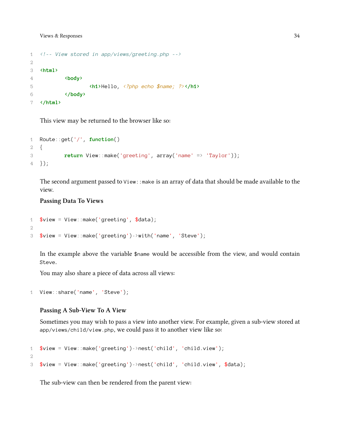```
1 <!-- View stored in app/views/greeting.php -->
2
3 <html>
4 <body>
5 <h1>Hello, <?php echo $name; ?></h1>
6 </body>
7 </html>
```
This view may be returned to the browser like so:

```
1 Route::get('/', function()
2 {
3 return View::make('greeting', array('name' => 'Taylor'));
4 });
```
The second argument passed to  $\vee$ iew::make is an array of data that should be made available to the view.

#### **Passing Data To Views**

```
1 $view = View::make('greeting', $data);
2
3 $view = View::make('greeting')->with('name', 'Steve');
```
In the example above the variable \$name would be accessible from the view, and would contain Steve.

You may also share a piece of data across all views:

```
1 View::share('name', 'Steve');
```
#### **Passing A Sub-View To A View**

Sometimes you may wish to pass a view into another view. For example, given a sub-view stored at app/views/child/view.php, we could pass it to another view like so:

```
1 $view = View::make('greeting')->nest('child', 'child.view');
2
3 $view = View::make('greeting')->nest('child', 'child.view', $data);
```
The sub-view can then be rendered from the parent view: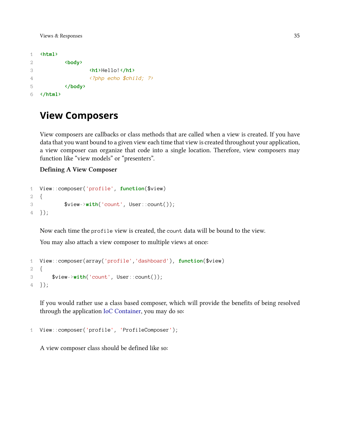```
1 <html>
2 kbody
3 <h1>Hello!</h1>
4 <?php echo $child; ?>
5 </body>
6 </html>
```
### <span id="page-44-0"></span>**View Composers**

View composers are callbacks or class methods that are called when a view is created. If you have data that you want bound to a given view each time that view is created throughout your application, a view composer can organize that code into a single location. Therefore, view composers may function like "view models" or "presenters".

#### **Defining A View Composer**

```
1 View::composer('profile', function($view)
2 {
3 $view->with('count', User::count());
4 });
```
Now each time the profile view is created, the count data will be bound to the view.

You may also attach a view composer to multiple views at once:

```
1 View::composer(array('profile','dashboard'), function($view)
2 {
3 $view->with('count', User::count());
4 });
```
If you would rather use a class based composer, which will provide the benefits of being resolved through the application [IoC Container,](#page-80-0) you may do so:

```
1 View::composer('profile', 'ProfileComposer');
```
A view composer class should be defined like so: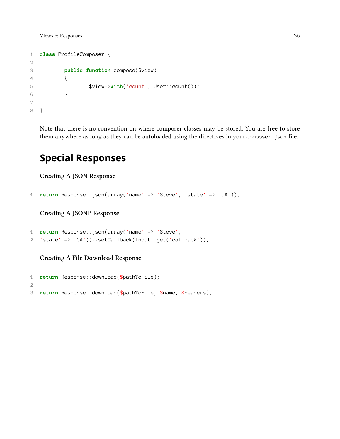```
1 class ProfileComposer {
2
3 public function compose($view)
4 {
5 $view->with('count', User::count());
6 }
7
8 }
```
Note that there is no convention on where composer classes may be stored. You are free to store them anywhere as long as they can be autoloaded using the directives in your composer.json file.

## <span id="page-45-0"></span>**Special Responses**

**Creating A JSON Response**

```
1 return Response::json(array('name' => 'Steve', 'state' => 'CA'));
```
**Creating A JSONP Response**

```
1 return Response::json(array('name' => 'Steve',
2 'state' => 'CA'))->setCallback(Input::get('callback'));
```
**Creating A File Download Response**

```
1 return Response::download($pathToFile);
2
3 return Response::download($pathToFile, $name, $headers);
```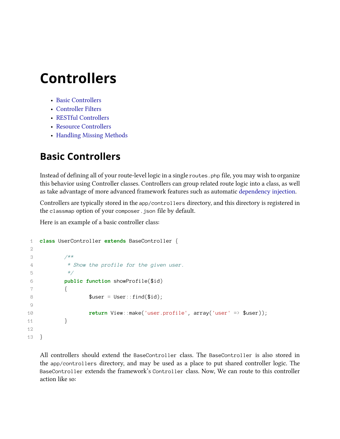# **Controllers**

- [Basic Controllers](#page-46-0)
- [Controller Filters](#page-47-0)
- [RESTful Controllers](#page-48-0)
- [Resource Controllers](#page-49-0)
- [Handling Missing Methods](#page-50-0)

# <span id="page-46-0"></span>**Basic Controllers**

Instead of defining all of your route-level logic in a single routes.php file, you may wish to organize this behavior using Controller classes. Controllers can group related route logic into a class, as well as take advantage of more advanced framework features such as automatic [dependency injection.](#page-80-0)

Controllers are typically stored in the app/controllers directory, and this directory is registered in the classmap option of your composer.json file by default.

Here is an example of a basic controller class:

```
1 class UserController extends BaseController {
2
3 /**
4 * Show the profile for the given user.
5 */
6 public function showProfile($id)
7 {
8 $user = User::find($id);\circ10 return View::make('user.profile', array('user' => $user));
11 }
12
13 }
```
All controllers should extend the BaseController class. The BaseController is also stored in the app/controllers directory, and may be used as a place to put shared controller logic. The BaseController extends the framework's Controller class. Now, We can route to this controller action like so: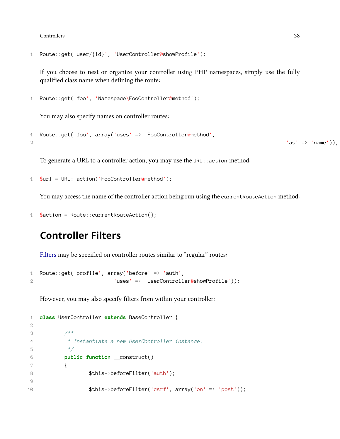Controllers 38

```
1 Route::get('user/{id}', 'UserController@showProfile');
```
If you choose to nest or organize your controller using PHP namespaces, simply use the fully qualified class name when defining the route:

```
1 Route::get('foo', 'Namespace\FooController@method');
```
You may also specify names on controller routes:

```
1 Route::get('foo', array('uses' => 'FooController@method',
2 'as' \Rightarrow 'name'));
```
To generate a URL to a controller action, you may use the URL::action method:

```
1 $url = URL::action('FooController@method');
```
You may access the name of the controller action being run using the currentRouteAction method:

```
1 $action = Route::currentRouteAction();
```
### <span id="page-47-0"></span>**Controller Filters**

[Filters](#page-29-0) may be specified on controller routes similar to "regular" routes:

```
1 Route::get('profile', array('before' => 'auth',
2 2 'uses' => 'UserController@showProfile'));
```
However, you may also specify filters from within your controller:

```
1 class UserController extends BaseController {
2
3 /**
4 * Instantiate a new UserController instance.
5 */
6 public function __construct()
7 {
8 $this->beforeFilter('auth');
9
10 $this->beforeFilter('csrf', array('on' => 'post'));
```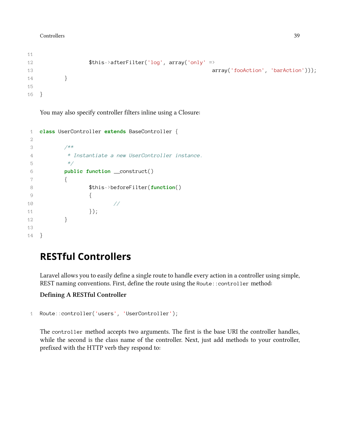```
11
12 $this->afterFilter('log', array('only' =>
13 array('fooAction', 'barAction'));
14 }
15
16 }
```
You may also specify controller filters inline using a Closure:

```
1 class UserController extends BaseController {
2
3 /**
4 * Instantiate a new UserController instance.
5 */
6 public function __construct()
7 {
8 $this->beforeFilter(function()
9 {
10 //
11 });
12 }
13
14 }
```
# <span id="page-48-0"></span>**RESTful Controllers**

Laravel allows you to easily define a single route to handle every action in a controller using simple, REST naming conventions. First, define the route using the Route::controller method:

### **Defining A RESTful Controller**

```
1 Route::controller('users', 'UserController');
```
The controller method accepts two arguments. The first is the base URI the controller handles, while the second is the class name of the controller. Next, just add methods to your controller, prefixed with the HTTP verb they respond to: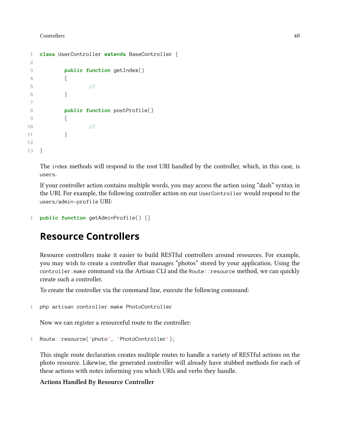#### Controllers 40

```
1 class UserController extends BaseController {
2
3 public function getIndex()
4 {
5 //
6 }
7
8 public function postProfile()
9 {
10 //
11 }
12
13 }
```
The index methods will respond to the root URI handled by the controller, which, in this case, is users.

If your controller action contains multiple words, you may access the action using "dash" syntax in the URI. For example, the following controller action on our UserController would respond to the users/admin-profile URI:

```
1 public function getAdminProfile() {}
```
## <span id="page-49-0"></span>**Resource Controllers**

Resource controllers make it easier to build RESTful controllers around resources. For example, you may wish to create a controller that manages "photos" stored by your application. Using the controller: make command via the Artisan CLI and the Route:: resource method, we can quickly create such a controller.

To create the controller via the command line, execute the following command:

```
1 php artisan controller:make PhotoController
```
Now we can register a resourceful route to the controller:

```
1 Route::resource('photo', 'PhotoController');
```
This single route declaration creates multiple routes to handle a variety of RESTful actions on the photo resource. Likewise, the generated controller will already have stubbed methods for each of these actions with notes informing you which URIs and verbs they handle.

#### **Actions Handled By Resource Controller**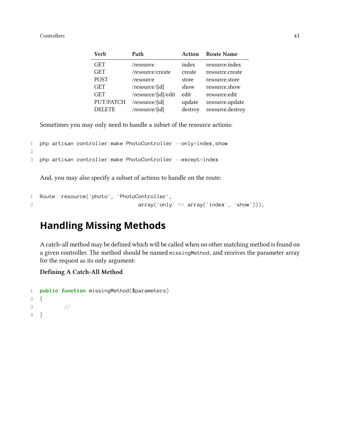#### Controllers 41

| <b>Verb</b>   | Path                | Action  | <b>Route Name</b> |
|---------------|---------------------|---------|-------------------|
| <b>GET</b>    | /resource           | index   | resource.index    |
| <b>GET</b>    | /resource/create    | create  | resource.create   |
| <b>POST</b>   | /resource           | store   | resource.store    |
| <b>GET</b>    | /resource/{id}      | show    | resource.show     |
| <b>GET</b>    | /resource/{id}/edit | edit    | resource.edit     |
| PUT/PATCH     | /resource/{id}      | update  | resource.update   |
| <b>DELETE</b> | /resource/{id}      | destroy | resource.destroy  |

Sometimes you may only need to handle a subset of the resource actions:

```
1 php artisan controller:make PhotoController --only=index,show
```

```
2
```

```
3 php artisan controller:make PhotoController --except=index
```
And, you may also specify a subset of actions to handle on the route:

```
1 Route::resource('photo', 'PhotoController',
2 array('only' => array('index', 'show'));
```
### <span id="page-50-0"></span>**Handling Missing Methods**

A catch-all method may be defined which will be called when no other matching method is found on a given controller. The method should be named missingMethod, and receives the parameter array for the request as its only argument:

#### **Defining A Catch-All Method**

```
1 public function missingMethod($parameters)
2 {
3 //
4 }
```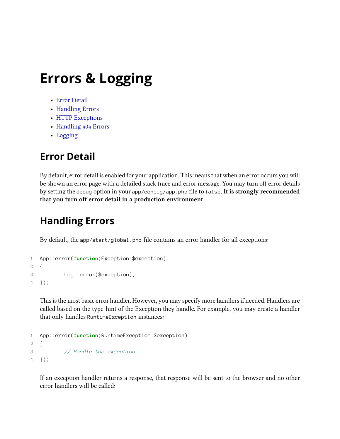# **Errors & Logging**

- [Error Detail](#page-51-0)
- [Handling Errors](#page-51-1)
- [HTTP Exceptions](#page-52-0)
- [Handling 404 Errors](#page-52-1)
- [Logging](#page-53-0)

# <span id="page-51-0"></span>**Error Detail**

By default, error detail is enabled for your application. This means that when an error occurs you will be shown an error page with a detailed stack trace and error message. You may turn off error details by setting the debug option in your app/config/app.php file to false. **It is strongly recommended that you turn off error detail in a production environment.**

# <span id="page-51-1"></span>**Handling Errors**

By default, the app/start/global.php file contains an error handler for all exceptions:

```
1 App::error(function(Exception $exception)
2 {
3 Log::error($exception);
4 });
```
This is the most basic error handler. However, you may specify more handlers if needed. Handlers are called based on the type-hint of the Exception they handle. For example, you may create a handler that only handles RuntimeException instances:

```
1 App::error(function(RuntimeException $exception)
2 {
3 // Handle the exception...
4 });
```
If an exception handler returns a response, that response will be sent to the browser and no other error handlers will be called: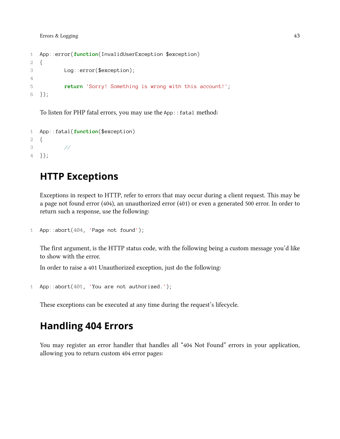```
1 App::error(function(InvalidUserException $exception)
2 {
3 Log::error($exception);
4
5 return 'Sorry! Something is wrong with this account!';
6 });
```
To listen for PHP fatal errors, you may use the App: : fatal method:

```
1 App::fatal(function($exception)
2 {
3 //
4 });
```
# <span id="page-52-0"></span>**HTTP Exceptions**

Exceptions in respect to HTTP, refer to errors that may occur during a client request. This may be a page not found error (404), an unauthorized error (401) or even a generated 500 error. In order to return such a response, use the following:

```
1 App::abort(404, 'Page not found');
```
The first argument, is the HTTP status code, with the following being a custom message you'd like to show with the error.

In order to raise a 401 Unauthorized exception, just do the following:

```
1 App::abort(401, 'You are not authorized.');
```
<span id="page-52-1"></span>These exceptions can be executed at any time during the request's lifecycle.

### **Handling 404 Errors**

You may register an error handler that handles all "404 Not Found" errors in your application, allowing you to return custom 404 error pages: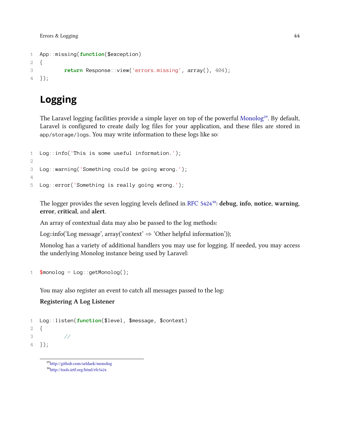```
1 App::missing(function($exception)
2 {
3 return Response::view('errors.missing', array(), 404);
4 });
```
# <span id="page-53-0"></span>**Logging**

The Laravel logging facilities provide a simple layer on top of the powerful [Monolog](http://github.com/seldaek/monolog)<sup>29</sup>. By default, Laravel is configured to create daily log files for your application, and these files are stored in app/storage/logs. You may write information to these logs like so:

```
1 Log::info('This is some useful information.');
2
3 Log::warning('Something could be going wrong.');
4
5 Log::error('Something is really going wrong.');
```
The logger provides the seven logging levels defined in [RFC 5424](http://tools.ietf.org/html/rfc5424)<sup>30</sup>: debug, info, notice, warning, **error**, **critical**, and **alert**.

An array of contextual data may also be passed to the log methods:

Log::info('Log message', array('context' *⇒* 'Other helpful information'));

Monolog has a variety of additional handlers you may use for logging. If needed, you may access the underlying Monolog instance being used by Laravel:

```
1 $monolog = Log::getMonolog();
```
You may also register an event to catch all messages passed to the log:

### **Registering A Log Listener**

```
1 Log::listen(function($level, $message, $context)
2 {
3 //
4 });
```
<span id="page-53-2"></span><span id="page-53-1"></span>²⁹<http://github.com/seldaek/monolog> ³⁰<http://tools.ietf.org/html/rfc5424>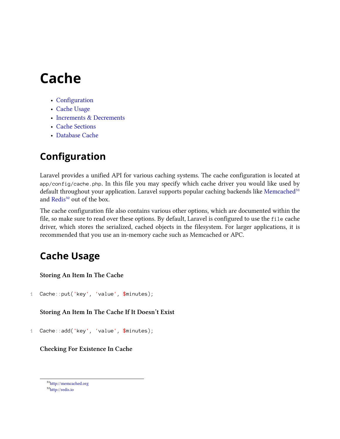- [Configuration](#page-54-0)
- [Cache Usage](#page-54-1)
- [Increments & Decrements](#page-55-0)
- [Cache Sections](#page-56-0)
- [Database Cache](#page-56-1)

# <span id="page-54-0"></span>**Configuration**

Laravel provides a unified API for various caching systems. The cache configuration is located at app/config/cache.php. In this file you may specify which cache driver you would like used by default throughout your application. Laravel supports popular caching backends like [Memcached](http://memcached.org)<sup>31</sup> and [Redis](http://redis.io)<sup>32</sup> out of the box.

The cache configuration file also contains various other options, which are documented within the file, so make sure to read over these options. By default, Laravel is configured to use the file cache driver, which stores the serialized, cached objects in the filesystem. For larger applications, it is recommended that you use an in-memory cache such as Memcached or APC.

# <span id="page-54-1"></span>**Cache Usage**

**Storing An Item In The Cache**

1 Cache::put('key', 'value', \$minutes);

**Storing An Item In The Cache If It Doesn't Exist**

1 Cache::add('key', 'value', \$minutes);

**Checking For Existence In Cache**

<span id="page-54-2"></span> $\rm ^{31}$  <http://memcached.org>

<span id="page-54-3"></span>³²<http://redis.io>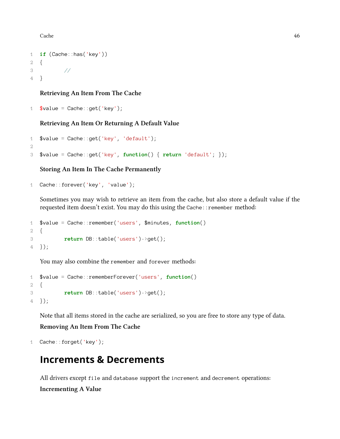```
1 if (Cache::has('key'))
2 {
3 //
4 }
```
#### **Retrieving An Item From The Cache**

```
1 $value = Cache::get('key');
```
### **Retrieving An Item Or Returning A Default Value**

```
1 $value = Cache::get('key', 'default');
2
3 $value = Cache::get('key', function() { return 'default'; });
```
### **Storing An Item In The Cache Permanently**

```
1 Cache::forever('key', 'value');
```
Sometimes you may wish to retrieve an item from the cache, but also store a default value if the requested item doesn't exist. You may do this using the Cache:: remember method:

```
1 $value = Cache::remember('users', $minutes, function()
2 {
3 return DB::table('users')->get();
4 });
```
You may also combine the remember and forever methods:

```
1 $value = Cache::rememberForever('users', function()
2 {
3 return DB::table('users')->get();
4 });
```
Note that all items stored in the cache are serialized, so you are free to store any type of data.

#### **Removing An Item From The Cache**

```
1 Cache::forget('key');
```
### <span id="page-55-0"></span>**Increments & Decrements**

All drivers except file and database support the increment and decrement operations: **Incrementing A Value**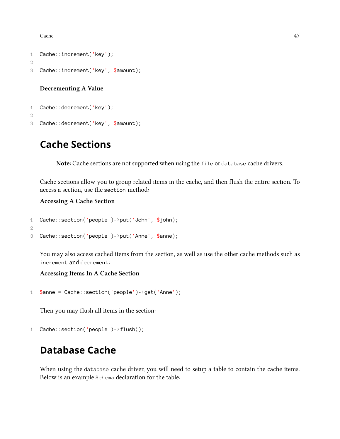```
1 Cache::increment('key');
2
3 Cache::increment('key', $amount);
```
#### **Decrementing A Value**

```
1 Cache::decrement('key');
2
3 Cache::decrement('key', $amount);
```
### <span id="page-56-0"></span>**Cache Sections**

**Note:** Cache sections are not supported when using the file or database cache drivers.

Cache sections allow you to group related items in the cache, and then flush the entire section. To access a section, use the section method:

**Accessing A Cache Section**

```
1 Cache::section('people')->put('John', $john);
2
3 Cache::section('people')->put('Anne', $anne);
```
You may also access cached items from the section, as well as use the other cache methods such as increment and decrement:

**Accessing Items In A Cache Section**

```
1 $anne = Cache::section('people')->get('Anne');
```
Then you may flush all items in the section:

```
1 Cache::section('people')->flush();
```
### <span id="page-56-1"></span>**Database Cache**

When using the database cache driver, you will need to setup a table to contain the cache items. Below is an example Schema declaration for the table: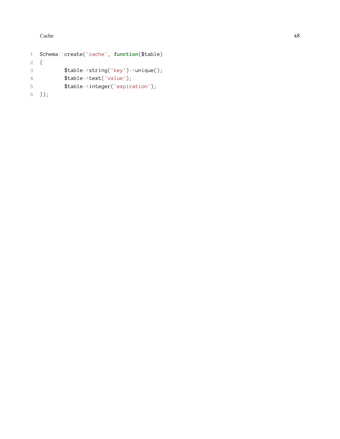```
1 Schema::create('cache'
, function($table)
2
  {
3 $table
-
>string('key'
)
-
>unique();
4 $table
-
>text('value');
5 $table->integer('expiration');
6 });
```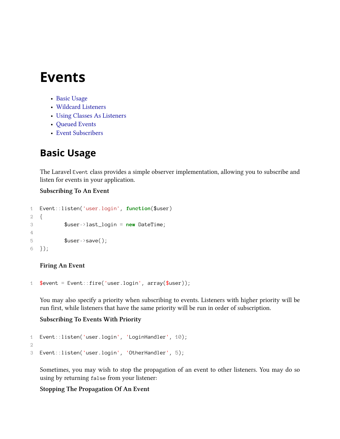- [Basic Usage](#page-58-0)
- [Wildcard Listeners](#page-59-0)
- [Using Classes As Listeners](#page-59-1)
- [Queued Events](#page-60-0)
- [Event Subscribers](#page-60-1)

## <span id="page-58-0"></span>**Basic Usage**

The Laravel Event class provides a simple observer implementation, allowing you to subscribe and listen for events in your application.

### **Subscribing To An Event**

```
1 Event::listen('user.login', function($user)
2 {
3 $user->last_login = new DateTime;
4
5 $user->save();
6 });
```
#### **Firing An Event**

```
1 % event = Event::fire('user.login', array($user));
```
You may also specify a priority when subscribing to events. Listeners with higher priority will be run first, while listeners that have the same priority will be run in order of subscription.

#### **Subscribing To Events With Priority**

```
1 Event::listen('user.login', 'LoginHandler', 10);
2
3 Event::listen('user.login', 'OtherHandler', 5);
```
Sometimes, you may wish to stop the propagation of an event to other listeners. You may do so using by returning false from your listener:

### **Stopping The Propagation Of An Event**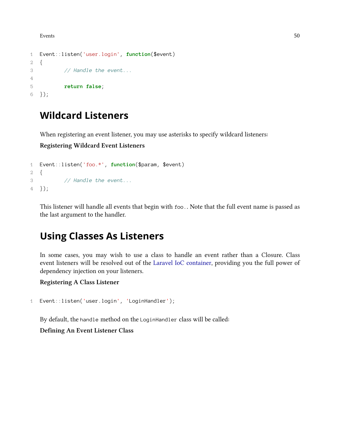```
1 Event::listen('user.login', function($event)
2 {
3 // Handle the event...
4
5 return false;
6 });
```
## <span id="page-59-0"></span>**Wildcard Listeners**

When registering an event listener, you may use asterisks to specify wildcard listeners:

**Registering Wildcard Event Listeners**

```
1 Event::listen('foo.*', function($param, $event)
2 {
3 // Handle the event...
4 });
```
This listener will handle all events that begin with foo.. Note that the full event name is passed as the last argument to the handler.

# <span id="page-59-1"></span>**Using Classes As Listeners**

In some cases, you may wish to use a class to handle an event rather than a Closure. Class event listeners will be resolved out of the [Laravel IoC container,](#page-80-0) providing you the full power of dependency injection on your listeners.

**Registering A Class Listener**

```
1 Event::listen('user.login', 'LoginHandler');
```
By default, the handle method on the LoginHandler class will be called:

**Defining An Event Listener Class**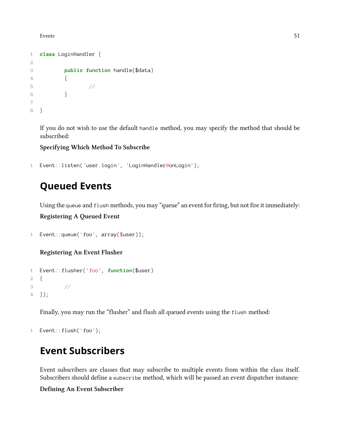```
1 class LoginHandler {
2
3 public function handle($data)
4 {
5 //
6 }
7
8 }
```
If you do not wish to use the default handle method, you may specify the method that should be subscribed:

**Specifying Which Method To Subscribe**

```
1 Event::listen('user.login', 'LoginHandler@onLogin');
```
# <span id="page-60-0"></span>**Queued Events**

Using the queue and flush methods, you may "queue" an event for firing, but not fire it immediately:

**Registering A Queued Event**

```
1 Event:: queue('foo', array($user));
```
**Registering An Event Flusher**

```
1 Event::flusher('foo', function($user)
2 {
3 //
4 });
```
Finally, you may run the "flusher" and flush all queued events using the flush method:

```
1 Event::flush('foo');
```
## <span id="page-60-1"></span>**Event Subscribers**

Event subscribers are classes that may subscribe to multiple events from within the class itself. Subscribers should define a subscribe method, which will be passed an event dispatcher instance:

**Defining An Event Subscriber**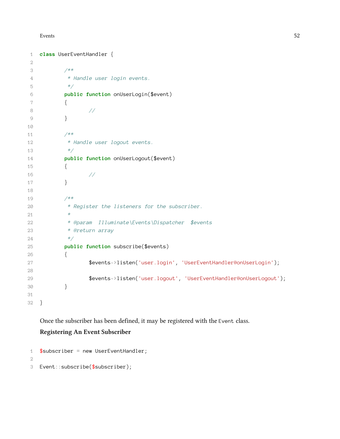```
1 class UserEventHandler {
2
3 /**
4 * Handle user login events.
5 */
6 public function onUserLogin($event)
7 {
8 //
9 }
10
11 /**
12 * Handle user logout events.
13 */
14 public function onUserLogout($event)
15 {
16 //
17 }
18
19 /**
20 * Register the listeners for the subscriber.
21 *
22 * @param Illuminate\Events\Dispatcher $events
23 * @return array
24 */
25 public function subscribe($events)
26 {
27 $events->listen('user.login', 'UserEventHandler@onUserLogin');
28
29 $events->listen('user.logout', 'UserEventHandler@onUserLogout');
30 }
31
32 }
```
Once the subscriber has been defined, it may be registered with the Event class.

#### **Registering An Event Subscriber**

```
1 $subscript = new UserEventHandler;2
3 Event::subscribe($subscriber);
```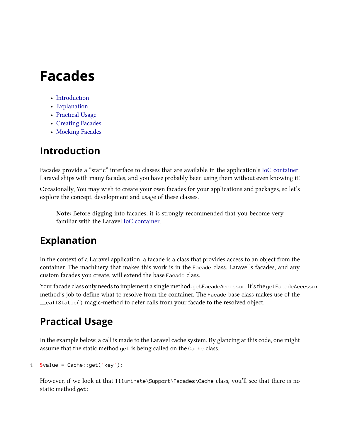# **Facades**

- [Introduction](#page-62-0)
- [Explanation](#page-62-1)
- [Practical Usage](#page-62-2)
- [Creating Facades](#page-63-0)
- [Mocking Facades](#page-64-0)

# <span id="page-62-0"></span>**Introduction**

Facades provide a "static" interface to classes that are available in the application's [IoC container](#page-80-0). Laravel ships with many facades, and you have probably been using them without even knowing it!

Occasionally, You may wish to create your own facades for your applications and packages, so let's explore the concept, development and usage of these classes.

**Note:** Before digging into facades, it is strongly recommended that you become very familiar with the Laravel [IoC container](#page-80-0).

# <span id="page-62-1"></span>**Explanation**

In the context of a Laravel application, a facade is a class that provides access to an object from the container. The machinery that makes this work is in the Facade class. Laravel's facades, and any custom facades you create, will extend the base Facade class.

Your facade class only needs to implement a single method: getFacadeAccessor. It's the getFacadeAccessor method's job to define what to resolve from the container. The Facade base class makes use of the \_\_callStatic() magic-method to defer calls from your facade to the resolved object.

# <span id="page-62-2"></span>**Practical Usage**

In the example below, a call is made to the Laravel cache system. By glancing at this code, one might assume that the static method get is being called on the Cache class.

```
1 $value = Cache::get('key');
```
However, if we look at that Illuminate\Support\Facades\Cache class, you'll see that there is no static method get: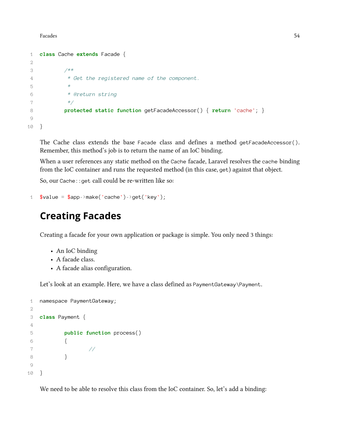Facades 54

```
1 class Cache extends Facade {
2
3 /**
4 * Get the registered name of the component.
5 *
6 * @return string
7 */
8 protected static function getFacadeAccessor() { return 'cache'; }
9
10 }
```
The Cache class extends the base Facade class and defines a method getFacadeAccessor(). Remember, this method's job is to return the name of an IoC binding.

When a user references any static method on the Cache facade, Laravel resolves the cache binding from the IoC container and runs the requested method (in this case, get) against that object.

So, our Cache::get call could be re-written like so:

```
1 \text{value} = \text{Supp-}\text{make('cache')-}\text{get('key')};
```
### <span id="page-63-0"></span>**Creating Facades**

Creating a facade for your own application or package is simple. You only need 3 things:

- An IoC binding
- A facade class.
- A facade alias configuration.

Let's look at an example. Here, we have a class defined as PaymentGateway\Payment.

```
1 namespace PaymentGateway;
2
3 class Payment {
4
5 public function process()
6 {
7 //
8 }
9
10 }
```
We need to be able to resolve this class from the IoC container. So, let's add a binding: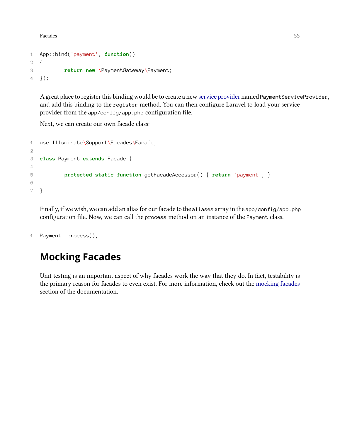Facades 55

```
1 App::bind('payment', function()
2 {
3 return new \PaymentGateway\Payment;
4 });
```
A great place to register this binding would be to create a new [service provider](#page-83-0) named PaymentServiceProvider, and add this binding to the register method. You can then configure Laravel to load your service provider from the app/config/app.php configuration file.

Next, we can create our own facade class:

```
1 use Illuminate\Support\Facades\Facade;
2
3 class Payment extends Facade {
4
5 protected static function getFacadeAccessor() { return 'payment'; }
6
7 }
```
Finally, if we wish, we can add an alias for our facade to the aliases array in the app/config/app.php configuration file. Now, we can call the process method on an instance of the Payment class.

```
1 Payment::process();
```
# <span id="page-64-0"></span>**Mocking Facades**

Unit testing is an important aspect of why facades work the way that they do. In fact, testability is the primary reason for facades to even exist. For more information, check out the [mocking facades](#page-64-0) section of the documentation.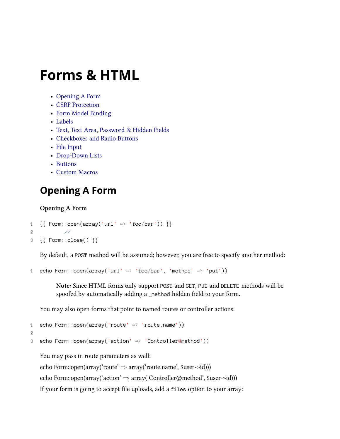# **Forms & HTML**

- [Opening A Form](#page-65-0)
- [CSRF Protection](#page-66-0)
- [Form Model Binding](#page-66-1)
- [Labels](#page-66-2)
- [Text, Text Area, Password & Hidden Fields](#page-67-0)
- [Checkboxes and Radio Buttons](#page-67-1)
- [File Input](#page-68-0)
- [Drop-Down Lists](#page-68-1)
- [Buttons](#page-68-2)
- [Custom Macros](#page-69-0)

# <span id="page-65-0"></span>**Opening A Form**

### **Opening A Form**

```
1 \{ [ Form::open(array('url' => 'foo/bar')) \}2 //
3 {{ Form::close() }}
```
By default, a POST method will be assumed; however, you are free to specify another method:

```
1 echo Form::open(array('url' => 'foo/bar', 'method' => 'put'))
```
**Note:** Since HTML forms only support POST and GET, PUT and DELETE methods will be spoofed by automatically adding a \_method hidden field to your form.

You may also open forms that point to named routes or controller actions:

```
1 echo Form::open(array('route' => 'route.name'))
```

```
2
```

```
3 echo Form::open(array('action' => 'Controller@method'))
```
You may pass in route parameters as well:

echo Form::open(array('route' *⇒* array('route.name', \$user->id)))

echo Form::open(array('action' *⇒* array('Controller@method', \$user->id)))

If your form is going to accept file uploads, add a files option to your array: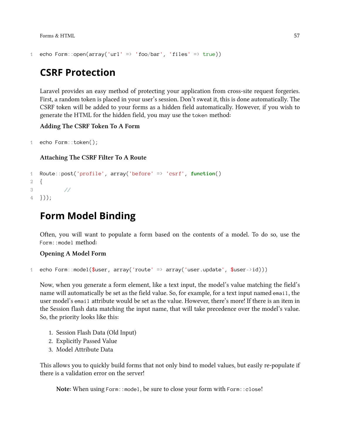```
1 echo Form::open(array('url' => 'foo/bar', 'files' => true))
```
## <span id="page-66-0"></span>**CSRF Protection**

Laravel provides an easy method of protecting your application from cross-site request forgeries. First, a random token is placed in your user's session. Don't sweat it, this is done automatically. The CSRF token will be added to your forms as a hidden field automatically. However, if you wish to generate the HTML for the hidden field, you may use the token method:

**Adding The CSRF Token To A Form**

```
1 echo Form::token();
```
**Attaching The CSRF Filter To A Route**

```
1 Route::post('profile', array('before' => 'csrf', function()
2 {
3 //
4 }));
```
# <span id="page-66-1"></span>**Form Model Binding**

Often, you will want to populate a form based on the contents of a model. To do so, use the Form::model method:

**Opening A Model Form**

1 echo Form::model(\$user, array('route' => array('user.update', \$user->id)))

Now, when you generate a form element, like a text input, the model's value matching the field's name will automatically be set as the field value. So, for example, for a text input named email, the user model's email attribute would be set as the value. However, there's more! If there is an item in the Session flash data matching the input name, that will take precedence over the model's value. So, the priority looks like this:

- 1. Session Flash Data (Old Input)
- 2. Explicitly Passed Value
- 3. Model Attribute Data

This allows you to quickly build forms that not only bind to model values, but easily re-populate if there is a validation error on the server!

<span id="page-66-2"></span>**Note:** When using Form::model, be sure to close your form with Form::close!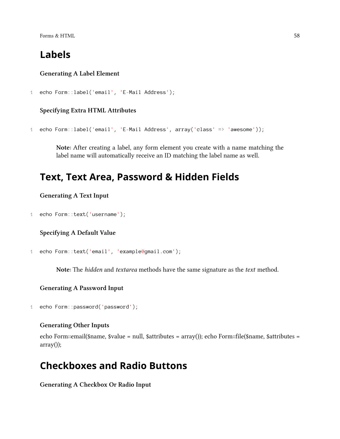Forms  $\&$  HTML 58

## **Labels**

#### **Generating A Label Element**

```
1 echo Form::label('email', 'E-Mail Address');
```
### **Specifying Extra HTML Attributes**

```
1 echo Form::label('email', 'E-Mail Address', array('class' => 'awesome'));
```
**Note:** After creating a label, any form element you create with a name matching the label name will automatically receive an ID matching the label name as well.

### <span id="page-67-0"></span>**Text, Text Area, Password & Hidden Fields**

#### **Generating A Text Input**

```
1 echo Form::text('username');
```
#### **Specifying A Default Value**

```
1 echo Form::text('email', 'example@gmail.com');
```
**Note:** The *hidden* and *textarea* methods have the same signature as the *text* method.

#### **Generating A Password Input**

```
1 echo Form::password('password');
```
#### **Generating Other Inputs**

echo Form::email(\$name, \$value = null, \$attributes = array()); echo Form::file(\$name, \$attributes = array());

### <span id="page-67-1"></span>**Checkboxes and Radio Buttons**

**Generating A Checkbox Or Radio Input**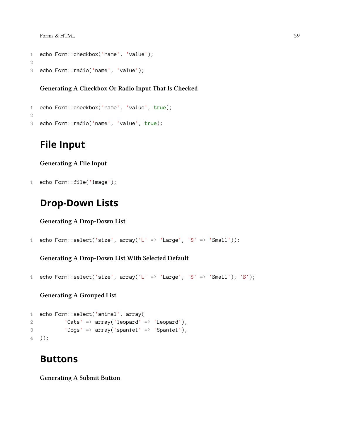Forms  $\&$  HTML 59

```
1 echo Form::checkbox('name', 'value');
2
3 echo Form::radio('name', 'value');
```
#### **Generating A Checkbox Or Radio Input That Is Checked**

```
1 echo Form::checkbox('name', 'value', true);
2
3 echo Form::radio('name', 'value', true);
```
### <span id="page-68-0"></span>**File Input**

**Generating A File Input**

```
1 echo Form::file('image');
```
### <span id="page-68-1"></span>**Drop-Down Lists**

**Generating A Drop-Down List**

```
1 echo Form::select('size', array('L' => 'Large', 'S' => 'Small'));
```
**Generating A Drop-Down List With Selected Default**

```
1 echo Form::select('size', array('L' => 'Large', 'S' => 'Small'), 'S');
```
**Generating A Grouped List**

```
1 echo Form::select('animal', array(
2 'Cats' => array('leopard' => 'Leopard'),
3 'Dogs' => array('spaniel' => 'Spaniel'),
4 ));
```
### <span id="page-68-2"></span>**Buttons**

**Generating A Submit Button**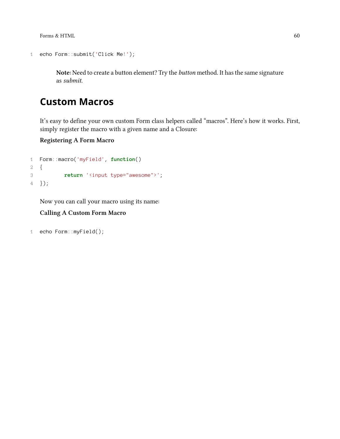Forms & HTML 60

```
1 echo Form::submit('Click Me!');
```
**Note:** Need to create a button element? Try the *button* method. It has the same signature as *submit*.

# <span id="page-69-0"></span>**Custom Macros**

It's easy to define your own custom Form class helpers called "macros". Here's how it works. First, simply register the macro with a given name and a Closure:

**Registering A Form Macro**

```
1 Form::macro('myField', function()
2 {
3 return '<input type="awesome">';
4 });
```
Now you can call your macro using its name:

### **Calling A Custom Form Macro**

```
1 echo Form::myField();
```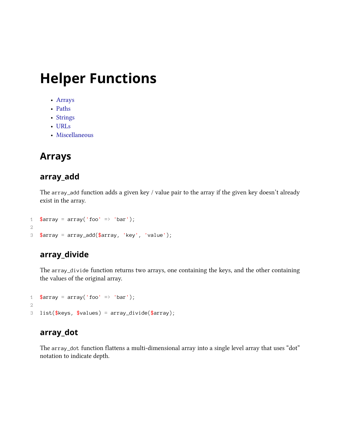# **Helper Functions**

- [Arrays](#page-70-0)
- [Paths](#page-74-0)
- [Strings](#page-74-1)
- [URLs](#page-77-0)
- [Miscellaneous](#page-78-0)

# <span id="page-70-0"></span>**Arrays**

### **array\_add**

The array\_add function adds a given key / value pair to the array if the given key doesn't already exist in the array.

```
1 \text{Sarray} = \text{array}('foo' => 'bar');2
3 $array = array_add($array, 'key', 'value');
```
### **array\_divide**

The array\_divide function returns two arrays, one containing the keys, and the other containing the values of the original array.

```
1 $array = array('foo' => 'bar');
2
3 list($keys, $values) = array\_divide($array);
```
### **array\_dot**

The array\_dot function flattens a multi-dimensional array into a single level array that uses "dot" notation to indicate depth.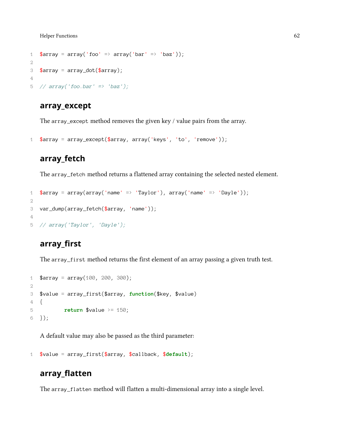Helper Functions 62

```
1 \text{Sarray} = \text{array}('foo' = \text{array}('bar' = \text{box'}).2
3 $array = array_dot($array);
4
5 // array('foo.bar' => 'baz');
```
### **array\_except**

The array\_except method removes the given key / value pairs from the array.

```
1 $array = array_except($array, array('keys', 'to', 'remove'));
```
### **array\_fetch**

The array\_fetch method returns a flattened array containing the selected nested element.

```
1 $array = array(array('name' => 'Taylor'), array('name' => 'Dayle'));
2
3 var_dump(array_fetch($array, 'name'));
4
5 // array('Taylor', 'Dayle');
```
### **array\_first**

The array\_first method returns the first element of an array passing a given truth test.

```
1 \text{Sarray} = \text{array}(100, 200, 300);2
3 $value = array_first($array, function($key, $value)
4 {
5 return $value >= 150;
6 });
```
A default value may also be passed as the third parameter:

```
1 $value = array_first($array, $callback, $default);
```
### **array\_flatten**

The array\_flatten method will flatten a multi-dimensional array into a single level.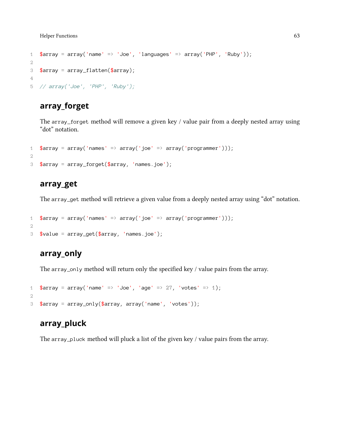```
1 \text{Sarray} = \text{array('name'} \Rightarrow 'Joe', 'languages' \Rightarrow \text{array('PHP'}, 'Ruby'));2
3 $array = array_flatten($array);
4
5 // array('Joe', 'PHP', 'Ruby');
```
### **array\_forget**

The array\_forget method will remove a given key / value pair from a deeply nested array using "dot" notation.

```
1 \text{Sarray} = \text{array('names' } \Rightarrow \text{array('joe'} \Rightarrow \text{array('programmer'}));
2
3 $array = array_forget($array, 'names.joe');
```
### **array\_get**

The array\_get method will retrieve a given value from a deeply nested array using "dot" notation.

```
1 \text{~sarray} = \text{array('names' =} \text{~array('joe' =} \text{~array('programmer'))};2
3 $value = array_get($array, 'names.joe');
```
### **array\_only**

The array\_only method will return only the specified key / value pairs from the array.

```
1 $array = array('name' => 'Joe', 'age' => 27, 'votes' => 1);
2
3 $array = array_only($array, array('name', 'votes'));
```
### **array\_pluck**

The array\_pluck method will pluck a list of the given key / value pairs from the array.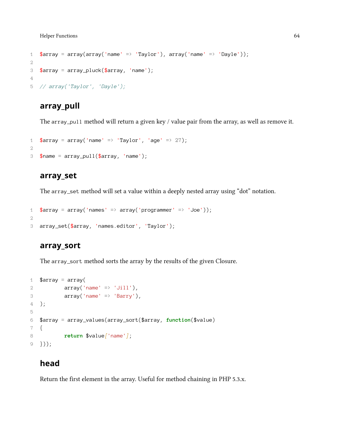```
1 \text{~\frac{1}{2}} \text{~\frac{1}{2}} \text{~\frac{1}{2}} \text{~\frac{1}{2}} \text{~\frac{1}{2}} \text{~\frac{1}{2}} \text{~\frac{1}{2}} \text{~\frac{1}{2}} \text{~\frac{1}{2}} \text{~\frac{1}{2}} \text{~\frac{1}{2}} \text{~\frac{1}{2}} \text{~\frac{1}{2}} \text{~\frac{1}{2}} \text{~\frac{1}{2}} \text{~\frac{12
3 $array = array_pluck($array, 'name');
4
5 // array('Taylor', 'Dayle');
```
### **array\_pull**

The array\_pull method will return a given key / value pair from the array, as well as remove it.

```
1 $array = array('name' => 'Taylor', 'age' => 27);
2
3 $name = array_pull($array, 'name');
```
#### **array\_set**

The array\_set method will set a value within a deeply nested array using "dot" notation.

```
1 \text{~\#array} = \text{array('names'} \Rightarrow \text{array('programmer'} \Rightarrow 'Joe'));2
3 array_set($array, 'names.editor', 'Taylor');
```
### **array\_sort**

The array\_sort method sorts the array by the results of the given Closure.

```
1 \text{Sarray} = \text{array}2 array('name' \Rightarrow 'Jill'),
3 array('name' \Rightarrow 'Barry'),
4 );
5
6 $array = array_values(array_sort($array, function($value)
7 {
8 return $value['name'];
9 }));
```
### **head**

Return the first element in the array. Useful for method chaining in PHP 5.3.x.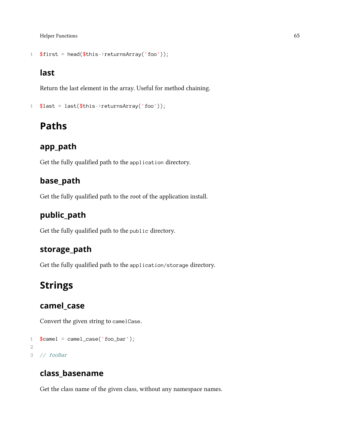```
1 $first = head($this->returnsArray('foo'));
```
### **last**

Return the last element in the array. Useful for method chaining.

```
1 $last = last($this->returnsArray('foo'));
```
## **Paths**

### **app\_path**

Get the fully qualified path to the application directory.

### **base\_path**

Get the fully qualified path to the root of the application install.

### **public\_path**

Get the fully qualified path to the public directory.

### **storage\_path**

Get the fully qualified path to the application/storage directory.

## **Strings**

### **camel\_case**

Convert the given string to camelCase.

```
1 $camel = camel_case('foo_bar');
2
3 // fooBar
```
### **class\_basename**

Get the class name of the given class, without any namespace names.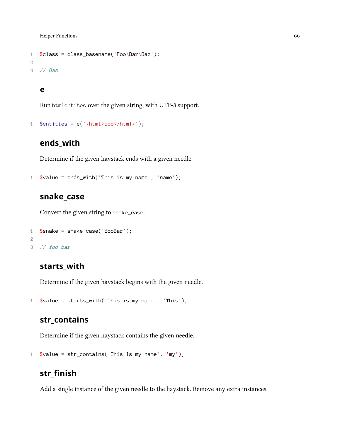```
1 $class = class_basename('Foo\Bar\Baz');
2
3 // Baz
```
#### **e**

Run htmlentites over the given string, with UTF-8 support.

```
1 $entities = e('<html>foo</html>');
```
### **ends\_with**

Determine if the given haystack ends with a given needle.

```
1 \text{value} = \text{ends\_with('This is my name', 'name')};
```
### **snake\_case**

Convert the given string to snake\_case.

```
1 $snake = snake_case('fooBar');
2
3 // foo_bar
```
### **starts\_with**

Determine if the given haystack begins with the given needle.

```
1 $value = starts_with('This is my name', 'This');
```
### **str\_contains**

Determine if the given haystack contains the given needle.

```
1 $value = str_contains('This is my name', 'my');
```
### **str\_finish**

Add a single instance of the given needle to the haystack. Remove any extra instances.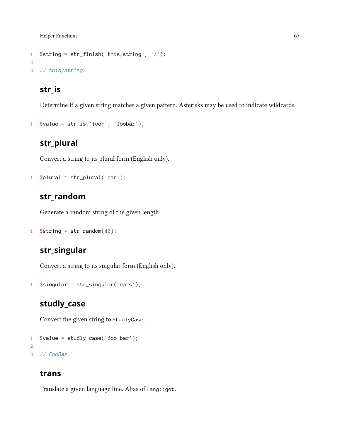```
1 $string = str_f inish('this/string', '/');2
3 // this/string/
```
### **str\_is**

Determine if a given string matches a given pattern. Asterisks may be used to indicate wildcards.

```
1 \text{value} = \text{str}\_ \text{is}(' \text{foo}^*', ' \text{foo}^*);
```
### **str\_plural**

Convert a string to its plural form (English only).

```
1 $plural = str\_plural('car');
```
### **str\_random**

Generate a random string of the given length.

```
1 $string = str\_random(40);
```
### **str\_singular**

Convert a string to its singular form (English only).

```
1 $singular = str\_singular('cars');
```
### **studly\_case**

Convert the given string to StudlyCase.

```
1 $value = studly_case('foo_bar');
2
3 // FooBar
```
### **trans**

Translate a given language line. Alias of Lang::get.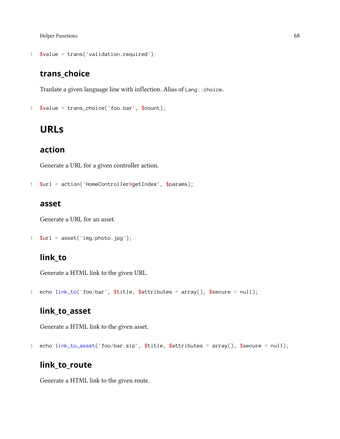```
1 $value = trans('validation.required'):
```
### **trans\_choice**

Tranlate a given language line with inflection. Alias of Lang::choice.

```
1 \text{value} = \text{trans\_choice}('foobar', \text{%count});
```
### **URLs**

### **action**

Generate a URL for a given controller action.

```
1 $url = action('HomeController@getIndex', $params);
```
#### **asset**

Generate a URL for an asset.

```
1 $url = asset('img/photo.jpg');
```
### **link\_to**

Generate a HTML link to the given URL.

1 echo link\_to('foo/bar', \$title, \$attributes = array(), \$secure = null);

### **link\_to\_asset**

Generate a HTML link to the given asset.

1 echo link\_to\_asset('foo/bar.zip', \$title, \$attributes = array(), \$secure = null);

### **link\_to\_route**

Generate a HTML link to the given route.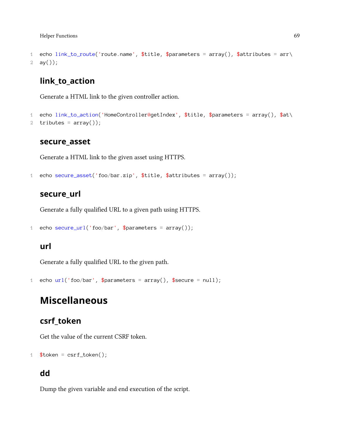```
1 echo link_to_route('route.name', $title, $parameters = array(), $attributes = arr\
2 ay();
```
### **link\_to\_action**

Generate a HTML link to the given controller action.

```
1 echo link_to_action('HomeController@getIndex', $title, $parameters = array(), $at\
2 tributes = array();
```
#### **secure\_asset**

Generate a HTML link to the given asset using HTTPS.

```
1 echo secure_asset('foo/bar.zip', $title, $attributes = array());
```
### **secure\_url**

Generate a fully qualified URL to a given path using HTTPS.

```
1 echo secure_url('foo/bar', $parameters = array());
```
#### **url**

Generate a fully qualified URL to the given path.

```
1 echo url('foo/bar', $parameters = array(), $secure = null;
```
## **Miscellaneous**

### **csrf\_token**

Get the value of the current CSRF token.

```
1 $token = csrf\_token();
```
### **dd**

Dump the given variable and end execution of the script.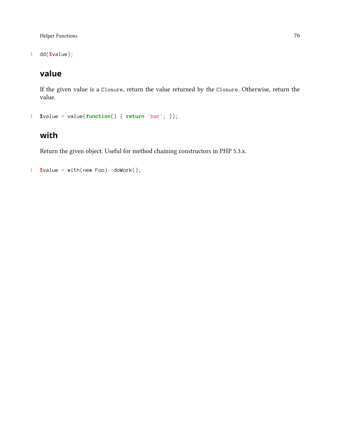1 dd(\$value);

## **value**

If the given value is a Closure, return the value returned by the Closure. Otherwise, return the value.

```
1 $value = value(function() { return 'bar'; });
```
### **with**

Return the given object. Useful for method chaining constructors in PHP 5.3.x.

```
1 $value = with(new Foo)->doWork();
```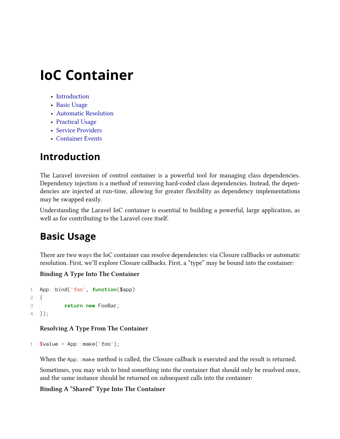- [Introduction](#page-80-0)
- [Basic Usage](#page-80-1)
- [Automatic Resolution](#page-81-0)
- [Practical Usage](#page-62-0)
- [Service Providers](#page-83-0)
- [Container Events](#page-84-0)

## <span id="page-80-0"></span>**Introduction**

The Laravel inversion of control container is a powerful tool for managing class dependencies. Dependency injection is a method of removing hard-coded class dependencies. Instead, the dependencies are injected at run-time, allowing for greater flexibility as dependency implementations may be swapped easily.

Understanding the Laravel IoC container is essential to building a powerful, large application, as well as for contributing to the Laravel core itself.

## <span id="page-80-1"></span>**Basic Usage**

There are two ways the IoC container can resolve dependencies: via Closure callbacks or automatic resolution. First, we'll explore Closure callbacks. First, a "type" may be bound into the container:

### **Binding A Type Into The Container**

```
1 App::bind('foo', function($app)
2 {
3 return new FooBar;
4 });
```
#### **Resolving A Type From The Container**

```
1 $value = App::make('foo');
```
When the App: : make method is called, the Closure callback is executed and the result is returned.

Sometimes, you may wish to bind something into the container that should only be resolved once, and the same instance should be returned on subsequent calls into the container:

#### **Binding A "Shared" Type Into The Container**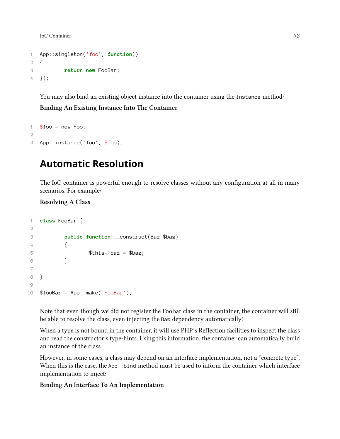```
1 App::singleton('foo', function()
2 {
3 return new FooBar;
4 });
```
You may also bind an existing object instance into the container using the instance method:

**Binding An Existing Instance Into The Container**

```
1 $foo = new Foo;
2
3 App::instance('foo', $foo);
```
## <span id="page-81-0"></span>**Automatic Resolution**

The IoC container is powerful enough to resolve classes without any configuration at all in many scenarios. For example:

**Resolving A Class**

```
1 class FooBar {
2
3 public function __construct(Baz $baz)
4 {
5 $this->baz = $baz;
6 }
7
8 }
9
10 $fooBar = App::make('FooBar');
```
Note that even though we did not register the FooBar class in the container, the container will still be able to resolve the class, even injecting the Baz dependency automatically!

When a type is not bound in the container, it will use PHP's Reflection facilities to inspect the class and read the constructor's type-hints. Using this information, the container can automatically build an instance of the class.

However, in some cases, a class may depend on an interface implementation, not a "concrete type". When this is the case, the App::bind method must be used to inform the container which interface implementation to inject:

#### **Binding An Interface To An Implementation**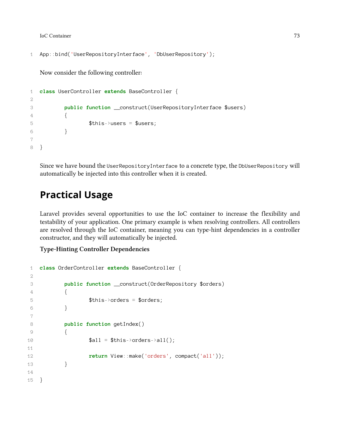```
1 App::bind('UserRepositoryInterface', 'DbUserRepository');
```
Now consider the following controller:

```
1 class UserController extends BaseController {
2
3 public function __construct(UserRepositoryInterface $users)
4 {
5 $this->users = $users;
6 }
7
8 }
```
Since we have bound the UserRepositoryInterface to a concrete type, the DbUserRepository will automatically be injected into this controller when it is created.

## **Practical Usage**

Laravel provides several opportunities to use the IoC container to increase the flexibility and testability of your application. One primary example is when resolving controllers. All controllers are resolved through the IoC container, meaning you can type-hint dependencies in a controller constructor, and they will automatically be injected.

**Type-Hinting Controller Dependencies**

```
1 class OrderController extends BaseController {
2
3 public function __construct(OrderRepository $orders)
4 {
5 $this->orders = $orders;
6 }
7
8 public function getIndex()
9 {
10 $all = $this->orders->all();
11
12 return View::make('orders', compact('all'));
13 }
14
15 }
```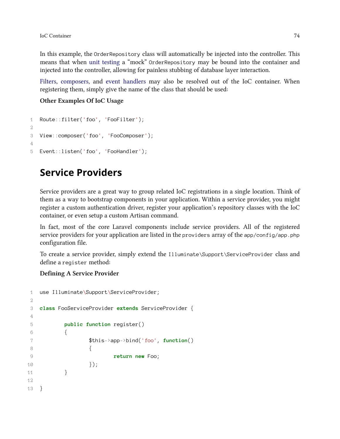In this example, the OrderRepository class will automatically be injected into the controller. This means that when [unit testing](#page-122-0) a "mock" OrderRepository may be bound into the container and injected into the controller, allowing for painless stubbing of database layer interaction.

[Filters](#page-29-0), [composers](#page-44-0), and [event handlers](#page-59-0) may also be resolved out of the IoC container. When registering them, simply give the name of the class that should be used:

**Other Examples Of IoC Usage**

```
1 Route::filter('foo', 'FooFilter');
2
3 View::composer('foo', 'FooComposer');
4
5 Event::listen('foo', 'FooHandler');
```
## <span id="page-83-0"></span>**Service Providers**

Service providers are a great way to group related IoC registrations in a single location. Think of them as a way to bootstrap components in your application. Within a service provider, you might register a custom authentication driver, register your application's repository classes with the IoC container, or even setup a custom Artisan command.

In fact, most of the core Laravel components include service providers. All of the registered service providers for your application are listed in the providers array of the app/config/app.php configuration file.

To create a service provider, simply extend the Illuminate\Support\ServiceProvider class and define a register method:

#### **Defining A Service Provider**

```
1 use Illuminate\Support\ServiceProvider;
2
3 class FooServiceProvider extends ServiceProvider {
4
5 public function register()
6 {
7 $this->app->bind('foo', function()
8 {
9 return new Foo;
10 });
11 }
12
13 }
```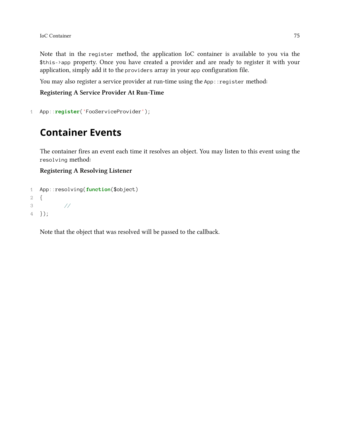Note that in the register method, the application IoC container is available to you via the \$this->app property. Once you have created a provider and are ready to register it with your application, simply add it to the providers array in your app configuration file.

You may also register a service provider at run-time using the App:: register method:

**Registering A Service Provider At Run-Time**

```
1 App::register('FooServiceProvider');
```
## <span id="page-84-0"></span>**Container Events**

The container fires an event each time it resolves an object. You may listen to this event using the resolving method:

#### **Registering A Resolving Listener**

```
1 App::resolving(function($object)
2 {
3 //
4 });
```
Note that the object that was resolved will be passed to the callback.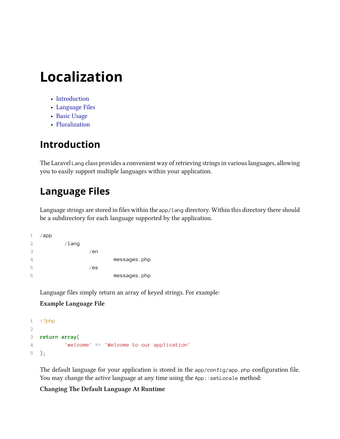# **Localization**

- [Introduction](#page-85-0)
- [Language Files](#page-85-1)
- [Basic Usage](#page-86-0)
- [Pluralization](#page-86-1)

## <span id="page-85-0"></span>**Introduction**

The Laravel Lang class provides a convenient way of retrieving strings in various languages, allowing you to easily support multiple languages within your application.

## <span id="page-85-1"></span>**Language Files**

Language strings are stored in files within the app/lang directory. Within this directory there should be a subdirectory for each language supported by the application.

| 1 | /app |          |     |              |
|---|------|----------|-----|--------------|
| 2 |      | $/$ lang |     |              |
| 3 |      |          | /en |              |
| 4 |      |          |     | messages.php |
| 5 |      |          | /es |              |
| 6 |      |          |     | messages.php |

Language files simply return an array of keyed strings. For example:

#### **Example Language File**

```
1 <?php
2
3 return array(
4 'welcome' => 'Welcome to our application'
5 );
```
The default language for your application is stored in the app/config/app.php configuration file. You may change the active language at any time using the App: : setLocale method:

#### **Changing The Default Language At Runtime**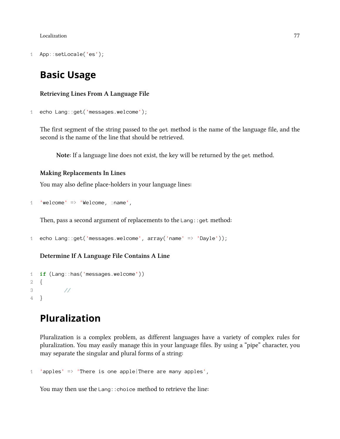Localization 77

1 App::setLocale('es');

### <span id="page-86-0"></span>**Basic Usage**

**Retrieving Lines From A Language File**

```
1 echo Lang::get('messages.welcome');
```
The first segment of the string passed to the get method is the name of the language file, and the second is the name of the line that should be retrieved.

**Note**: If a language line does not exist, the key will be returned by the get method.

#### **Making Replacements In Lines**

You may also define place-holders in your language lines:

```
1 'welcome' => 'Welcome, :name',
```
Then, pass a second argument of replacements to the Lang: : get method:

```
1 echo Lang::get('messages.welcome', array('name' => 'Dayle'));
```
#### **Determine If A Language File Contains A Line**

```
1 if (Lang::has('messages.welcome'))
2 {
3 //
4 }
```
## <span id="page-86-1"></span>**Pluralization**

Pluralization is a complex problem, as different languages have a variety of complex rules for pluralization. You may easily manage this in your language files. By using a "pipe" character, you may separate the singular and plural forms of a string:

```
1 'apples' \Rightarrow 'There is one apple|There are many apples',
```
You may then use the Lang: : choice method to retrieve the line: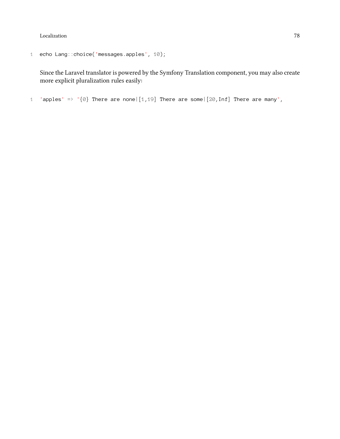Localization 78

```
1 echo Lang::choice('messages.apples', 10);
```
Since the Laravel translator is powered by the Symfony Translation component, you may also create more explicit pluralization rules easily:

1 'apples' => ' $\{0\}$  There are none|[1,19] There are some|[20,Inf] There are many',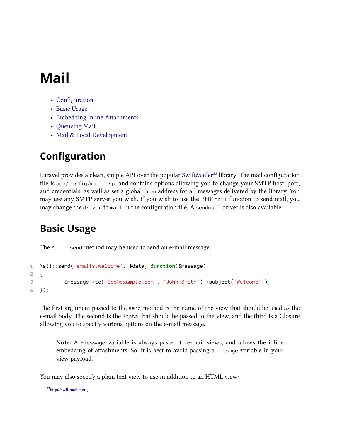# **Mail**

- [Configuration](#page-88-0)
- [Basic Usage](#page-88-1)
- [Embedding Inline Attachments](#page-89-0)
- [Queueing Mail](#page-90-0)
- [Mail & Local Development](#page-90-1)

## <span id="page-88-0"></span>**Configuration**

Laravel provides a clean, simple API over the popular [SwiftMailer](http://swiftmailer.org)<sup>33</sup> library. The mail configuration file is app/config/mail.php, and contains options allowing you to change your SMTP host, port, and credentials, as well as set a global from address for all messages delivered by the library. You may use any SMTP server you wish. If you wish to use the PHP mail function to send mail, you may change the driver to mail in the configuration file. A sendmail driver is also available.

## <span id="page-88-1"></span>**Basic Usage**

The Mail::send method may be used to send an e-mail message:

```
1 Mail::send('emails.welcome', $data, function($message)
2 {
3 $message->to('foo@example.com', 'John Smith')->subject('Welcome!');
4 });
```
The first argument passed to the send method is the name of the view that should be used as the e-mail body. The second is the \$data that should be passed to the view, and the third is a Closure allowing you to specify various options on the e-mail message.

**Note:** A \$message variable is always passed to e-mail views, and allows the inline embedding of attachments. So, it is best to avoid passing a message variable in your view payload.

You may also specify a plain text view to use in addition to an HTML view:

<span id="page-88-2"></span>³³<http://swiftmailer.org>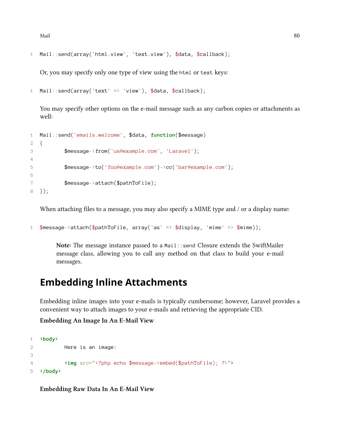$\Delta \text{Mail} \tag{80}$ 

```
1 Mail::send(array('html.view', 'text.view'), $data, $callback);
```
Or, you may specify only one type of view using the html or text keys:

```
1 Mail::send(array('text' => 'view'), $data, $callback);
```
You may specify other options on the e-mail message such as any carbon copies or attachments as well:

```
1 Mail::send('emails.welcome', $data, function($message)
2 {
3 $message->from('us@example.com', 'Laravel');
4
5 $message->to('foo@example.com')->cc('bar@example.com');
6
7 $message->attach($pathToFile);
8 });
```
When attaching files to a message, you may also specify a MIME type and / or a display name:

```
1 $message->attach($pathToFile, array('as' => $display, 'mime' => $mime));
```
**Note:** The message instance passed to a Mail::send Closure extends the SwiftMailer message class, allowing you to call any method on that class to build your e-mail messages.

### <span id="page-89-0"></span>**Embedding Inline Attachments**

Embedding inline images into your e-mails is typically cumbersome; however, Laravel provides a convenient way to attach images to your e-mails and retrieving the appropriate CID.

**Embedding An Image In An E-Mail View**

```
1 <body>
2 Here is an image:
3
4 <img src="<?php echo $message->embed($pathToFile); ?>">
5 </body>
```
**Embedding Raw Data In An E-Mail View**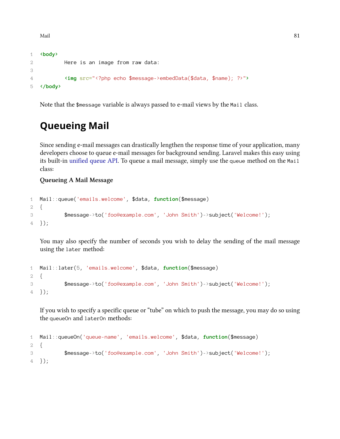Mail 81

```
1 <body>
2 Here is an image from raw data:
3
4 <img src="<?php echo $message->embedData($data, $name); ?>">
5 </body>
```
<span id="page-90-0"></span>Note that the \$message variable is always passed to e-mail views by the Mail class.

## **Queueing Mail**

Since sending e-mail messages can drastically lengthen the response time of your application, many developers choose to queue e-mail messages for background sending. Laravel makes this easy using its built-in [unified queue API.](#page-101-0) To queue a mail message, simply use the queue method on the Mail class:

#### **Queueing A Mail Message**

```
1 Mail::queue('emails.welcome', $data, function($message)
2 {
3 $message->to('foo@example.com', 'John Smith')->subject('Welcome!');
4 });
```
You may also specify the number of seconds you wish to delay the sending of the mail message using the later method:

```
1 Mail::later(5, 'emails.welcome', $data, function($message)
2 {
3 $message->to('foo@example.com', 'John Smith')->subject('Welcome!');
4 });
```
If you wish to specify a specific queue or "tube" on which to push the message, you may do so using the queueOn and laterOn methods:

```
1 Mail::queueOn('queue-name', 'emails.welcome', $data, function($message)
2 {
3 $message->to('foo@example.com', 'John Smith')->subject('Welcome!');
4 });
```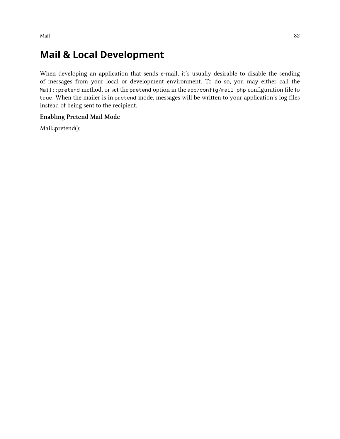Mail and the contract of the contract of the contract of the contract of the contract of the contract of the contract of the contract of the contract of the contract of the contract of the contract of the contract of the c

## **Mail & Local Development**

When developing an application that sends e-mail, it's usually desirable to disable the sending of messages from your local or development environment. To do so, you may either call the Mail::pretend method, or set the pretend option in the app/config/mail.php configuration file to true. When the mailer is in pretend mode, messages will be written to your application's log files instead of being sent to the recipient.

#### **Enabling Pretend Mail Mode**

Mail::pretend();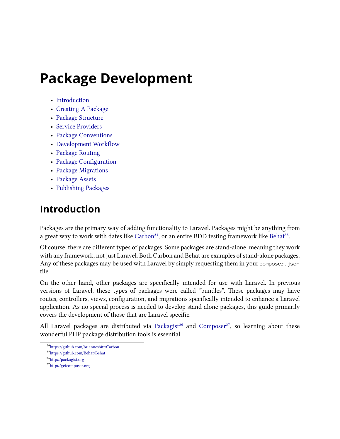# **Package Development**

- [Introduction](#page-92-0)
- [Creating A Package](#page-92-1)
- [Package Structure](#page-93-0)
- [Service Providers](#page-83-0)
- [Package Conventions](#page-94-0)
- [Development Workflow](#page-95-0)
- [Package Routing](#page-95-1)
- [Package Configuration](#page-96-0)
- [Package Migrations](#page-97-0)
- [Package Assets](#page-97-1)
- [Publishing Packages](#page-98-0)

## <span id="page-92-0"></span>**Introduction**

Packages are the primary way of adding functionality to Laravel. Packages might be anything from a great way to work with dates like [Carbon](https://github.com/briannesbitt/Carbon)<sup>34</sup>, or an entire BDD testing framework like [Behat](https://github.com/Behat/Behat)<sup>35</sup>.

Of course, there are different types of packages. Some packages are stand-alone, meaning they work with any framework, not just Laravel. Both Carbon and Behat are examples of stand-alone packages. Any of these packages may be used with Laravel by simply requesting them in your composer. json file.

On the other hand, other packages are specifically intended for use with Laravel. In previous versions of Laravel, these types of packages were called "bundles". These packages may have routes, controllers, views, configuration, and migrations specifically intended to enhance a Laravel application. As no special process is needed to develop stand-alone packages, this guide primarily covers the development of those that are Laravel specific.

All Laravel packages are distributed via [Packagist](http://packagist.org)<sup>36</sup> and [Composer](http://getcomposer.org)<sup>37</sup>, so learning about these wonderful PHP package distribution tools is essential.

<span id="page-92-2"></span><span id="page-92-1"></span>³⁴<https://github.com/briannesbitt/Carbon>

<span id="page-92-3"></span><sup>35</sup><https://github.com/Behat/Behat>

<span id="page-92-4"></span> $\rm ^{36}$ <http://packagist.org>

<span id="page-92-5"></span> $\rm ^{37}$  <http://getcomposer.org>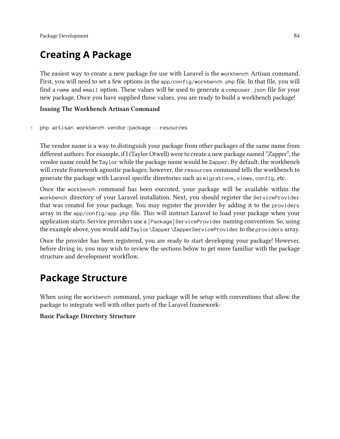## **Creating A Package**

The easiest way to create a new package for use with Laravel is the workbench Artisan command. First, you will need to set a few options in the app/config/workbench.php file. In that file, you will find a name and email option. These values will be used to generate a composer. json file for your new package. Once you have supplied those values, you are ready to build a workbench package!

#### **Issuing The Workbench Artisan Command**

#### 1 php artisan workbench vendor/package --resources

The vendor name is a way to distinguish your package from other packages of the same name from different authors. For example, if I (Taylor Otwell) were to create a new package named "Zapper", the vendor name could be Taylor while the package name would be Zapper. By default, the workbench will create framework agnostic packages; however, the resources command tells the workbench to generate the package with Laravel specific directories such as migrations, views, config, etc.

Once the workbench command has been executed, your package will be available within the workbench directory of your Laravel installation. Next, you should register the ServiceProvider that was created for your package. You may register the provider by adding it to the providers array in the app/config/app.php file. This will instruct Laravel to load your package when your application starts. Service providers use a [Package]ServiceProvider naming convention. So, using the example above, you would add Taylor\Zapper\ZapperServiceProvider to the providers array.

Once the provider has been registered, you are ready to start developing your package! However, before diving in, you may wish to review the sections below to get more familiar with the package structure and development workflow.

## <span id="page-93-0"></span>**Package Structure**

When using the workbench command, your package will be setup with conventions that allow the package to integrate well with other parts of the Laravel framework:

#### **Basic Package Directory Structure**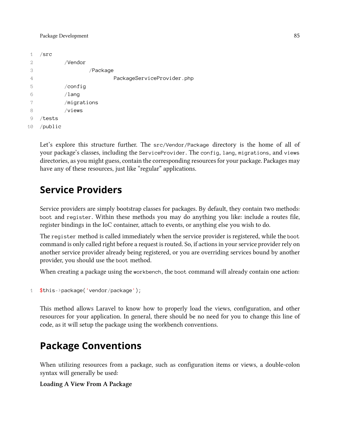```
1 /src
2 /Vendor
3 /Package
4 PackageServiceProvider.php
5 /config
6 /lang
7 /migrations
8 /views
9 /tests
10 /public
```
Let's explore this structure further. The src/Vendor/Package directory is the home of all of your package's classes, including the ServiceProvider. The config, lang, migrations, and views directories, as you might guess, contain the corresponding resources for your package. Packages may have any of these resources, just like "regular" applications.

## **Service Providers**

Service providers are simply bootstrap classes for packages. By default, they contain two methods: boot and register. Within these methods you may do anything you like: include a routes file, register bindings in the IoC container, attach to events, or anything else you wish to do.

The register method is called immediately when the service provider is registered, while the boot command is only called right before a request is routed. So, if actions in your service provider rely on another service provider already being registered, or you are overriding services bound by another provider, you should use the boot method.

When creating a package using the workbench, the boot command will already contain one action:

```
1 $this->package('vendor/package');
```
This method allows Laravel to know how to properly load the views, configuration, and other resources for your application. In general, there should be no need for you to change this line of code, as it will setup the package using the workbench conventions.

## <span id="page-94-0"></span>**Package Conventions**

When utilizing resources from a package, such as configuration items or views, a double-colon syntax will generally be used:

**Loading A View From A Package**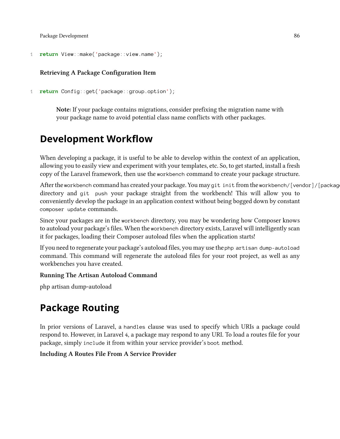Package Development 86

```
1 return View::make('package::view.name');
```
#### **Retrieving A Package Configuration Item**

1 **return** Config::get('package::group.option');

**Note:** If your package contains migrations, consider prefixing the migration name with your package name to avoid potential class name conflicts with other packages.

## <span id="page-95-0"></span>**Development Workflow**

When developing a package, it is useful to be able to develop within the context of an application, allowing you to easily view and experiment with your templates, etc. So, to get started, install a fresh copy of the Laravel framework, then use the workbench command to create your package structure.

After the workbench command has created your package. You may git init from the workbench/[vendor]/[package] directory and git push your package straight from the workbench! This will allow you to conveniently develop the package in an application context without being bogged down by constant composer update commands.

Since your packages are in the workbench directory, you may be wondering how Composer knows to autoload your package's files. When the workbench directory exists, Laravel will intelligently scan it for packages, loading their Composer autoload files when the application starts!

If you need to regenerate your package's autoload files, you may use the php artisan dump-autoload command. This command will regenerate the autoload files for your root project, as well as any workbenches you have created.

#### **Running The Artisan Autoload Command**

<span id="page-95-1"></span>php artisan dump-autoload

## **Package Routing**

In prior versions of Laravel, a handles clause was used to specify which URIs a package could respond to. However, in Laravel 4, a package may respond to any URI. To load a routes file for your package, simply include it from within your service provider's boot method.

#### **Including A Routes File From A Service Provider**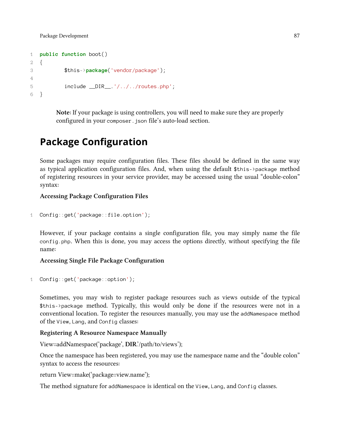Package Development 87

```
1 public function boot()
2 {
3 $this->package('vendor/package');
4
5 include DIR, 1/1.7.7 routes.php';
6 }
```
**Note:** If your package is using controllers, you will need to make sure they are properly configured in your composer.json file's auto-load section.

## <span id="page-96-0"></span>**Package Configuration**

Some packages may require configuration files. These files should be defined in the same way as typical application configuration files. And, when using the default \$this->package method of registering resources in your service provider, may be accessed using the usual "double-colon" syntax:

#### **Accessing Package Configuration Files**

```
1 Config::get('package::file.option');
```
However, if your package contains a single configuration file, you may simply name the file config.php. When this is done, you may access the options directly, without specifying the file name:

#### **Accessing Single File Package Configuration**

```
1 Config::get('package::option');
```
Sometimes, you may wish to register package resources such as views outside of the typical \$this->package method. Typically, this would only be done if the resources were not in a conventional location. To register the resources manually, you may use the addNamespace method of the View, Lang, and Config classes:

#### **Registering A Resource Namespace Manually**

View::addNamespace('package', **DIR**.'/path/to/views');

Once the namespace has been registered, you may use the namespace name and the "double colon" syntax to access the resources:

return View::make('package::view.name');

The method signature for addNamespace is identical on the View, Lang, and Config classes.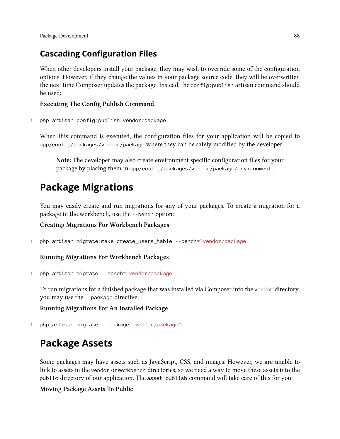## **Cascading Configuration Files**

When other developers install your package, they may wish to override some of the configuration options. However, if they change the values in your package source code, they will be overwritten the next time Composer updates the package. Instead, the config:publish artisan command should be used:

### **Executing The Config Publish Command**

1 php artisan config:publish vendor/package

When this command is executed, the configuration files for your application will be copied to app/config/packages/vendor/package where they can be safely modified by the developer!

**Note:** The developer may also create environment specific configuration files for your package by placing them in app/config/packages/vendor/package/environment.

## <span id="page-97-0"></span>**Package Migrations**

You may easily create and run migrations for any of your packages. To create a migration for a package in the workbench, use the --bench option:

#### **Creating Migrations For Workbench Packages**

1 php artisan migrate:make create\_users\_table --bench="vendor/package"

**Running Migrations For Workbench Packages**

1 php artisan migrate --bench="vendor/package"

To run migrations for a finished package that was installed via Composer into the vendor directory, you may use the --package directive:

**Running Migrations For An Installed Package**

1 php artisan migrate --package="vendor/package"

## <span id="page-97-1"></span>**Package Assets**

Some packages may have assets such as JavaScript, CSS, and images. However, we are unable to link to assets in the vendor or workbench directories, so we need a way to move these assets into the public directory of our application. The asset:publish command will take care of this for you:

### **Moving Package Assets To Public**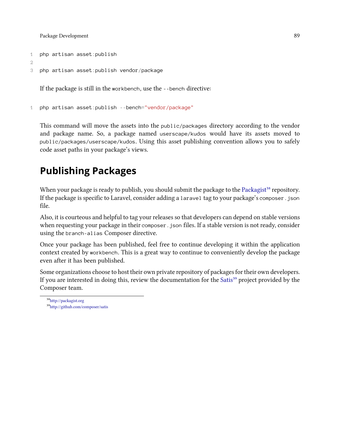Package Development 89

```
1 php artisan asset:publish
```
2

```
3 php artisan asset:publish vendor/package
```
If the package is still in the workbench, use the --bench directive:

1 php artisan asset:publish --bench="vendor/package"

This command will move the assets into the public/packages directory according to the vendor and package name. So, a package named userscape/kudos would have its assets moved to public/packages/userscape/kudos. Using this asset publishing convention allows you to safely code asset paths in your package's views.

## <span id="page-98-0"></span>**Publishing Packages**

When your package is ready to publish, you should submit the package to the [Packagist](http://packagist.org)<sup>38</sup> repository. If the package is specific to Laravel, consider adding a laravel tag to your package's composer.json file.

Also, it is courteous and helpful to tag your releases so that developers can depend on stable versions when requesting your package in their composer. json files. If a stable version is not ready, consider using the branch-alias Composer directive.

Once your package has been published, feel free to continue developing it within the application context created by workbench. This is a great way to continue to conveniently develop the package even after it has been published.

Some organizations choose to host their own private repository of packages for their own developers. If you are interested in doing this, review the documentation for the [Satis](http://github.com/composer/satis)<sup>39</sup> project provided by the Composer team.

<span id="page-98-1"></span> $\rm ^{38}$  <http://packagist.org>

<span id="page-98-2"></span><sup>39</sup><http://github.com/composer/satis>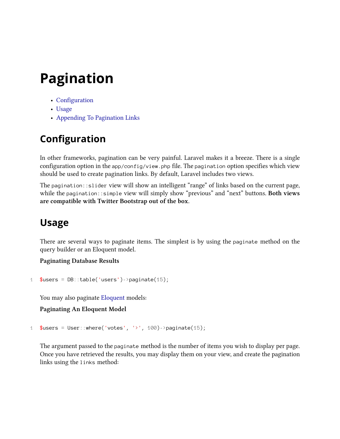# **Pagination**

- [Configuration](#page-99-0)
- [Usage](#page-99-1)
- [Appending To Pagination Links](#page-100-0)

## <span id="page-99-0"></span>**Configuration**

In other frameworks, pagination can be very painful. Laravel makes it a breeze. There is a single configuration option in the app/config/view.php file. The pagination option specifies which view should be used to create pagination links. By default, Laravel includes two views.

The pagination::slider view will show an intelligent "range" of links based on the current page, while the pagination::simple view will simply show "previous" and "next" buttons. **Both views are compatible with Twitter Bootstrap out of the box.**

## <span id="page-99-1"></span>**Usage**

There are several ways to paginate items. The simplest is by using the paginate method on the query builder or an Eloquent model.

**Paginating Database Results**

```
1 $users = DB::table('users')->paginate(15);
```
You may also paginate [Eloquent](#page-149-0) models:

**Paginating An Eloquent Model**

1 \$users = User::where('votes', '>', 100)->paginate(15);

The argument passed to the paginate method is the number of items you wish to display per page. Once you have retrieved the results, you may display them on your view, and create the pagination links using the links method: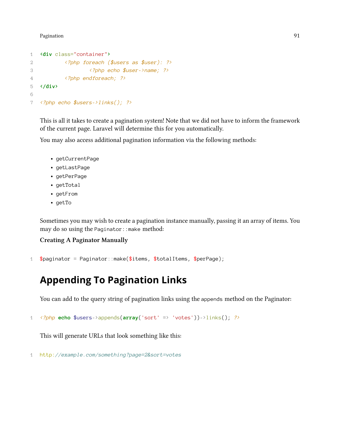Pagination **91** 

```
1 <div class="container">
2 <?php foreach ($users as $user): ?>
3 <?php echo $user->name; ?>
4 <?php endforeach; ?>
5 </div>
6
7 <?php echo $users->links(); ?>
```
This is all it takes to create a pagination system! Note that we did not have to inform the framework of the current page. Laravel will determine this for you automatically.

You may also access additional pagination information via the following methods:

- getCurrentPage
- getLastPage
- getPerPage
- getTotal
- getFrom
- getTo

Sometimes you may wish to create a pagination instance manually, passing it an array of items. You may do so using the Paginator: : make method:

#### **Creating A Paginator Manually**

```
1 $paginator = Paginator::make($items, $totalItems, $perPage);
```
## <span id="page-100-0"></span>**Appending To Pagination Links**

You can add to the query string of pagination links using the appends method on the Paginator:

```
1 <?php echo $users->appends(array('sort' => 'votes'))->links(); ?>
```
This will generate URLs that look something like this:

```
1 http://example.com/something?page=2&sort=votes
```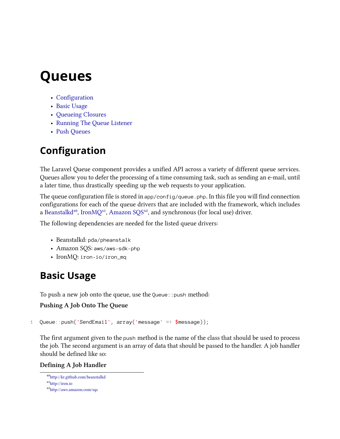- <span id="page-101-0"></span>• [Configuration](#page-101-1)
- [Basic Usage](#page-101-2)
- [Queueing Closures](#page-103-0)
- [Running The Queue Listener](#page-103-1)
- [Push Queues](#page-104-0)

## <span id="page-101-1"></span>**Configuration**

The Laravel Queue component provides a unified API across a variety of different queue services. Queues allow you to defer the processing of a time consuming task, such as sending an e-mail, until a later time, thus drastically speeding up the web requests to your application.

The queue configuration file is stored in  $app/config/queue$ . In this file you will find connection configurations for each of the queue drivers that are included with the framework, which includes a [Beanstalkd](http://kr.github.com/beanstalkd)<sup>40</sup>, [IronMQ](http://iron.io)<sup>41</sup>, [Amazon SQS](http://aws.amazon.com/sqs)<sup>42</sup>, and synchronous (for local use) driver.

The following dependencies are needed for the listed queue drivers:

- Beanstalkd: pda/pheanstalk
- Amazon SQS: aws/aws-sdk-php
- IronMQ: iron-io/iron\_mq

## <span id="page-101-2"></span>**Basic Usage**

To push a new job onto the queue, use the Queue: : push method:

#### **Pushing A Job Onto The Queue**

```
1 Queue::push('SendEmail', array('message' => $message));
```
The first argument given to the push method is the name of the class that should be used to process the job. The second argument is an array of data that should be passed to the handler. A job handler should be defined like so:

#### **Defining A Job Handler**

<span id="page-101-3"></span>⁴⁰<http://kr.github.com/beanstalkd>

<span id="page-101-4"></span><sup>&</sup>lt;sup>41</sup><http://iron.io>

<span id="page-101-5"></span>⁴²<http://aws.amazon.com/sqs>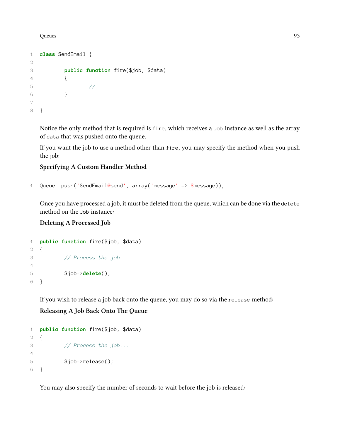```
1 class SendEmail {
2
3 public function fire($job, $data)
4 {
5 //
6 }
7
8 }
```
Notice the only method that is required is fire, which receives a Job instance as well as the array of data that was pushed onto the queue.

If you want the job to use a method other than fire, you may specify the method when you push the job:

#### **Specifying A Custom Handler Method**

```
1 Queue::push('SendEmail@send', array('message' => $message));
```
Once you have processed a job, it must be deleted from the queue, which can be done via the delete method on the Job instance:

#### **Deleting A Processed Job**

```
1 public function fire($job, $data)
2 {
3 // Process the job...
4
5 $job->delete();
6 }
```
If you wish to release a job back onto the queue, you may do so via the release method: **Releasing A Job Back Onto The Queue**

```
1 public function fire($job, $data)
2 {
3 // Process the job...
4
5 $job->release();
6 }
```
You may also specify the number of seconds to wait before the job is released: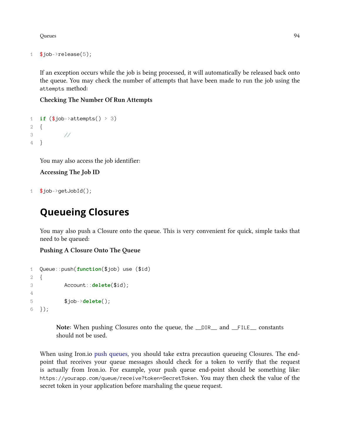```
1 $job->release(5);
```
If an exception occurs while the job is being processed, it will automatically be released back onto the queue. You may check the number of attempts that have been made to run the job using the attempts method:

#### **Checking The Number Of Run Attempts**

```
1 if ($job->attempts() > 3)
2 {
3 //
4 }
```
You may also access the job identifier:

```
Accessing The Job ID
```
 $1$  \$job->getJobId();

## <span id="page-103-0"></span>**Queueing Closures**

You may also push a Closure onto the queue. This is very convenient for quick, simple tasks that need to be queued:

**Pushing A Closure Onto The Queue**

```
1 Queue::push(function($job) use ($id)
2 {
3 Account::delete($id);
4
5 $job->delete();
6 });
```
**Note:** When pushing Closures onto the queue, the \_\_DIR\_\_ and \_\_FILE\_\_ constants should not be used.

<span id="page-103-1"></span>When using Iron.io [push queues,](#page-104-0) you should take extra precaution queueing Closures. The endpoint that receives your queue messages should check for a token to verify that the request is actually from Iron.io. For example, your push queue end-point should be something like: https://yourapp.com/queue/receive?token=SecretToken. You may then check the value of the secret token in your application before marshaling the queue request.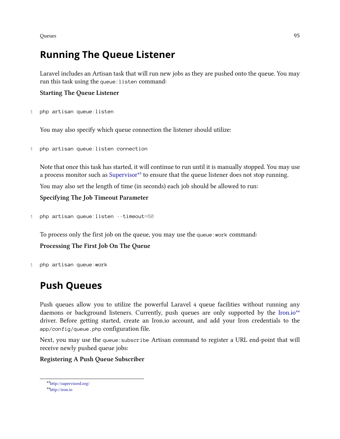## **Running The Queue Listener**

Laravel includes an Artisan task that will run new jobs as they are pushed onto the queue. You may run this task using the queue:listen command:

#### **Starting The Queue Listener**

```
1 php artisan queue:listen
```
You may also specify which queue connection the listener should utilize:

```
1 php artisan queue:listen connection
```
Note that once this task has started, it will continue to run until it is manually stopped. You may use a process monitor such as [Supervisor](http://supervisord.org/)<sup>43</sup> to ensure that the queue listener does not stop running.

You may also set the length of time (in seconds) each job should be allowed to run:

**Specifying The Job Timeout Parameter**

```
1 php artisan queue:listen --timeout=60
```
To process only the first job on the queue, you may use the queue:work command: **Processing The First Job On The Queue**

1 php artisan queue:work

## <span id="page-104-0"></span>**Push Queues**

Push queues allow you to utilize the powerful Laravel 4 queue facilities without running any daemons or background listeners. Currently, push queues are only supported by the [Iron.io](http://iron.io)<sup>44</sup> driver. Before getting started, create an Iron.io account, and add your Iron credentials to the app/config/queue.php configuration file.

Next, you may use the queue:subscribe Artisan command to register a URL end-point that will receive newly pushed queue jobs:

#### **Registering A Push Queue Subscriber**

<span id="page-104-1"></span>⁴³<http://supervisord.org/>

<span id="page-104-2"></span>⁴⁴<http://iron.io>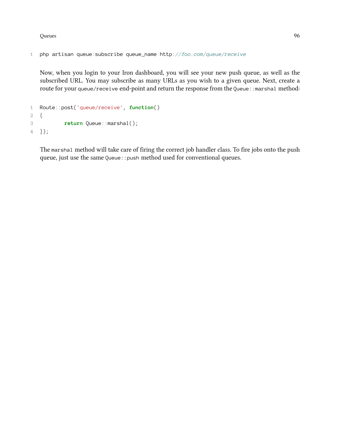```
1 php artisan queue:subscribe queue_name http://foo.com/queue/receive
```
Now, when you login to your Iron dashboard, you will see your new push queue, as well as the subscribed URL. You may subscribe as many URLs as you wish to a given queue. Next, create a route for your queue/receive end-point and return the response from the Queue: : marshal method:

```
1 Route::post('queue/receive', function()
2 {
3 return Queue::marshal();
4 });
```
The marshal method will take care of firing the correct job handler class. To fire jobs onto the push queue, just use the same Queue:: push method used for conventional queues.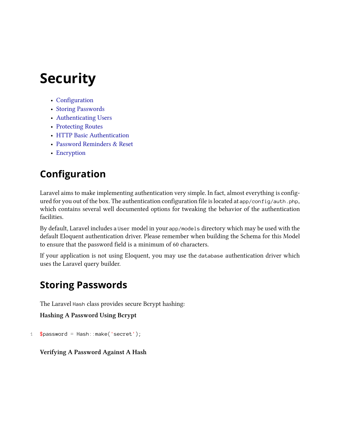# **Security**

- [Configuration](#page-106-0)
- [Storing Passwords](#page-106-1)
- [Authenticating Users](#page-107-0)
- [Protecting Routes](#page-109-0)
- [HTTP Basic Authentication](#page-109-1)
- [Password Reminders & Reset](#page-110-0)
- [Encryption](#page-113-0)

## <span id="page-106-0"></span>**Configuration**

Laravel aims to make implementing authentication very simple. In fact, almost everything is configured for you out of the box. The authentication configuration file is located at app/config/auth.php, which contains several well documented options for tweaking the behavior of the authentication facilities.

By default, Laravel includes a User model in your app/models directory which may be used with the default Eloquent authentication driver. Please remember when building the Schema for this Model to ensure that the password field is a minimum of 60 characters.

If your application is not using Eloquent, you may use the database authentication driver which uses the Laravel query builder.

## <span id="page-106-1"></span>**Storing Passwords**

The Laravel Hash class provides secure Bcrypt hashing:

**Hashing A Password Using Bcrypt**

```
1 $password = Hash::make('secret');
```
### **Verifying A Password Against A Hash**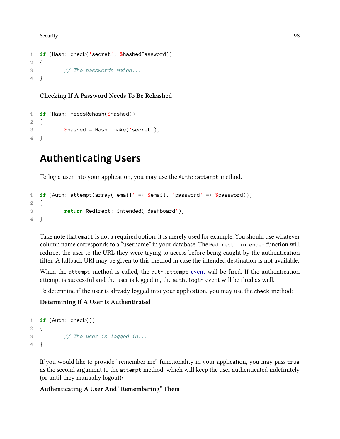Security and the security of the Security of the Security of the Security of the Security of the Security of the Security of the Security of the Security of the Security of the Security of the Security of the Security of t

```
1 if (Hash::check('secret', $hashedPassword))
2 {
3 // The passwords match...
4 }
```
#### **Checking If A Password Needs To Be Rehashed**

```
1 if (Hash::needsRehash($hashed))
2 {
3 $hashed = Hash::make('secret');
4 }
```
## <span id="page-107-0"></span>**Authenticating Users**

To log a user into your application, you may use the Auth::attempt method.

```
1 if (Auth::attempt(array('email' => $email, 'password' => $password)))
2 {
3 return Redirect::intended('dashboard');
4 }
```
Take note that email is not a required option, it is merely used for example. You should use whatever column name corresponds to a "username" in your database. The Redirect::intended function will redirect the user to the URL they were trying to access before being caught by the authentication filter. A fallback URI may be given to this method in case the intended destination is not available.

When the attempt method is called, the auth attempt [event](#page-58-0) will be fired. If the authentication attempt is successful and the user is logged in, the auth.login event will be fired as well.

To determine if the user is already logged into your application, you may use the check method:

#### **Determining If A User Is Authenticated**

```
1 if (Auth::check())
2 {
3 // The user is logged in...
4 }
```
If you would like to provide "remember me" functionality in your application, you may pass true as the second argument to the attempt method, which will keep the user authenticated indefinitely (or until they manually logout):

#### **Authenticating A User And "Remembering" Them**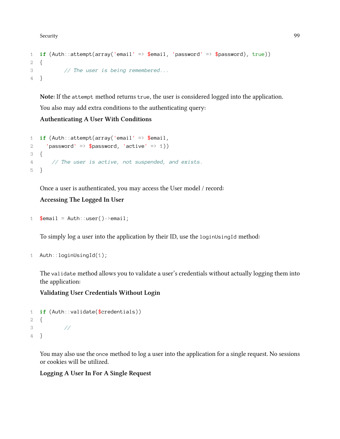Security and the security of the Security of the Security of the Security of the Security of the Security of the Security of the Security of the Security of the Security of the Security of the Security of the Security of t

```
1 if (Auth::attempt(array('email' => $email, 'password' => $password), true))
2 {
3 // The user is being remembered...
4 }
```
**Note:** If the attempt method returns true, the user is considered logged into the application. You also may add extra conditions to the authenticating query:

### **Authenticating A User With Conditions**

```
1 if (Auth::attempt(array('email' => $email,
2 'password' => \text{\$password}, 'active' => 1))
3 {
4 // The user is active, not suspended, and exists.
5 }
```
Once a user is authenticated, you may access the User model / record:

### **Accessing The Logged In User**

```
1 $email = Auth::user()->email;
```
To simply log a user into the application by their ID, use the loginUsingId method:

```
1 Auth::loginUsingId(1);
```
The validate method allows you to validate a user's credentials without actually logging them into the application:

**Validating User Credentials Without Login**

```
1 if (Auth::validate($credentials))
2 {
3 //
4 }
```
You may also use the once method to log a user into the application for a single request. No sessions or cookies will be utilized.

### **Logging A User In For A Single Request**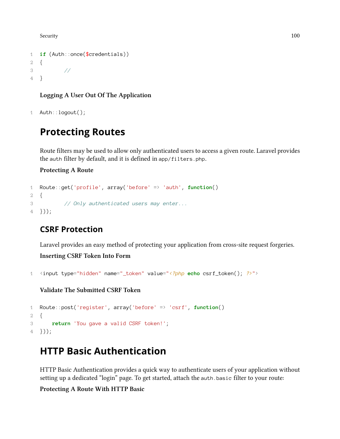Security 100

```
1 if (Auth::once($credentials))
2 {
3 //
4 }
```
### **Logging A User Out Of The Application**

```
1 Auth::logout();
```
# **Protecting Routes**

Route filters may be used to allow only authenticated users to access a given route. Laravel provides the auth filter by default, and it is defined in app/filters.php.

### **Protecting A Route**

```
1 Route::get('profile', array('before' => 'auth', function()
2 {
3 // Only authenticated users may enter...
4 }));
```
### **CSRF Protection**

Laravel provides an easy method of protecting your application from cross-site request forgeries.

### **Inserting CSRF Token Into Form**

```
1 <input type="hidden" name="_token" value="<?php echo csrf_token(); ?>">
```
### **Validate The Submitted CSRF Token**

```
1 Route::post('register', array('before' => 'csrf', function()
2 {
3 return 'You gave a valid CSRF token!';
4 }));
```
# **HTTP Basic Authentication**

HTTP Basic Authentication provides a quick way to authenticate users of your application without setting up a dedicated "login" page. To get started, attach the auth.basic filter to your route:

### **Protecting A Route With HTTP Basic**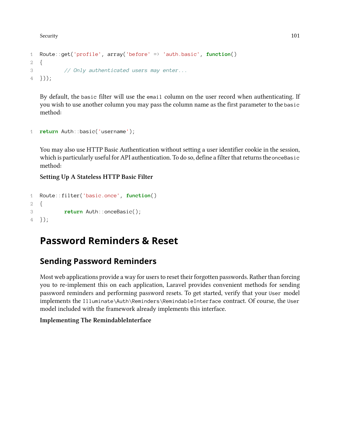Security 101

```
1 Route::get('profile', array('before' => 'auth.basic', function()
2 {
3 // Only authenticated users may enter...
4 }));
```
By default, the basic filter will use the email column on the user record when authenticating. If you wish to use another column you may pass the column name as the first parameter to the basic method:

```
1 return Auth::basic('username');
```
You may also use HTTP Basic Authentication without setting a user identifier cookie in the session, which is particularly useful for API authentication. To do so, define a filter that returns the onceBasic method:

**Setting Up A Stateless HTTP Basic Filter**

```
1 Route::filter('basic.once', function()
2 {
3 return Auth::onceBasic();
4 });
```
# **Password Reminders & Reset**

### **Sending Password Reminders**

Most web applications provide a way for users to reset their forgotten passwords. Rather than forcing you to re-implement this on each application, Laravel provides convenient methods for sending password reminders and performing password resets. To get started, verify that your User model implements the Illuminate\Auth\Reminders\RemindableInterface contract. Of course, the User model included with the framework already implements this interface.

### **Implementing The RemindableInterface**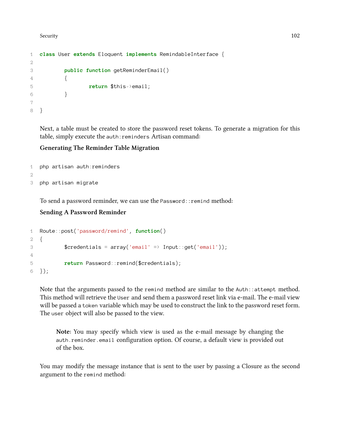```
1 class User extends Eloquent implements RemindableInterface {
2
3 public function getReminderEmail()
4 {
5 return $this->email;
6 }
7
8 }
```
Next, a table must be created to store the password reset tokens. To generate a migration for this table, simply execute the auth:reminders Artisan command:

#### **Generating The Reminder Table Migration**

```
1 php artisan auth:reminders
2
3 php artisan migrate
```
To send a password reminder, we can use the Password::remind method:

#### **Sending A Password Reminder**

```
1 Route::post('password/remind', function()
2 {
3 $credentials = array('email' => Input::get('email'));
4
5 return Password::remind($credentials);
6 });
```
Note that the arguments passed to the remind method are similar to the Auth::attempt method. This method will retrieve the User and send them a password reset link via e-mail. The e-mail view will be passed a token variable which may be used to construct the link to the password reset form. The user object will also be passed to the view.

**Note:** You may specify which view is used as the e-mail message by changing the auth.reminder.email configuration option. Of course, a default view is provided out of the box.

You may modify the message instance that is sent to the user by passing a Closure as the second argument to the remind method: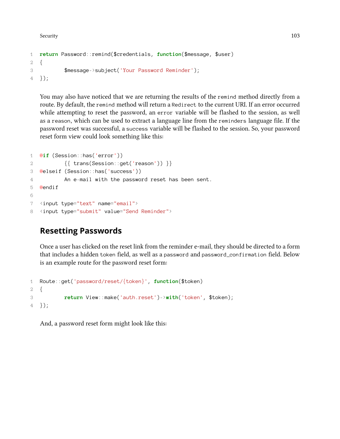Security 103

```
1 return Password::remind($credentials, function($message, $user)
2 {
3 $message->subject('Your Password Reminder');
4 });
```
You may also have noticed that we are returning the results of the remind method directly from a route. By default, the remind method will return a Redirect to the current URI. If an error occurred while attempting to reset the password, an error variable will be flashed to the session, as well as a reason, which can be used to extract a language line from the reminders language file. If the password reset was successful, a success variable will be flashed to the session. So, your password reset form view could look something like this:

```
1 @if (Session::has('error'))
2 {{ trans(Session::get('reason')) }}
3 @elseif (Session::has('success'))
4 An e-mail with the password reset has been sent.
5 @endif
6
7 <input type="text" name="email">
8 <input type="submit" value="Send Reminder">
```
### **Resetting Passwords**

Once a user has clicked on the reset link from the reminder e-mail, they should be directed to a form that includes a hidden token field, as well as a password and password\_confirmation field. Below is an example route for the password reset form:

```
1 Route::get('password/reset/{token}', function($token)
2 {
3 return View::make('auth.reset')->with('token', $token);
4 });
```
And, a password reset form might look like this: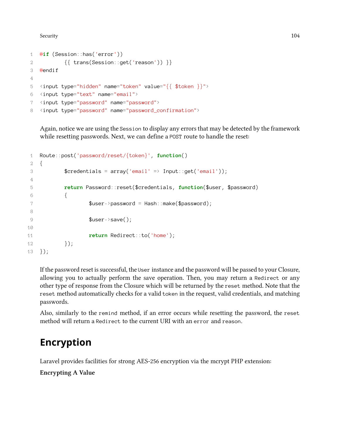Security 104

```
1 @if (Session::has('error'))
2 {{ trans(Session::get('reason')) }}
3 @endif
4
5 <input type="hidden" name="token" value="{{ $token }}">
6 <input type="text" name="email">
7 <input type="password" name="password">
8 <input type="password" name="password_confirmation">
```
Again, notice we are using the Session to display any errors that may be detected by the framework while resetting passwords. Next, we can define a POST route to handle the reset:

```
1 Route::post('password/reset/{token}', function()
2 {
3 $credentials = array('email' => Input::get('email'));
4
5 return Password::reset($credentials, function($user, $password)
6 {
7 $user->password = Hash::make($password);
8
9 $user->save();
10
11 return Redirect::to('home');
12 });
13 });
```
If the password reset is successful, the User instance and the password will be passed to your Closure, allowing you to actually perform the save operation. Then, you may return a Redirect or any other type of response from the Closure which will be returned by the reset method. Note that the reset method automatically checks for a valid token in the request, valid credentials, and matching passwords.

Also, similarly to the remind method, if an error occurs while resetting the password, the reset method will return a Redirect to the current URI with an error and reason.

# **Encryption**

Laravel provides facilities for strong AES-256 encryption via the mcrypt PHP extension:

**Encrypting A Value**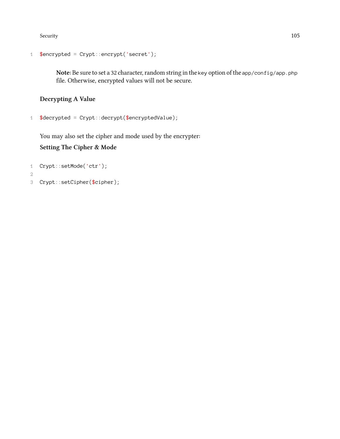Security and the security of the security of the security of the security of the security of the security of the second security of the second security of the second security of the second second second second second secon

```
1 $encrypted = Crypt::encrypt('secret');
```
Note: Be sure to set a 32 character, random string in the key option of the app/config/app.php file. Otherwise, encrypted values will not be secure.

**Decrypting A Value**

```
1 \text{3}decrypted = Crypt::decrypt(\text{3}encryptedValue);
```
You may also set the cipher and mode used by the encrypter:

### **Setting The Cipher & Mode**

```
1 Crypt::setMode('ctr');
```

```
2
```
3 Crypt::setCipher(\$cipher);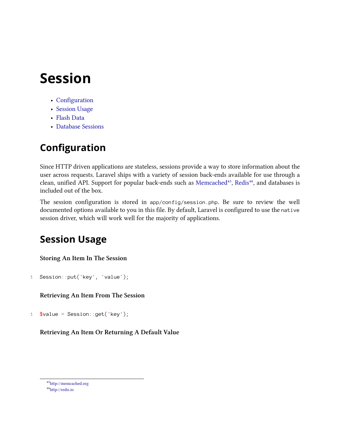# **Session**

- [Configuration](#page-115-0)
- [Session Usage](#page-115-1)
- [Flash Data](#page-116-0)
- [Database Sessions](#page-116-1)

# <span id="page-115-0"></span>**Configuration**

Since HTTP driven applications are stateless, sessions provide a way to store information about the user across requests. Laravel ships with a variety of session back-ends available for use through a clean, unified API. Support for popular back-ends such as [Memcached](http://memcached.org)<sup>45</sup>, [Redis](http://redis.io)<sup>46</sup>, and databases is included out of the box.

The session configuration is stored in app/config/session.php. Be sure to review the well documented options available to you in this file. By default, Laravel is configured to use the native session driver, which will work well for the majority of applications.

# <span id="page-115-1"></span>**Session Usage**

**Storing An Item In The Session**

```
1 Session::put('key', 'value');
```
**Retrieving An Item From The Session**

1  $\text{value} = \text{Session} : \text{get}('key');$ 

**Retrieving An Item Or Returning A Default Value**

<span id="page-115-2"></span>⁴⁵<http://memcached.org>

<span id="page-115-3"></span>⁴⁶<http://redis.io>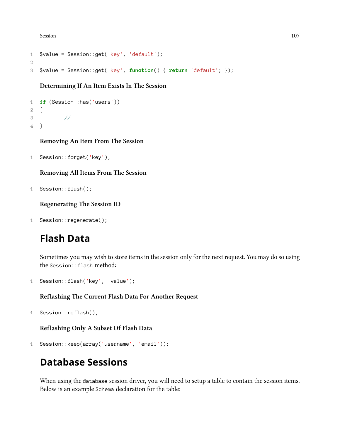Session and the set of the set of the set of the set of the set of the set of the set of the set of the set of the set of the set of the set of the set of the set of the set of the set of the set of the set of the set of t

```
1 $value = Session::get('key', 'default');
2
3 $value = Session::get('key', function() { return 'default'; });
```
**Determining If An Item Exists In The Session**

```
1 if (Session::has('users'))
2 {
3 //
4 }
```
**Removing An Item From The Session**

```
1 Session::forget('key');
```
**Removing All Items From The Session**

```
1 Session::flush();
```
**Regenerating The Session ID**

```
1 Session::regenerate();
```
# <span id="page-116-0"></span>**Flash Data**

Sometimes you may wish to store items in the session only for the next request. You may do so using the Session::flash method:

```
1 Session::flash('key', 'value');
```
#### **Reflashing The Current Flash Data For Another Request**

```
1 Session::reflash();
```
**Reflashing Only A Subset Of Flash Data**

```
1 Session::keep(array('username', 'email'));
```
# <span id="page-116-1"></span>**Database Sessions**

When using the database session driver, you will need to setup a table to contain the session items. Below is an example Schema declaration for the table: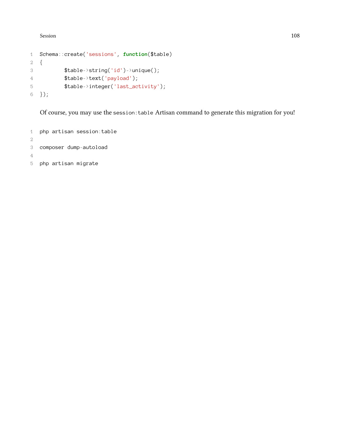Session and the set of the set of the set of the set of the set of the set of the set of the set of the set of the set of the set of the set of the set of the set of the set of the set of the set of the set of the set of t

```
1 Schema::create('sessions', function($table)
2 {
3 $table->string('id')->unique();
4 $table->text('payload');
5 $table->integer('last_activity');
6 });
```
Of course, you may use the session:table Artisan command to generate this migration for you!

 php artisan session:table composer dump-autoload php artisan migrate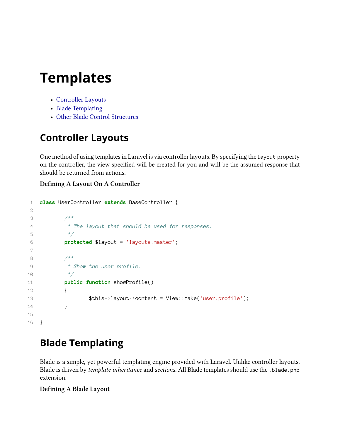- [Controller Layouts](#page-118-0)
- [Blade Templating](#page-118-1)
- [Other Blade Control Structures](#page-119-0)

# <span id="page-118-0"></span>**Controller Layouts**

One method of using templates in Laravel is via controller layouts. By specifying the layout property on the controller, the view specified will be created for you and will be the assumed response that should be returned from actions.

### **Defining A Layout On A Controller**

```
1 class UserController extends BaseController {
2
3 /**
4 * The layout that should be used for responses.
5 */
6 protected $layout = 'layouts.master';
7
8 /**
9 * Show the user profile.
10 */
11 public function showProfile()
12 {
13 $this->layout->content = View::make('user.profile');
14 }
15
16 }
```
# <span id="page-118-1"></span>**Blade Templating**

Blade is a simple, yet powerful templating engine provided with Laravel. Unlike controller layouts, Blade is driven by *template inheritance* and *sections*. All Blade templates should use the .blade.php extension.

### **Defining A Blade Layout**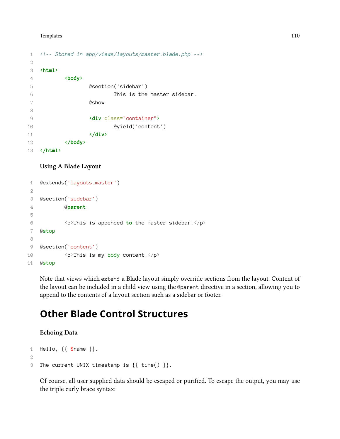```
1 <!-- Stored in app/views/layouts/master.blade.php -->
2
3 <html>
4 <body>
5 @section('sidebar')
6 This is the master sidebar.
7 @show
8
9 <div class="container">
10 @yield('content')
11 </div>
12 </body>
13 </html>
```
#### **Using A Blade Layout**

```
1 @extends('layouts.master')
2
3 @section('sidebar')
4 @parent
5
6 <p>This is appended to the master sidebar.</p>
7 @stop
8
9 @section('content')
10 <p>This is my body content.</p>
11 @stop
```
Note that views which extend a Blade layout simply override sections from the layout. Content of the layout can be included in a child view using the @parent directive in a section, allowing you to append to the contents of a layout section such as a sidebar or footer.

# <span id="page-119-0"></span>**Other Blade Control Structures**

#### **Echoing Data**

```
1 Hello, \{ \, \text{\$name$}\, \}.
2
3 The current UNIX timestamp is {{ time() }}.
```
Of course, all user supplied data should be escaped or purified. To escape the output, you may use the triple curly brace syntax: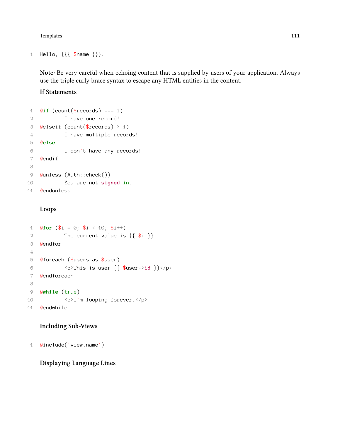```
1 Hello, {{{ $name }}}.
```
**Note:** Be very careful when echoing content that is supplied by users of your application. Always use the triple curly brace syntax to escape any HTML entities in the content.

**If Statements**

```
1 @if (count($records) === 1)
2 I have one record!
3 @elseif (count($records) > 1)
4 I have multiple records!
5 @else
6 I don't have any records!
7 @endif
8
9 @unless (Auth::check())
10 You are not signed in.
11 @endunless
```
#### **Loops**

```
1 @for (\$i = \emptyset; \$i \ \leq 1\emptyset; \$i++)2 The current value is \{\{\$i\}\}3 @endfor
4
5 @foreach ($users as $user)
6 <p>This is user {{ $user->id }}</p>
7 @endforeach
8
9 @while (true)
10 <p>I'm looping forever.</p>
11 @endwhile
```
#### **Including Sub-Views**

@include('view.name')

**Displaying Language Lines**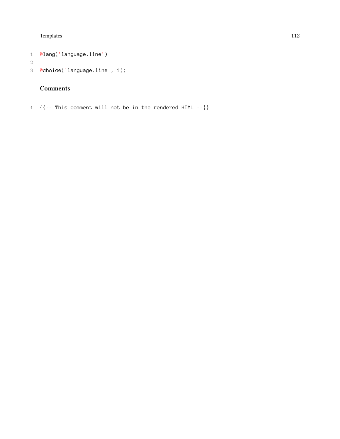```
1 @lang('language.line')
```

```
3 @choice('language.line', 1);
```
### **Comments**

{{-- This comment will not be in the rendered HTML --}}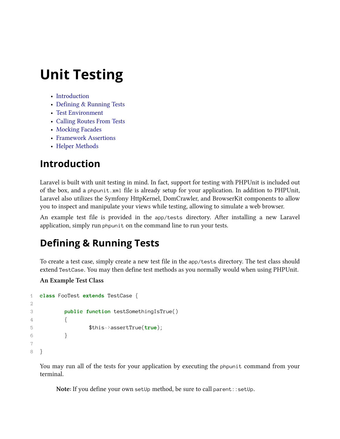# **Unit Testing**

- [Introduction](#page-122-0)
- [Defining & Running Tests](#page-122-1)
- [Test Environment](#page-122-2)
- [Calling Routes From Tests](#page-123-0)
- [Mocking Facades](#page-64-0)
- [Framework Assertions](#page-124-0)
- [Helper Methods](#page-125-0)

# <span id="page-122-0"></span>**Introduction**

Laravel is built with unit testing in mind. In fact, support for testing with PHPUnit is included out of the box, and a phpunit.xml file is already setup for your application. In addition to PHPUnit, Laravel also utilizes the Symfony HttpKernel, DomCrawler, and BrowserKit components to allow you to inspect and manipulate your views while testing, allowing to simulate a web browser.

An example test file is provided in the app/tests directory. After installing a new Laravel application, simply run phpunit on the command line to run your tests.

# <span id="page-122-1"></span>**Defining & Running Tests**

To create a test case, simply create a new test file in the app/tests directory. The test class should extend TestCase. You may then define test methods as you normally would when using PHPUnit.

### **An Example Test Class**

```
1 class FooTest extends TestCase {
2
3 public function testSomethingIsTrue()
4 {
5 $this->assertTrue(true);
6 }
7
8 }
```
You may run all of the tests for your application by executing the phpunit command from your terminal.

<span id="page-122-2"></span>Note: If you define your own setUp method, be sure to call parent: : setUp.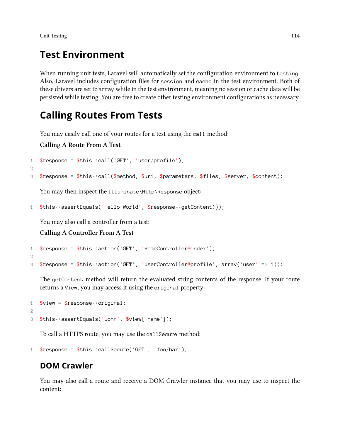Unit Testing 114

# **Test Environment**

When running unit tests, Laravel will automatically set the configuration environment to testing. Also, Laravel includes configuration files for session and cache in the test environment. Both of these drivers are set to array while in the test environment, meaning no session or cache data will be persisted while testing. You are free to create other testing environment configurations as necessary.

# <span id="page-123-0"></span>**Calling Routes From Tests**

You may easily call one of your routes for a test using the call method:

**Calling A Route From A Test**

```
1 $response = $this > call('GET', 'user/profile');
2^{\circ}3 $response = $this->call($method, $uri, $parameters, $files, $server, $content);
```
You may then inspect the Illuminate\Http\Response object:

```
1 $this->assertEquals('Hello World', $response->getContent());
```
You may also call a controller from a test:

### **Calling A Controller From A Test**

```
1 $response = $this action('GET', 'HomeController@index');
2
3 $response = $this->action('GET', 'UserController@profile', array('user' => 1));
```
The getContent method will return the evaluated string contents of the response. If your route returns a View, you may access it using the original property:

```
1 $view = $response -\{original\}2
3 $this->assertEquals('John', $view['name']);
```
To call a HTTPS route, you may use the callSecure method:

```
1 $response = $this - \text{callSecure('GET', 'foo/bar');}
```
### **DOM Crawler**

You may also call a route and receive a DOM Crawler instance that you may use to inspect the content: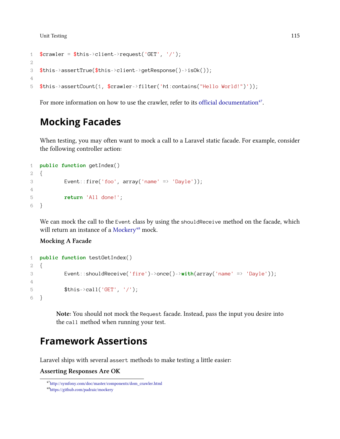Unit Testing 2016 2017 115

```
1 $crawler = $this->client->request('GET', '/');2
3 $this->assertTrue($this->client->getResponse()->isOk());
4
5 $this->assertCount(1, $crawler->filter('h1:contains("Hello World!")'));
```
For more information on how to use the crawler, refer to its [official documentation](http://symfony.com/doc/master/components/dom_crawler.html)<sup>47</sup>.

# **Mocking Facades**

When testing, you may often want to mock a call to a Laravel static facade. For example, consider the following controller action:

```
1 public function getIndex()
2 {
3 Event::fire('foo', array('name' => 'Dayle'));
4
5 return 'All done!';
6 }
```
We can mock the call to the Event class by using the shouldReceive method on the facade, which will return an instance of a [Mockery](https://github.com/padraic/mockery)<sup>48</sup> mock.

#### **Mocking A Facade**

```
1 public function testGetIndex()
2 {
3 Event::shouldReceive('fire')->once()->with(array('name' => 'Dayle'));
4
5 $this ->call('GET', '/');
6 }
```
**Note:** You should not mock the Request facade. Instead, pass the input you desire into the call method when running your test.

# <span id="page-124-0"></span>**Framework Assertions**

Laravel ships with several assert methods to make testing a little easier:

**Asserting Responses Are OK**

<span id="page-124-1"></span>⁴⁷[http://symfony.com/doc/master/components/dom\\_crawler.html](http://symfony.com/doc/master/components/dom_crawler.html)

<span id="page-124-2"></span>⁴⁸<https://github.com/padraic/mockery>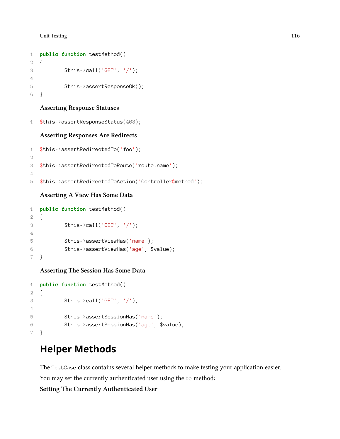#### Unit Testing 2016 2017 116

```
1 public function testMethod()
2 {
3 $this \text{This} \text{call('GET'}, '');
4
5 $this->assertResponseOk();
6 }
```
#### **Asserting Response Statuses**

```
1 $this->assertResponseStatus(403);
```
#### **Asserting Responses Are Redirects**

```
1 $this->assertRedirectedTo('foo');
2
3 $this->assertRedirectedToRoute('route.name');
4
5 $this->assertRedirectedToAction('Controller@method');
```
### **Asserting A View Has Some Data**

```
1 public function testMethod()
2 {
3 $this ->call('GET', '/');
4
5 $this->assertViewHas('name');
6 $this->assertViewHas('age', $value);
7 }
```
#### **Asserting The Session Has Some Data**

```
1 public function testMethod()
2 {
3 $this ->call('GET', '/');
4
5 $this->assertSessionHas('name');
6 $this->assertSessionHas('age', $value);
7 }
```
# <span id="page-125-0"></span>**Helper Methods**

The TestCase class contains several helper methods to make testing your application easier.

You may set the currently authenticated user using the be method:

### **Setting The Currently Authenticated User**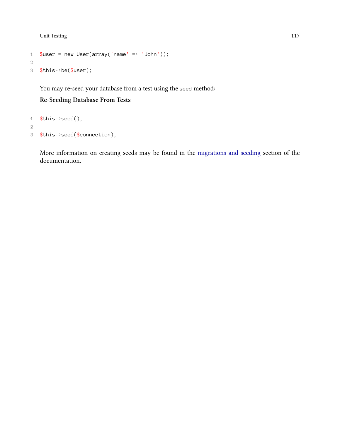Unit Testing 117

```
1 $user = new User(array('name' => 'John'));2
3 $this->be($user);
```
You may re-seed your database from a test using the seed method:

### **Re-Seeding Database From Tests**

```
1 $this->seed();
2
3 $this->seed($connection);
```
More information on creating seeds may be found in the [migrations and seeding](#page-181-0) section of the documentation.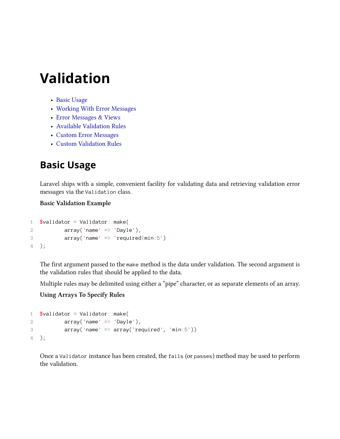# **Validation**

- [Basic Usage](#page-127-0)
- [Working With Error Messages](#page-128-0)
- [Error Messages & Views](#page-129-0)
- [Available Validation Rules](#page-130-0)
- [Custom Error Messages](#page-135-0)
- [Custom Validation Rules](#page-136-0)

# <span id="page-127-0"></span>**Basic Usage**

Laravel ships with a simple, convenient facility for validating data and retrieving validation error messages via the Validation class.

### **Basic Validation Example**

```
1 $validator = Validator::make(
2 array('name' \Rightarrow 'Dayle'),3 array('name' => 'required|min:5')
4 );
```
The first argument passed to the make method is the data under validation. The second argument is the validation rules that should be applied to the data.

Multiple rules may be delimited using either a "pipe" character, or as separate elements of an array.

### **Using Arrays To Specify Rules**

```
1 \text{V}\text{alidator} = \text{Validator}: make(
2 array('name' \Rightarrow 'Dayle'),3 array('name' => array('required', 'min:5'))
4 );
```
Once a Validator instance has been created, the fails (or passes) method may be used to perform the validation.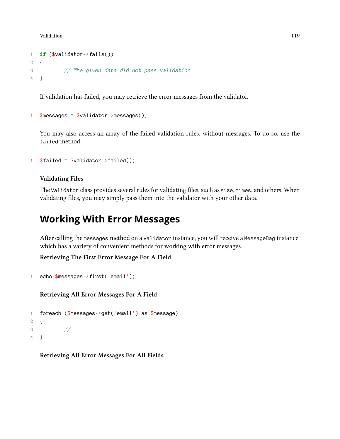```
1 if ($validator->fails())
2 {
3 // The given data did not pass validation
4 }
```
If validation has failed, you may retrieve the error messages from the validator.

```
1 $messages = $validator -\mbox{messages});
```
You may also access an array of the failed validation rules, without messages. To do so, use the failed method:

```
1 $failed = $validator - $failed();
```
### **Validating Files**

The Validator class provides several rules for validating files, such as size, mimes, and others. When validating files, you may simply pass them into the validator with your other data.

# <span id="page-128-0"></span>**Working With Error Messages**

After calling the messages method on a Validator instance, you will receive a MessageBag instance, which has a variety of convenient methods for working with error messages.

**Retrieving The First Error Message For A Field**

```
1 echo $messages->first('email');
```
**Retrieving All Error Messages For A Field**

```
1 foreach ($messages->get('email') as $message)
2 {
3 //
4 }
```
**Retrieving All Error Messages For All Fields**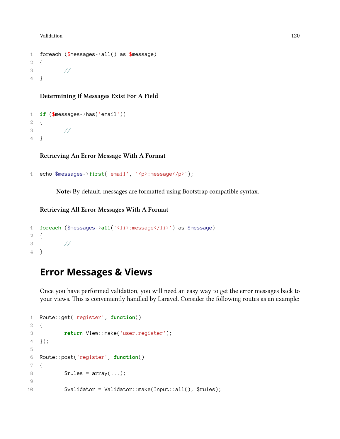```
1 foreach ($messages->all() as $message)
2 {
3 //
4 }
```
**Determining If Messages Exist For A Field**

```
1 if ($messages->has('email'))
2 {
3 //
4 }
```
**Retrieving An Error Message With A Format**

```
1 echo $messages->first('email', '<p>:message</p>');
```
**Note:** By default, messages are formatted using Bootstrap compatible syntax.

#### **Retrieving All Error Messages With A Format**

```
1 foreach ($messages->all('<li>:message</li>') as $message)
2 {
3 //
4 }
```
# <span id="page-129-0"></span>**Error Messages & Views**

Once you have performed validation, you will need an easy way to get the error messages back to your views. This is conveniently handled by Laravel. Consider the following routes as an example:

```
1 Route::get('register', function()
2 {
3 return View::make('user.register');
4 });
5
6 Route::post('register', function()
7 {
8 $rules = array(...);9
10 $validator = Validator::make(Input::all(), $rules);
```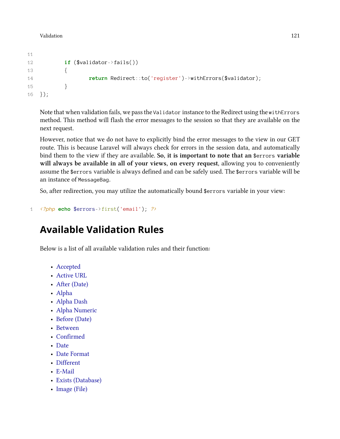```
11
12 if ($validator->fails())
13 {
14 return Redirect::to('register')->withErrors($validator);
15 }
16 });
```
Note that when validation fails, we pass the Validator instance to the Redirect using the withErrors method. This method will flash the error messages to the session so that they are available on the next request.

However, notice that we do not have to explicitly bind the error messages to the view in our GET route. This is because Laravel will always check for errors in the session data, and automatically bind them to the view if they are available. **So, it is important to note that an** \$errors **variable will always be available in all of your views, on every request**, allowing you to conveniently assume the \$errors variable is always defined and can be safely used. The \$errors variable will be an instance of MessageBag.

So, after redirection, you may utilize the automatically bound \$errors variable in your view:

```
1 <?php echo $errors->first('email'); ?>
```
# <span id="page-130-0"></span>**Available Validation Rules**

Below is a list of all available validation rules and their function:

- [Accepted](#page-131-0)
- [Active URL](#page-131-1)
- [After \(Date\)](#page-131-2)
- [Alpha](#page-131-3)
- [Alpha Dash](#page-131-4)
- [Alpha Numeric](#page-131-5)
- [Before \(Date\)](#page-132-0)
- [Between](#page-132-1)
- [Confirmed](#page-132-2)
- [Date](#page-132-3)
- [Date Format](#page-132-4)
- [Different](#page-132-5)
- [E-Mail](#page-132-6)
- [Exists \(Database\)](#page-132-7)
- [Image \(File\)](#page-133-0)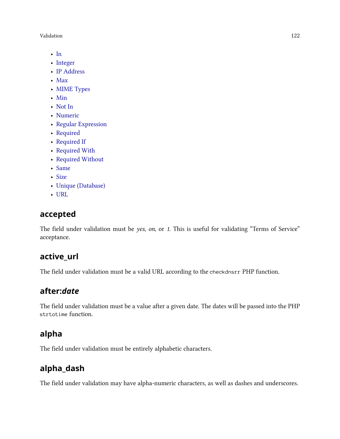Validation 122

- [In](#page-133-1)
- [Integer](#page-133-2)
- [IP Address](#page-133-3)
- [Max](#page-133-4)
- [MIME Types](#page-133-5)
- [Min](#page-133-6)
- [Not In](#page-134-0)
- [Numeric](#page-134-1)
- [Regular Expression](#page-134-2)
- [Required](#page-134-3)
- [Required If](#page-134-4)
- [Required With](#page-134-5)
- [Required Without](#page-134-6)
- [Same](#page-134-7)
- [Size](#page-134-8)
- [Unique \(Database\)](#page-135-1)
- [URL](#page-135-2)

### <span id="page-131-0"></span>**accepted**

The field under validation must be *yes*, *on*, or *1*. This is useful for validating "Terms of Service" acceptance.

### <span id="page-131-1"></span>**active\_url**

<span id="page-131-2"></span>The field under validation must be a valid URL according to the checkdnsrr PHP function.

### **after:***date*

<span id="page-131-3"></span>The field under validation must be a value after a given date. The dates will be passed into the PHP strtotime function.

### **alpha**

<span id="page-131-4"></span>The field under validation must be entirely alphabetic characters.

### **alpha\_dash**

<span id="page-131-5"></span>The field under validation may have alpha-numeric characters, as well as dashes and underscores.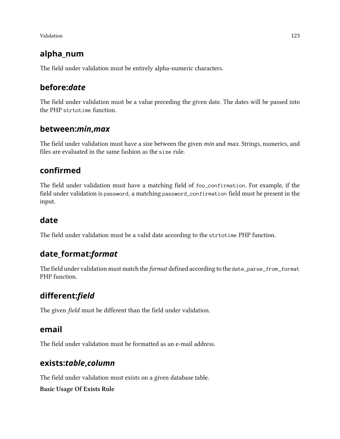### **alpha\_num**

<span id="page-132-0"></span>The field under validation must be entirely alpha-numeric characters.

### **before:***date*

The field under validation must be a value preceding the given date. The dates will be passed into the PHP strtotime function.

### <span id="page-132-1"></span>**between:***min***,***max*

The field under validation must have a size between the given *min* and *max*. Strings, numerics, and files are evaluated in the same fashion as the size rule.

### <span id="page-132-2"></span>**confirmed**

The field under validation must have a matching field of foo\_confirmation. For example, if the field under validation is password, a matching password\_confirmation field must be present in the input.

### <span id="page-132-3"></span>**date**

<span id="page-132-4"></span>The field under validation must be a valid date according to the strtotime PHP function.

# **date\_format:***format*

The field under validation must match the *format* defined according to the date\_parse\_from\_format PHP function.

# <span id="page-132-5"></span>**different:***field*

<span id="page-132-6"></span>The given *field* must be different than the field under validation.

### **email**

<span id="page-132-7"></span>The field under validation must be formatted as an e-mail address.

### **exists:***table***,***column*

The field under validation must exists on a given database table.

**Basic Usage Of Exists Rule**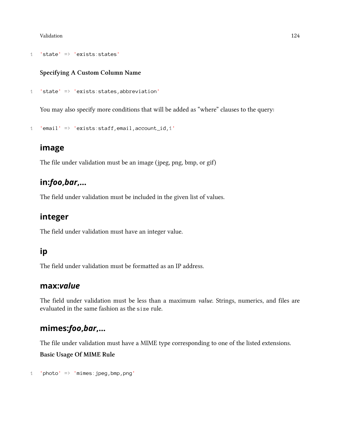```
1 'state' => 'exists:states'
```
### **Specifying A Custom Column Name**

```
1 'state' => 'exists:states,abbreviation'
```
You may also specify more conditions that will be added as "where" clauses to the query:

```
1 'email' => 'exists:staff,email,account_id,1'
```
### <span id="page-133-0"></span>**image**

<span id="page-133-1"></span>The file under validation must be an image (jpeg, png, bmp, or gif)

### **in:***foo***,***bar***,…**

<span id="page-133-2"></span>The field under validation must be included in the given list of values.

### **integer**

<span id="page-133-3"></span>The field under validation must have an integer value.

### **ip**

<span id="page-133-4"></span>The field under validation must be formatted as an IP address.

### **max:***value*

The field under validation must be less than a maximum *value*. Strings, numerics, and files are evaluated in the same fashion as the size rule.

### <span id="page-133-5"></span>**mimes:***foo***,***bar***,…**

The file under validation must have a MIME type corresponding to one of the listed extensions.

**Basic Usage Of MIME Rule**

```
1 'photo' => 'mimes:jpeg,bmp,png'
```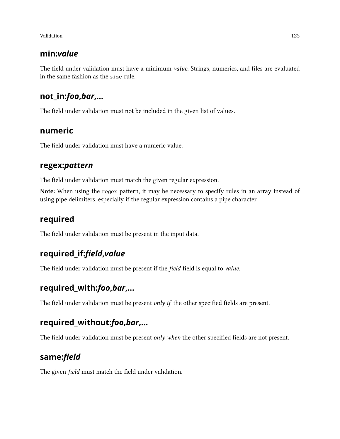### **min:***value*

The field under validation must have a minimum *value*. Strings, numerics, and files are evaluated in the same fashion as the size rule.

### <span id="page-134-0"></span>**not\_in:***foo***,***bar***,…**

<span id="page-134-1"></span>The field under validation must not be included in the given list of values.

### **numeric**

<span id="page-134-2"></span>The field under validation must have a numeric value.

### **regex:***pattern*

The field under validation must match the given regular expression.

**Note:** When using the regex pattern, it may be necessary to specify rules in an array instead of using pipe delimiters, especially if the regular expression contains a pipe character.

### <span id="page-134-3"></span>**required**

<span id="page-134-4"></span>The field under validation must be present in the input data.

### **required\_if:***field***,***value*

<span id="page-134-5"></span>The field under validation must be present if the *field* field is equal to *value*.

### **required\_with:***foo***,***bar***,…**

<span id="page-134-6"></span>The field under validation must be present *only if* the other specified fields are present.

### **required\_without:***foo***,***bar***,…**

<span id="page-134-7"></span>The field under validation must be present *only when* the other specified fields are not present.

### **same:***field*

<span id="page-134-8"></span>The given *field* must match the field under validation.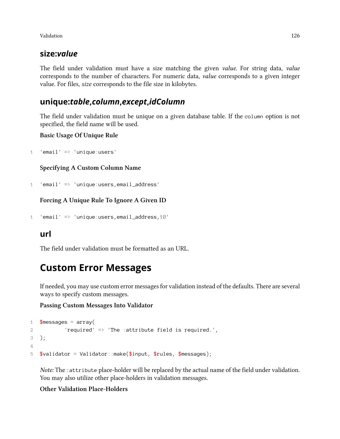### **size:***value*

The field under validation must have a size matching the given *value*. For string data, *value* corresponds to the number of characters. For numeric data, *value* corresponds to a given integer value. For files, *size* corresponds to the file size in kilobytes.

### <span id="page-135-1"></span>**unique:***table***,***column***,***except***,***idColumn*

The field under validation must be unique on a given database table. If the column option is not specified, the field name will be used.

**Basic Usage Of Unique Rule**

1 'email' => 'unique:users'

**Specifying A Custom Column Name**

```
1 'email' => 'unique:users,email_address'
```
**Forcing A Unique Rule To Ignore A Given ID**

1 'email' => 'unique:users,email\_address,10'

### <span id="page-135-2"></span>**url**

<span id="page-135-0"></span>The field under validation must be formatted as an URL.

# **Custom Error Messages**

If needed, you may use custom error messages for validation instead of the defaults. There are several ways to specify custom messages.

### **Passing Custom Messages Into Validator**

```
1 $messages = array(2 ? 'required' => 'The :attribute field is required.',
3 );
4
5 \text{y}validator = Validator::make(\text{y}input, \text{y}rules, \text{y}messages);
```
*Note:* The :attribute place-holder will be replaced by the actual name of the field under validation. You may also utilize other place-holders in validation messages.

### **Other Validation Place-Holders**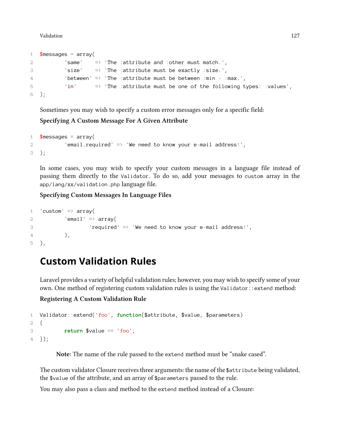Validation 127

```
1 $messages = array(
2 'same' => 'The :attribute and :other must match.',
3 'size' => 'The :attribute must be exactly :size.',
4 'between' => 'The :attribute must be between :min - :max.',
5 'in' => 'The :attribute must be one of the following types: :values',
6 );
```
Sometimes you may wish to specify a custom error messages only for a specific field:

### **Specifying A Custom Message For A Given Attribute**

```
1 \text{Imessages} = \text{array}(2 'email.required' => 'We need to know your e-mail address!',
3 );
```
In some cases, you may wish to specify your custom messages in a language file instead of passing them directly to the Validator. To do so, add your messages to custom array in the app/lang/xx/validation.php language file.

### **Specifying Custom Messages In Language Files**

```
1 'custom' \Rightarrow array(
2 'email' => array(
3 \blacksquare 'required' => 'We need to know your e-mail address!',
\frac{4}{1} ),
5 ),
```
# <span id="page-136-0"></span>**Custom Validation Rules**

Laravel provides a variety of helpful validation rules; however, you may wish to specify some of your own. One method of registering custom validation rules is using the Validator::extend method:

### **Registering A Custom Validation Rule**

```
1 Validator::extend('foo', function($attribute, $value, $parameters)
2 {
3 return $value == 'foo';
4 });
```
**Note:** The name of the rule passed to the extend method must be "snake cased".

The custom validator Closure receives three arguments: the name of the \$attribute being validated, the \$value of the attribute, and an array of \$parameters passed to the rule.

You may also pass a class and method to the extend method instead of a Closure: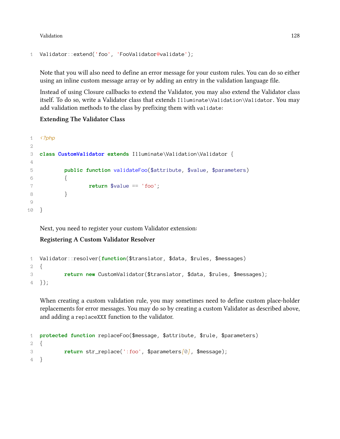Validation 128

```
1 Validator::extend('foo', 'FooValidator@validate');
```
Note that you will also need to define an error message for your custom rules. You can do so either using an inline custom message array or by adding an entry in the validation language file.

Instead of using Closure callbacks to extend the Validator, you may also extend the Validator class itself. To do so, write a Validator class that extends Illuminate\Validation\Validator. You may add validation methods to the class by prefixing them with validate:

#### **Extending The Validator Class**

```
1 <?php
2
3 class CustomValidator extends Illuminate\Validation\Validator {
4
5 public function validateFoo($attribute, $value, $parameters)
6 {
7 return $value == 'foo';
 8 }
\circ10 }
```
Next, you need to register your custom Validator extension:

### **Registering A Custom Validator Resolver**

```
1 Validator::resolver(function($translator, $data, $rules, $messages)
2 {
3 return new CustomValidator($translator, $data, $rules, $messages);
4 });
```
When creating a custom validation rule, you may sometimes need to define custom place-holder replacements for error messages. You may do so by creating a custom Validator as described above, and adding a replaceXXX function to the validator.

```
1 protected function replaceFoo($message, $attribute, $rule, $parameters)
2 {
3 return str_replace(':foo', $parameters[0], $message);
4 }
```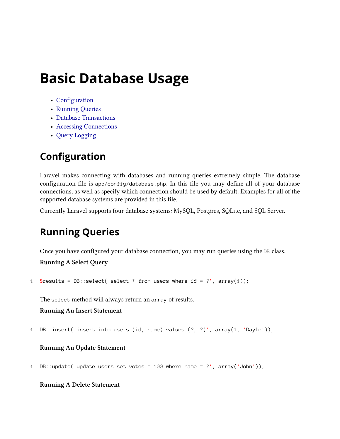# **Basic Database Usage**

- [Configuration](#page-138-0)
- [Running Queries](#page-138-1)
- [Database Transactions](#page-139-0)
- [Accessing Connections](#page-139-1)
- [Query Logging](#page-140-0)

# <span id="page-138-0"></span>**Configuration**

Laravel makes connecting with databases and running queries extremely simple. The database configuration file is app/config/database.php. In this file you may define all of your database connections, as well as specify which connection should be used by default. Examples for all of the supported database systems are provided in this file.

<span id="page-138-1"></span>Currently Laravel supports four database systems: MySQL, Postgres, SQLite, and SQL Server.

# **Running Queries**

Once you have configured your database connection, you may run queries using the DB class.

**Running A Select Query**

```
1 $results = DB::select('select * from users where id = ?', array(1));
```
The select method will always return an array of results.

```
Running An Insert Statement
```

```
1 DB::insert('insert into users (id, name) values (?, ?)', array(1, 'Dayle'));
```
### **Running An Update Statement**

1 DB::update('update users set votes = 100 where name = ?', array('John'));

### **Running A Delete Statement**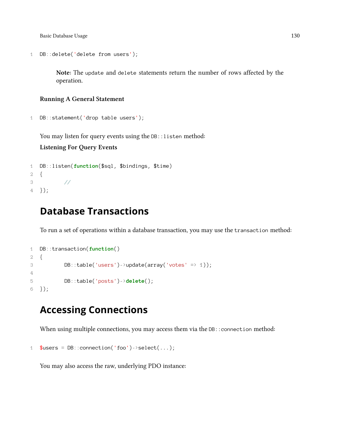Basic Database Usage 130

```
1 DB::delete('delete from users');
```
**Note:** The update and delete statements return the number of rows affected by the operation.

#### **Running A General Statement**

```
1 DB::statement('drop table users');
```
You may listen for query events using the DB::listen method:

**Listening For Query Events**

```
1 DB::listen(function($sql, $bindings, $time)
2 {
3 //
4 });
```
## <span id="page-139-0"></span>**Database Transactions**

To run a set of operations within a database transaction, you may use the transaction method:

```
1 DB::transaction(function()
2 {
3 DB::table('users')->update(array('votes' => 1));
4
5 DB::table('posts')->delete();
6 });
```
# <span id="page-139-1"></span>**Accessing Connections**

When using multiple connections, you may access them via the DB:: connection method:

```
1 $users = DB::connection('foo')->select(...);
```
You may also access the raw, underlying PDO instance: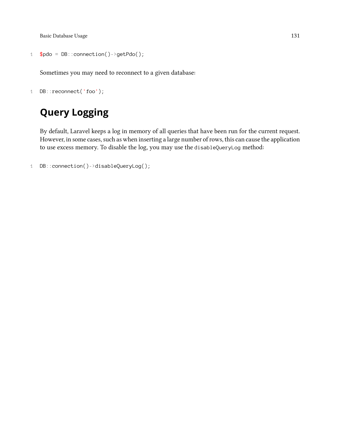Basic Database Usage 131

```
1 $pdo = DB::connection()~> getPdo();
```
Sometimes you may need to reconnect to a given database:

```
1 DB::reconnect('foo');
```
# <span id="page-140-0"></span>**Query Logging**

By default, Laravel keeps a log in memory of all queries that have been run for the current request. However, in some cases, such as when inserting a large number of rows, this can cause the application to use excess memory. To disable the log, you may use the disableQueryLog method:

```
1 DB::connection()->disableQueryLog();
```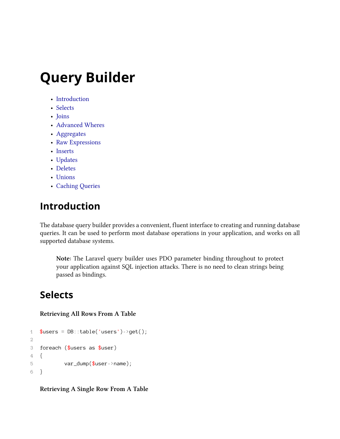# **Query Builder**

- [Introduction](#page-141-0)
- [Selects](#page-141-1)
- [Joins](#page-143-0)
- [Advanced Wheres](#page-144-0)
- [Aggregates](#page-145-0)
- [Raw Expressions](#page-145-1)
- [Inserts](#page-146-0)
- [Updates](#page-147-0)
- [Deletes](#page-147-1)
- [Unions](#page-147-2)
- [Caching Queries](#page-147-3)

# <span id="page-141-0"></span>**Introduction**

The database query builder provides a convenient, fluent interface to creating and running database queries. It can be used to perform most database operations in your application, and works on all supported database systems.

**Note:** The Laravel query builder uses PDO parameter binding throughout to protect your application against SQL injection attacks. There is no need to clean strings being passed as bindings.

### <span id="page-141-1"></span>**Selects**

#### **Retrieving All Rows From A Table**

```
1 $users = DB::table('users')->get();2
3 foreach ($users as $user)
4 {
5 var_dump($user->name);
6 }
```
**Retrieving A Single Row From A Table**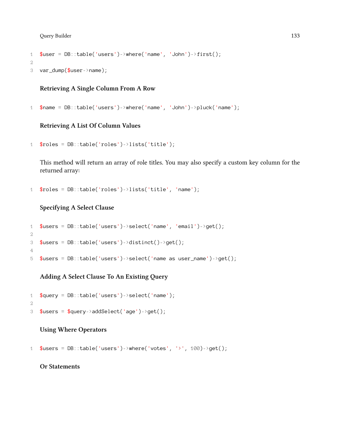Query Builder 133

```
1 $user = DB::table('users')->where('name', 'John')->first();
```

```
2
```

```
3 var_dump($user->name);
```
### **Retrieving A Single Column From A Row**

1  $\text{?name} = DB::table('users')->where('name', 'John')->pluck('name');$ 

#### **Retrieving A List Of Column Values**

```
1 $roles = DB::table('roles')->lists('title');
```
This method will return an array of role titles. You may also specify a custom key column for the returned array:

1 \$roles = DB::table('roles')->lists('title', 'name');

#### **Specifying A Select Clause**

```
1 $users = DB::table('users')->select('name', 'email')->get();
2
3 $users = DB::table('users')->distinct()->get();
4
5 $users = DB::table('users')->select('name as user_name')->get();
```
### **Adding A Select Clause To An Existing Query**

```
1 $query = DB::table('users')->select('name');
2
3 $users = $query->addSelect('age')->get();
```
#### **Using Where Operators**

```
1 $users = DB::table('users')->where('votes', '>', 100)->get();
```
### **Or Statements**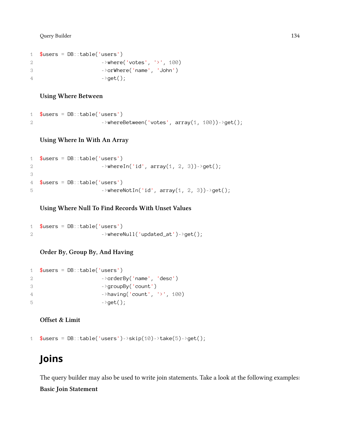Query Builder 134

```
1 $users = DB::table('users')
2 ->where('votes', '>', 100)
3 ->orWhere('name', 'John')
4 \rightarrowget();
```
#### **Using Where Between**

```
1 $users = DB::table('users')2 \longrightarrowwhereBetween('votes', array(1, 100))->get();
```
#### **Using Where In With An Array**

```
1 $users = DB::table('users')
2 ->whereIn('id', array(1, 2, 3))->get();
3
4 $users = DB::table('users')
5 \rightarrowwhereNotIn('id', array(1, 2, 3))->get();
```
#### **Using Where Null To Find Records With Unset Values**

```
1 $users = DB::table('users')2 ->whereNull('updated_at')->get();
```
**Order By, Group By, And Having**

```
1 $users = DB::table('users')2 ->orderBy('name', 'desc')
3 ->groupBy('count')
4 ->having('count', '>', 100)
5 ->get();
```
**Offset & Limit**

```
1 $users = DB::table('users')->skip(10)->take(5)->get();
```
# <span id="page-143-0"></span>**Joins**

The query builder may also be used to write join statements. Take a look at the following examples: **Basic Join Statement**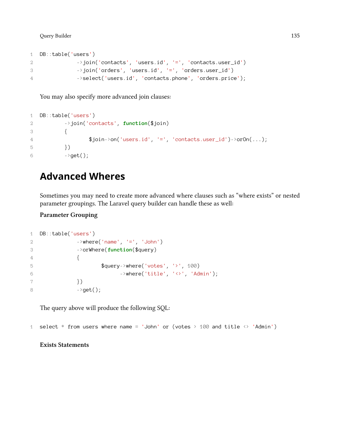```
1 DB::table('users')
2 \rightarrowjoin('contacts', 'users.id', '=', 'contacts.user_id')
3 ->join('orders', 'users.id', '=', 'orders.user_id')
4 ->select('users.id', 'contacts.phone', 'orders.price');
```
You may also specify more advanced join clauses:

```
1 DB::table('users')
2 ->join('contacts', function($join)
3 {
4 \ fjoin->on('users.id', '=', 'contacts.user_id')->orOn(...);
5 })
6 \longrightarrow get();
```
## **Advanced Wheres**

Sometimes you may need to create more advanced where clauses such as "where exists" or nested parameter groupings. The Laravel query builder can handle these as well:

**Parameter Grouping**

```
1 DB::table('users')
2 ->where('name', '=', 'John')
3 ->orWhere(function($query)
4 {
5 $query->where('votes', '>', 100)
6 - >where('title', '<>', 'Admin');
7 })
8 \rightarrow get();
```
The query above will produce the following SQL:

1 select  $*$  from users where name = 'John' or (votes  $>$  100 and title  $\leftrightarrow$  'Admin')

**Exists Statements**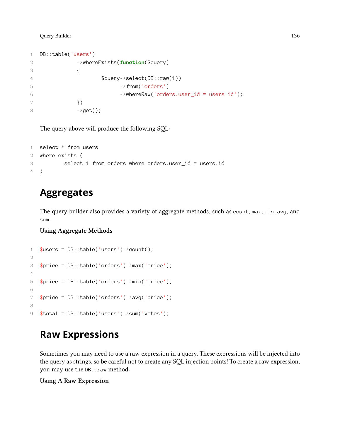```
1 DB::table('users')
2 ->whereExists(function($query)
3 {
4 $query->select(DB::raw(1))
5 ->from('orders')
6 ->whereRaw('orders.user_id = users.id');
7 })
8 ->get();
```
The query above will produce the following SQL:

```
1 select * from users
2 where exists (
3 select 1 from orders where orders.user_id = users.id
4 )
```
## **Aggregates**

The query builder also provides a variety of aggregate methods, such as count, max, min, avg, and sum.

### **Using Aggregate Methods**

```
1 $users = DB::table('users')->count();
2
3 $price = DB::table('orders')->max('price');
4
5 $price = DB::table('orders')->min('price');
6
7 $price = DB::table('orders')->avg('price');
8
9 $total = DB::table('users')->sum('votes');
```
## **Raw Expressions**

Sometimes you may need to use a raw expression in a query. These expressions will be injected into the query as strings, so be careful not to create any SQL injection points! To create a raw expression, you may use the DB: : raw method:

### **Using A Raw Expression**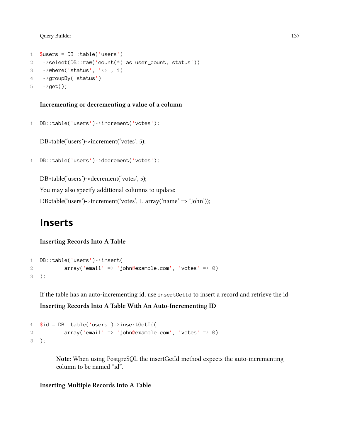```
1 $users = DB::table('users')2 ->select(DB::raw('count(*) as user_count, status'))
3 \longrightarrowwhere('status', '\leftrightarrow', 1)
4 ->groupBy('status')
5 \rightarrow get();
```
### **Incrementing or decrementing a value of a column**

```
1 DB::table('users')->increment('votes');
```
DB::table('users')->increment('votes', 5);

```
1 DB::table('users')->decrement('votes');
```
DB::table('users')->decrement('votes', 5); You may also specify additional columns to update: DB::table('users')->increment('votes', 1, array('name' *⇒* 'John'));

## **Inserts**

### **Inserting Records Into A Table**

```
1 DB::table('users')->insert(
2 array('email' => 'john@example.com', 'votes' => 0)
3 );
```
If the table has an auto-incrementing id, use insertGetId to insert a record and retrieve the id:

**Inserting Records Into A Table With An Auto-Incrementing ID**

```
1 $id = DB::table('users')->insertGetId(2 array('email' => 'john@example.com', 'votes' => 0)
3 );
```
**Note:** When using PostgreSQL the insertGetId method expects the auto-incrementing column to be named "id".

**Inserting Multiple Records Into A Table**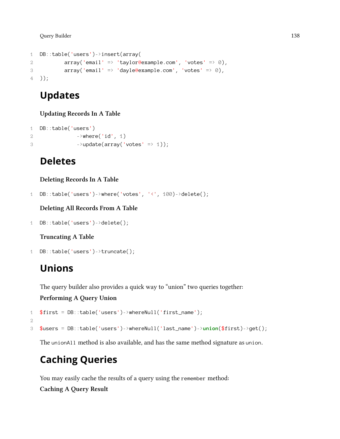```
1 DB::table('users')->insert(array(
2 array('email' => 'taylor@example.com', 'votes' => 0),
3 array('email' => 'dayle@example.com', 'votes' => 0),
4 ));
```
## **Updates**

**Updating Records In A Table**

```
1 DB::table('users')
2 ->where('id', 1)
3 ->update(array('votes' => 1));
```
## **Deletes**

**Deleting Records In A Table**

```
1 DB::table('users')->where('votes', '<', 100)->delete();
```
**Deleting All Records From A Table**

```
1 DB::table('users')->delete();
```
**Truncating A Table**

```
1 DB::table('users')->truncate();
```
## **Unions**

The query builder also provides a quick way to "union" two queries together:

**Performing A Query Union**

```
1 $first = DB::table('users')->whereNull('first_name');
2
3 $users = DB::table('users')->whereNull('last_name')->union($first)->get();
```
The unionAll method is also available, and has the same method signature as union.

## **Caching Queries**

You may easily cache the results of a query using the remember method:

**Caching A Query Result**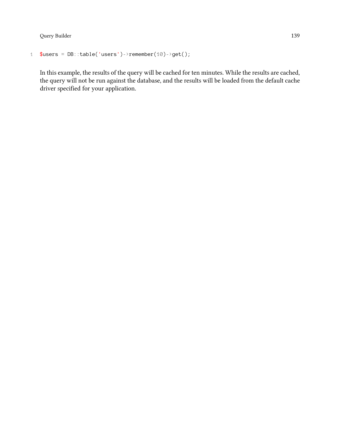```
1 $users = DB::table('users')->remember(10)-?get();
```
In this example, the results of the query will be cached for ten minutes. While the results are cached, the query will not be run against the database, and the results will be loaded from the default cache driver specified for your application.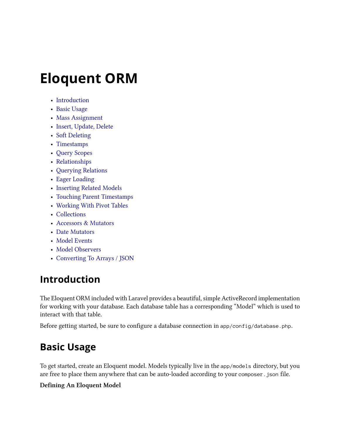- [Introduction](#page-149-0)
- [Basic Usage](#page-149-1)
- [Mass Assignment](#page-151-0)
- [Insert, Update, Delete](#page-152-0)
- [Soft Deleting](#page-155-0)
- [Timestamps](#page-154-0)
- [Query Scopes](#page-156-0)
- [Relationships](#page-157-0)
- [Querying Relations](#page-162-0)
- [Eager Loading](#page-163-0)
- [Inserting Related Models](#page-165-0)
- [Touching Parent Timestamps](#page-167-0)
- [Working With Pivot Tables](#page-168-0)
- [Collections](#page-168-1)
- [Accessors & Mutators](#page-170-0)
- [Date Mutators](#page-171-0)
- [Model Events](#page-172-0)
- [Model Observers](#page-172-1)
- [Converting To Arrays / JSON](#page-173-0)

## <span id="page-149-0"></span>**Introduction**

The Eloquent ORM included with Laravel provides a beautiful, simple ActiveRecord implementation for working with your database. Each database table has a corresponding "Model" which is used to interact with that table.

<span id="page-149-1"></span>Before getting started, be sure to configure a database connection in app/config/database.php.

## **Basic Usage**

To get started, create an Eloquent model. Models typically live in the app/models directory, but you are free to place them anywhere that can be auto-loaded according to your composer.json file.

### **Defining An Eloquent Model**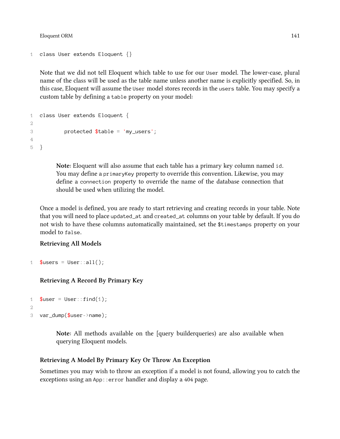```
1 class User extends Eloquent {}
```
Note that we did not tell Eloquent which table to use for our User model. The lower-case, plural name of the class will be used as the table name unless another name is explicitly specified. So, in this case, Eloquent will assume the User model stores records in the users table. You may specify a custom table by defining a table property on your model:

```
1 class User extends Eloquent {
\mathcal{D}3 protected $table = 'my_users';
4
5 }
```
**Note:** Eloquent will also assume that each table has a primary key column named id. You may define a primaryKey property to override this convention. Likewise, you may define a connection property to override the name of the database connection that should be used when utilizing the model.

Once a model is defined, you are ready to start retrieving and creating records in your table. Note that you will need to place updated\_at and created\_at columns on your table by default. If you do not wish to have these columns automatically maintained, set the \$timestamps property on your model to false.

### **Retrieving All Models**

```
1 $users = User::all();
```
### **Retrieving A Record By Primary Key**

```
1 $user = User::find(1);2
3 var_dump($user->name);
```
**Note:** All methods available on the [query builderqueries) are also available when querying Eloquent models.

### **Retrieving A Model By Primary Key Or Throw An Exception**

Sometimes you may wish to throw an exception if a model is not found, allowing you to catch the exceptions using an App::error handler and display a 404 page.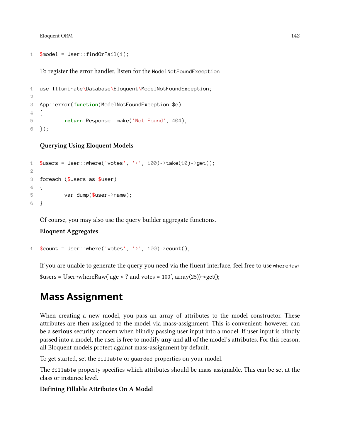```
1 $model = User::findOrFail(1);
```
To register the error handler, listen for the ModelNotFoundException

```
1 use Illuminate\Database\Eloquent\ModelNotFoundException;
2
3 App::error(function(ModelNotFoundException $e)
4 {
5 return Response::make('Not Found', 404);
6 });
```
**Querying Using Eloquent Models**

```
1 $users = User::where('votes', '>', 100)->take(10)->get();
\mathcal{D}3 foreach ($users as $user)
4 {
5 var_dump($user->name);
6 }
```
Of course, you may also use the query builder aggregate functions.

#### **Eloquent Aggregates**

```
1 %count = User::where('votes', '>', 100)->count();
```
If you are unable to generate the query you need via the fluent interface, feel free to use whereRaw:  $susers = User::whereRaw('age > ? and votes = 100', array(25))->get();$ 

## <span id="page-151-0"></span>**Mass Assignment**

When creating a new model, you pass an array of attributes to the model constructor. These attributes are then assigned to the model via mass-assignment. This is convenient; however, can be a **serious** security concern when blindly passing user input into a model. If user input is blindly passed into a model, the user is free to modify **any** and **all** of the model's attributes. For this reason, all Eloquent models protect against mass-assignment by default.

To get started, set the fillable or guarded properties on your model.

The fillable property specifies which attributes should be mass-assignable. This can be set at the class or instance level.

#### **Defining Fillable Attributes On A Model**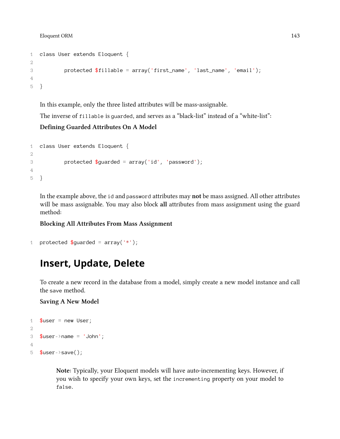```
1 class User extends Eloquent {
2
3 protected $fillable = array('first_name', 'last_name', 'email');
4
5 }
```
In this example, only the three listed attributes will be mass-assignable.

The inverse of fillable is guarded, and serves as a "black-list" instead of a "white-list":

### **Defining Guarded Attributes On A Model**

```
1 class User extends Eloquent {
\mathcal{D}3 protected $guarded = array('id', 'password');
4
5 }
```
In the example above, the id and password attributes may **not** be mass assigned. All other attributes will be mass assignable. You may also block **all** attributes from mass assignment using the guard method:

### **Blocking All Attributes From Mass Assignment**

```
1 protected \text{Squared} = \text{array}('*);
```
## <span id="page-152-0"></span>**Insert, Update, Delete**

To create a new record in the database from a model, simply create a new model instance and call the save method.

**Saving A New Model**

```
1 $user = new User;2
3 $user->name = 'John';
4
5 $user->save();
```
**Note:** Typically, your Eloquent models will have auto-incrementing keys. However, if you wish to specify your own keys, set the incrementing property on your model to false.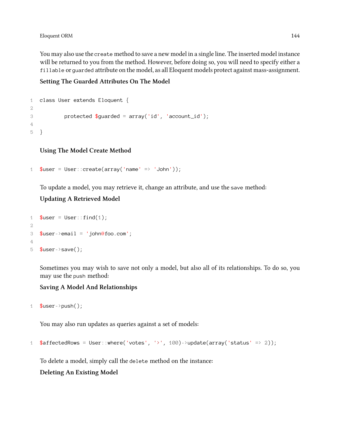You may also use the create method to save a new model in a single line. The inserted model instance will be returned to you from the method. However, before doing so, you will need to specify either a fillable or guarded attribute on the model, as all Eloquent models protect against mass-assignment.

**Setting The Guarded Attributes On The Model**

```
1 class User extends Eloquent {
2
3 protected $guarded = array('id', 'account_id');
4
5 }
```
### **Using The Model Create Method**

```
1 $user = User::create(array('name' => 'John'));
```
To update a model, you may retrieve it, change an attribute, and use the save method:

### **Updating A Retrieved Model**

```
1 $user = User::find(1);2
3 $user->email = 'john@foo.com';
4
5 $user->save();
```
Sometimes you may wish to save not only a model, but also all of its relationships. To do so, you may use the push method:

### **Saving A Model And Relationships**

```
1 $user->push();
```
You may also run updates as queries against a set of models:

```
1 $affectedRows = User::where('votes', '>', 100)->update(array('status' => 2));
```
To delete a model, simply call the delete method on the instance:

**Deleting An Existing Model**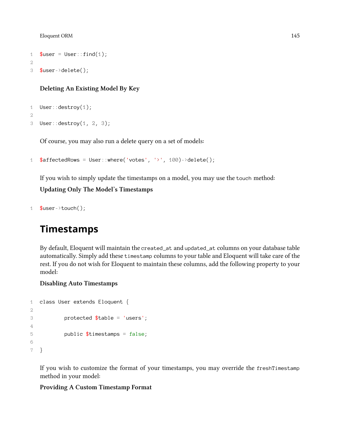```
1 $user = User::find(1);2
3 $user->delete();
```
### **Deleting An Existing Model By Key**

```
1 User::destroy(1);
2
3 User::destroy(1, 2, 3);
```
Of course, you may also run a delete query on a set of models:

```
1 $affectedRows = User::where('votes', '>', 100)->delete();
```
If you wish to simply update the timestamps on a model, you may use the touch method:

**Updating Only The Model's Timestamps**

```
1 $user->touch();
```
## <span id="page-154-0"></span>**Timestamps**

By default, Eloquent will maintain the created\_at and updated\_at columns on your database table automatically. Simply add these timestamp columns to your table and Eloquent will take care of the rest. If you do not wish for Eloquent to maintain these columns, add the following property to your model:

#### **Disabling Auto Timestamps**

```
1 class User extends Eloquent {
2
3 protected $table = 'users';
4
5 public $timestamps = false;
6
7 }
```
If you wish to customize the format of your timestamps, you may override the freshTimestamp method in your model:

#### **Providing A Custom Timestamp Format**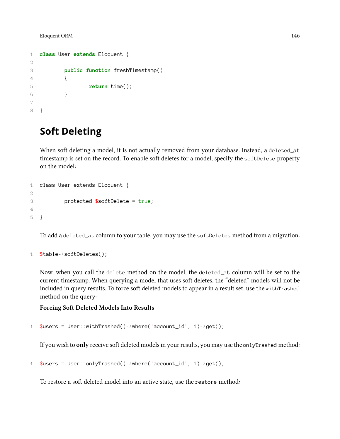```
1 class User extends Eloquent {
2
3 public function freshTimestamp()
4 {
5 return time();
6 }
7
8 }
```
## <span id="page-155-0"></span>**Soft Deleting**

When soft deleting a model, it is not actually removed from your database. Instead, a deleted\_at timestamp is set on the record. To enable soft deletes for a model, specify the softDelete property on the model:

```
1 class User extends Eloquent {
2
3 protected $softDelete = true;
4
5 }
```
To add a deleted\_at column to your table, you may use the softDeletes method from a migration:

```
1 $table->softDeletes();
```
Now, when you call the delete method on the model, the deleted\_at column will be set to the current timestamp. When querying a model that uses soft deletes, the "deleted" models will not be included in query results. To force soft deleted models to appear in a result set, use the withTrashed method on the query:

#### **Forcing Soft Deleted Models Into Results**

```
1 $users = User::withTransfer()~> where('account_id', 1)->get();
```
If you wish to **only** receive soft deleted models in your results, you may use the onlyTrashed method:

```
1 $users = User::onlyTrashed()~\Rightarrow where('account_id', 1)-\get();
```
To restore a soft deleted model into an active state, use the restore method: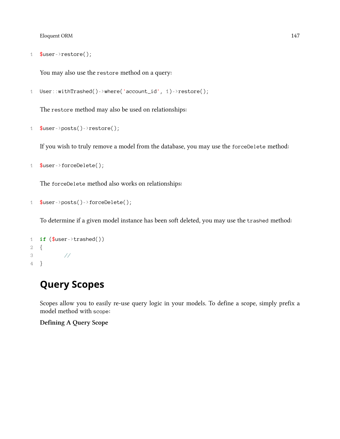```
1 $user->restore();
```
You may also use the restore method on a query:

```
1 User::withTrashed()->where('account_id', 1)->restore();
```
The restore method may also be used on relationships:

```
1 $user->posts()->restore();
```
If you wish to truly remove a model from the database, you may use the forceDelete method:

1 \$user->forceDelete();

The forceDelete method also works on relationships:

```
1 $user->posts()->forceDelete();
```
To determine if a given model instance has been soft deleted, you may use the trashed method:

```
1 if ($user->trashed())
2 {
3 //
4 }
```
## <span id="page-156-0"></span>**Query Scopes**

Scopes allow you to easily re-use query logic in your models. To define a scope, simply prefix a model method with scope:

**Defining A Query Scope**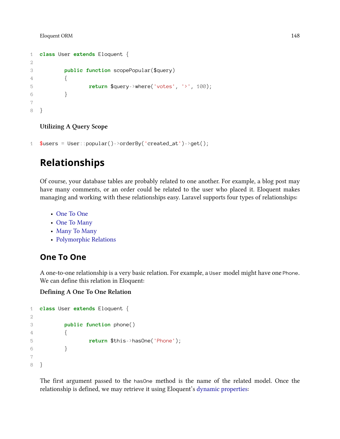```
1 class User extends Eloquent {
2
3 public function scopePopular($query)
4 {
5 return $query->where('votes', '>', 100);
6 }
7
8 }
```
### **Utilizing A Query Scope**

1  $$users = User::popular()->orderBy('created_at')->get()$ ;

## <span id="page-157-0"></span>**Relationships**

Of course, your database tables are probably related to one another. For example, a blog post may have many comments, or an order could be related to the user who placed it. Eloquent makes managing and working with these relationships easy. Laravel supports four types of relationships:

- [One To One](#page-157-1)
- [One To Many](#page-158-0)
- [Many To Many](#page-159-0)
- [Polymorphic Relations](#page-160-0)

### <span id="page-157-1"></span>**One To One**

A one-to-one relationship is a very basic relation. For example, a User model might have one Phone. We can define this relation in Eloquent:

**Defining A One To One Relation**

```
1 class User extends Eloquent {
2
3 public function phone()
4 {
5 return $this->hasOne('Phone');
6 }
7
8 }
```
The first argument passed to the hasOne method is the name of the related model. Once the relationship is defined, we may retrieve it using Eloquent's [dynamic properties:](#page-163-1)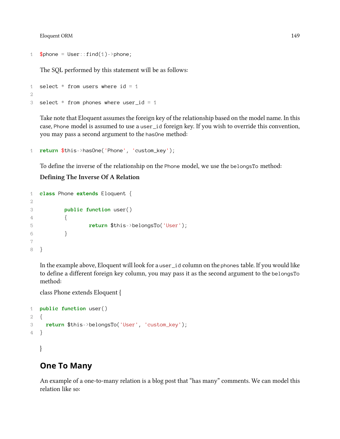```
1 $phone = User::find(1)-\rhohone;
```
The SQL performed by this statement will be as follows:

```
1 select * from users where id = 1
2
3 select * from phones where user_id = 1
```
Take note that Eloquent assumes the foreign key of the relationship based on the model name. In this case, Phone model is assumed to use a user\_id foreign key. If you wish to override this convention, you may pass a second argument to the hasOne method:

```
1 return $this->hasOne('Phone', 'custom_key');
```
To define the inverse of the relationship on the Phone model, we use the belongsTo method:

### **Defining The Inverse Of A Relation**

```
1 class Phone extends Eloquent {
2
3 public function user()
4 {
5 return $this->belongsTo('User');
6 }
7
8 }
```
In the example above, Eloquent will look for a user\_id column on the phones table. If you would like to define a different foreign key column, you may pass it as the second argument to the belongsTo method:

class Phone extends Eloquent {

```
1 public function user()
2 {
3 return $this->belongsTo('User', 'custom_key');
4 }
```
<span id="page-158-0"></span>}

### **One To Many**

An example of a one-to-many relation is a blog post that "has many" comments. We can model this relation like so: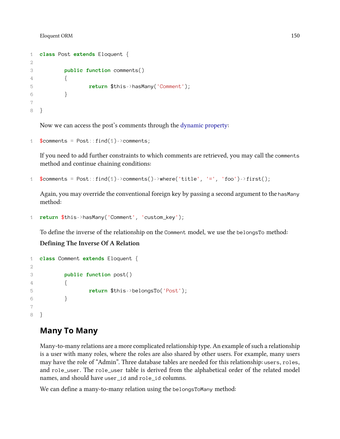```
1 class Post extends Eloquent {
2
3 public function comments()
4 {
5 return $this->hasMany('Comment');
6 }
7
8 }
```
Now we can access the post's comments through the [dynamic property](#page-163-1):

```
1 $comments = Post::find(1)->comments;
```
If you need to add further constraints to which comments are retrieved, you may call the comments method and continue chaining conditions:

```
1 $comments = Post::find(1)-\geq comments() \rightarrow where('title', '='', 'foo') \rightarrow first();
```
Again, you may override the conventional foreign key by passing a second argument to the hasMany method:

```
1 return $this->hasMany('Comment', 'custom_key');
```
To define the inverse of the relationship on the Comment model, we use the belongsTo method:

**Defining The Inverse Of A Relation**

```
1 class Comment extends Eloquent {
\mathcal{D}3 public function post()
4 \qquad \qquad \{5 return $this->belongsTo('Post');
6 }
7
8 }
```
## <span id="page-159-0"></span>**Many To Many**

Many-to-many relations are a more complicated relationship type. An example of such a relationship is a user with many roles, where the roles are also shared by other users. For example, many users may have the role of "Admin". Three database tables are needed for this relationship: users, roles, and role\_user. The role\_user table is derived from the alphabetical order of the related model names, and should have user\_id and role\_id columns.

We can define a many-to-many relation using the belongsToMany method: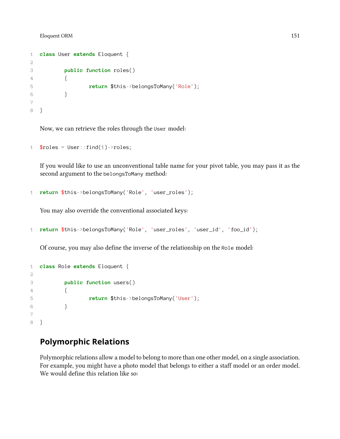```
1 class User extends Eloquent {
2
3 public function roles()
4 {
5 return $this->belongsToMany('Role');
6 }
7
8 }
```
Now, we can retrieve the roles through the User model:

```
1 $roles = User::find(1)-\r{ }roles;
```
If you would like to use an unconventional table name for your pivot table, you may pass it as the second argument to the belongsToMany method:

```
1 return $this->belongsToMany('Role', 'user_roles');
```
You may also override the conventional associated keys:

```
1 return $this->belongsToMany('Role', 'user_roles', 'user_id', 'foo_id');
```
Of course, you may also define the inverse of the relationship on the Role model:

```
1 class Role extends Eloquent {
2
3 public function users()
4 {
5 return $this->belongsToMany('User');
6 }
7
8 }
```
### <span id="page-160-0"></span>**Polymorphic Relations**

Polymorphic relations allow a model to belong to more than one other model, on a single association. For example, you might have a photo model that belongs to either a staff model or an order model. We would define this relation like so: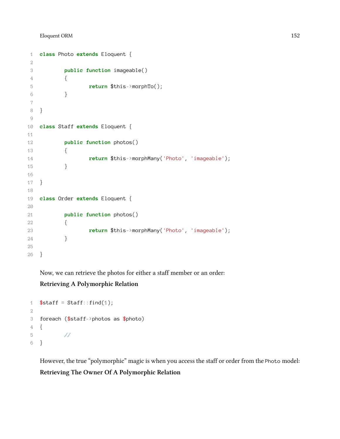```
1 class Photo extends Eloquent {
2
3 public function imageable()
4 {
5 return $this->morphTo();
6 }
7
8 }
9
10 class Staff extends Eloquent {
11
12 public function photos()
13 {
14 return $this->morphMany('Photo', 'imageable');
15 }
16
17 }
18
19 class Order extends Eloquent {
20
21 public function photos()
22 {
23 return $this->morphMany('Photo', 'imageable');
24 }
25
26 }
```
Now, we can retrieve the photos for either a staff member or an order: **Retrieving A Polymorphic Relation**

```
1 $statf = Staff::find(1);2
3 foreach ($staff->photos as $photo)
4 {
5 //
6 }
```
However, the true "polymorphic" magic is when you access the staff or order from the Photo model: **Retrieving The Owner Of A Polymorphic Relation**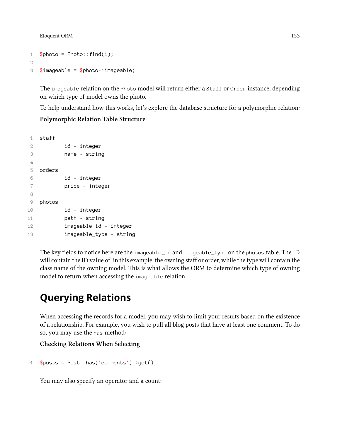```
1 $photo = Photo::find(1);2
3 $imageable = $photo->imageable;
```
The imageable relation on the Photo model will return either a Staff or Order instance, depending on which type of model owns the photo.

To help understand how this works, let's explore the database structure for a polymorphic relation:

### **Polymorphic Relation Table Structure**

```
1 staff
2 id - integer
3 name - string
4
5 orders
6 id - integer
7 price - integer
8
9 photos
10 id - integer
11 path - string
12 imageable_id - integer
13 imageable_type - string
```
The key fields to notice here are the imageable\_id and imageable\_type on the photos table. The ID will contain the ID value of, in this example, the owning staff or order, while the type will contain the class name of the owning model. This is what allows the ORM to determine which type of owning model to return when accessing the imageable relation.

## <span id="page-162-0"></span>**Querying Relations**

When accessing the records for a model, you may wish to limit your results based on the existence of a relationship. For example, you wish to pull all blog posts that have at least one comment. To do so, you may use the has method:

#### **Checking Relations When Selecting**

```
1 $posts = Post::has('comments')->get();
```
You may also specify an operator and a count: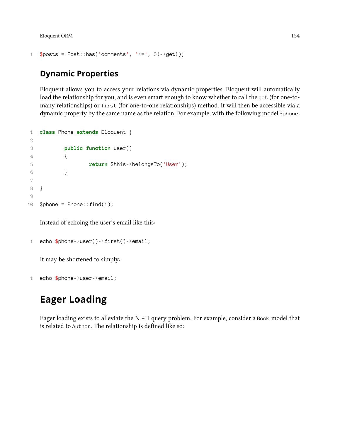```
1 $ posts = Post::has('comments', '>=', 3)-?get();
```
### <span id="page-163-1"></span>**Dynamic Properties**

Eloquent allows you to access your relations via dynamic properties. Eloquent will automatically load the relationship for you, and is even smart enough to know whether to call the get (for one-tomany relationships) or first (for one-to-one relationships) method. It will then be accessible via a dynamic property by the same name as the relation. For example, with the following model \$phone:

```
1 class Phone extends Eloquent {
2
3 public function user()
4 {
5 return $this->belongsTo('User');
6 }
7
8 }
9
10 $phone = Phone::find(1);
```
Instead of echoing the user's email like this:

```
1 echo $phone->user()->first()->email;
```
It may be shortened to simply:

1 echo \$phone->user->email;

## <span id="page-163-0"></span>**Eager Loading**

Eager loading exists to alleviate the  $N + 1$  query problem. For example, consider a Book model that is related to Author. The relationship is defined like so: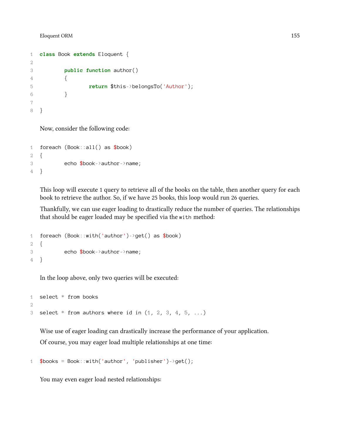```
1 class Book extends Eloquent {
2
3 public function author()
4 {
5 return $this->belongsTo('Author');
\begin{matrix} 6 & 1 \end{matrix}7
8 }
```
Now, consider the following code:

```
1 foreach (Book::all() as $book)
2 {
3 echo $book->author->name;
4 }
```
This loop will execute 1 query to retrieve all of the books on the table, then another query for each book to retrieve the author. So, if we have 25 books, this loop would run 26 queries.

Thankfully, we can use eager loading to drastically reduce the number of queries. The relationships that should be eager loaded may be specified via the with method:

```
1 foreach (Book::with('author')->get() as $book)
2 {
3 echo $book->author->name;
4 }
```
In the loop above, only two queries will be executed:

```
1 select * from books
2
3 select * from authors where id in (1, 2, 3, 4, 5, ...)
```
Wise use of eager loading can drastically increase the performance of your application. Of course, you may eager load multiple relationships at one time:

```
1 $books = Book::with('author', 'public for') - %get();
```
You may even eager load nested relationships: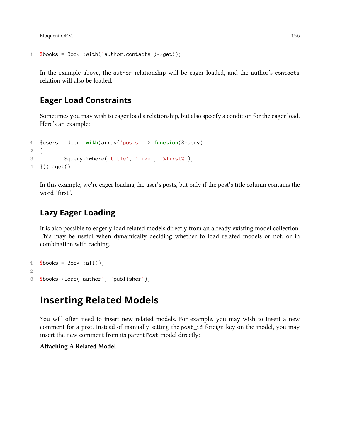```
1 $books = Book::with('author.contacts')->get();
```
In the example above, the author relationship will be eager loaded, and the author's contacts relation will also be loaded.

### **Eager Load Constraints**

Sometimes you may wish to eager load a relationship, but also specify a condition for the eager load. Here's an example:

```
1 $users = User::with(array('posts' => function($query)
2 {
3 $query->where('title', 'like', '%first%');
4 \}))->get();
```
In this example, we're eager loading the user's posts, but only if the post's title column contains the word "first".

### **Lazy Eager Loading**

It is also possible to eagerly load related models directly from an already existing model collection. This may be useful when dynamically deciding whether to load related models or not, or in combination with caching.

```
1 $books = Book::all();2
3 $books->load('author', 'publisher');
```
## <span id="page-165-0"></span>**Inserting Related Models**

You will often need to insert new related models. For example, you may wish to insert a new comment for a post. Instead of manually setting the post\_id foreign key on the model, you may insert the new comment from its parent Post model directly:

#### **Attaching A Related Model**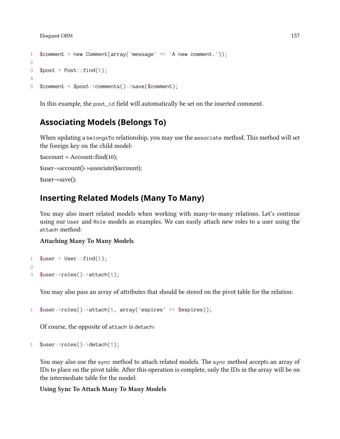```
1 $comment = new Comment(array('message' => 'A new comment.'));
2
3 $post = Post::find(1);
4
5 $comment = $post-> comments()->save($comment);
```
In this example, the post\_id field will automatically be set on the inserted comment.

### **Associating Models (Belongs To)**

When updating a belongsTo relationship, you may use the associate method. This method will set the foreign key on the child model:

```
saccount = Account::find(10);$user->account()->associate($account);
$user->save();
```
### **Inserting Related Models (Many To Many)**

You may also insert related models when working with many-to-many relations. Let's continue using our User and Role models as examples. We can easily attach new roles to a user using the attach method:

### **Attaching Many To Many Models**

```
1 $user = User::find(1);2
3 $user->roles()->attach(1);
```
You may also pass an array of attributes that should be stored on the pivot table for the relation:

```
1 $user->roles()->attach(1, array('expires' => $expires));
```
Of course, the opposite of attach is detach:

```
1 $user->roles()->detach(1);
```
You may also use the sync method to attach related models. The sync method accepts an array of IDs to place on the pivot table. After this operation is complete, only the IDs in the array will be on the intermediate table for the model:

**Using Sync To Attach Many To Many Models**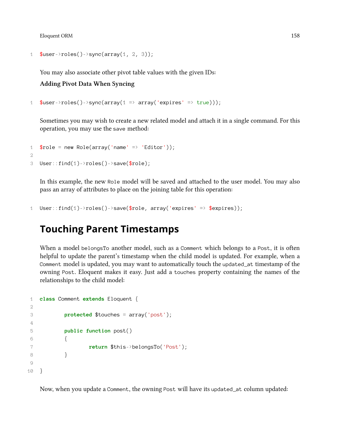```
1 $user->roles()->sync(array(1, 2, 3));
```
You may also associate other pivot table values with the given IDs:

**Adding Pivot Data When Syncing**

```
1 $user->roles()->sync(array(1 => array('expires' => true)));
```
Sometimes you may wish to create a new related model and attach it in a single command. For this operation, you may use the save method:

```
1 $role = new Role(array('name' = 'Editor'));2
3 User::find(1)->roles()->save($role);
```
In this example, the new Role model will be saved and attached to the user model. You may also pass an array of attributes to place on the joining table for this operation:

```
1 User::find(1)->roles()->save($role, array('expires' => $expires));
```
## <span id="page-167-0"></span>**Touching Parent Timestamps**

When a model belongsTo another model, such as a Comment which belongs to a Post, it is often helpful to update the parent's timestamp when the child model is updated. For example, when a Comment model is updated, you may want to automatically touch the updated\_at timestamp of the owning Post. Eloquent makes it easy. Just add a touches property containing the names of the relationships to the child model:

```
1 class Comment extends Eloquent {
2
3 protected $touches = array('post');
4
5 public function post()
6 {
7 return $this->belongsTo('Post');
8 }
9
10 }
```
Now, when you update a Comment, the owning Post will have its updated\_at column updated: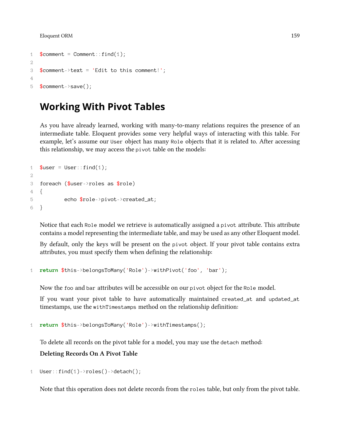```
1 % comment = Comment::find(1);
2
3 $comment->text = 'Edit to this comment!';
4
5 $comment->save();
```
## <span id="page-168-0"></span>**Working With Pivot Tables**

As you have already learned, working with many-to-many relations requires the presence of an intermediate table. Eloquent provides some very helpful ways of interacting with this table. For example, let's assume our User object has many Role objects that it is related to. After accessing this relationship, we may access the pivot table on the models:

```
1 $user = User::find(1);2
3 foreach ($user->roles as $role)
4 {
5 echo $role->pivot->created at;
6 }
```
Notice that each Role model we retrieve is automatically assigned a pivot attribute. This attribute contains a model representing the intermediate table, and may be used as any other Eloquent model.

By default, only the keys will be present on the pivot object. If your pivot table contains extra attributes, you must specify them when defining the relationship:

1 **return** \$this->belongsToMany('Role')->withPivot('foo', 'bar');

Now the foo and bar attributes will be accessible on our pivot object for the Role model.

If you want your pivot table to have automatically maintained created\_at and updated\_at timestamps, use the withTimestamps method on the relationship definition:

```
1 return $this->belongsToMany('Role')->withTimestamps();
```
To delete all records on the pivot table for a model, you may use the detach method:

**Deleting Records On A Pivot Table**

1 User::find(1)->roles()->detach();

<span id="page-168-1"></span>Note that this operation does not delete records from the roles table, but only from the pivot table.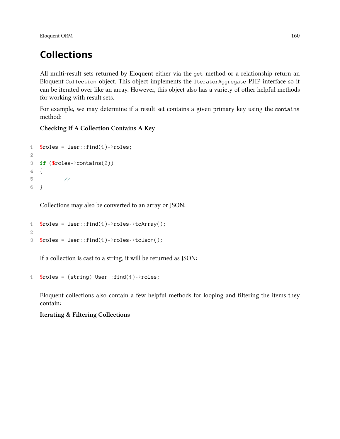## **Collections**

All multi-result sets returned by Eloquent either via the get method or a relationship return an Eloquent Collection object. This object implements the IteratorAggregate PHP interface so it can be iterated over like an array. However, this object also has a variety of other helpful methods for working with result sets.

For example, we may determine if a result set contains a given primary key using the contains method:

### **Checking If A Collection Contains A Key**

```
1 $roles = User::find(1)-Yoles;2
3 if ($roles->contains(2))
4 {
5 //
6 }
```
Collections may also be converted to an array or JSON:

```
1 $roles = User::find(1)-\r{roles-\r{toArray}};
2
3 $roles = User::find(1)->roles->toJson();
```
If a collection is cast to a string, it will be returned as JSON:

```
1 $roles = (string) User::find(1)-\n    <i>roles;</i>
```
Eloquent collections also contain a few helpful methods for looping and filtering the items they contain:

### **Iterating & Filtering Collections**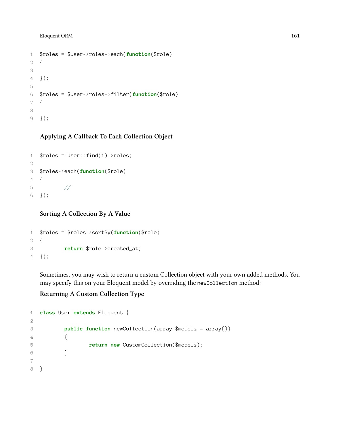```
1 $roles = $user->roles->each(function($role)
2 {
3
4 });
5
6 $roles = $user->roles->filter(function($role)
7 {
8
9 });
```
### **Applying A Callback To Each Collection Object**

```
1 $roles = User::find(1)-Yoles;2
3 $roles->each(function($role)
4 {
5 //
6 });
```
### **Sorting A Collection By A Value**

```
1 $roles = $roles->sortBy(function($role)
2 {
3 return $role->created_at;
4 });
```
Sometimes, you may wish to return a custom Collection object with your own added methods. You may specify this on your Eloquent model by overriding the newCollection method:

### **Returning A Custom Collection Type**

```
1 class User extends Eloquent {
2
3 public function newCollection(array $models = array())
4 {
5 return new CustomCollection($models);
6 }
7
8 }
```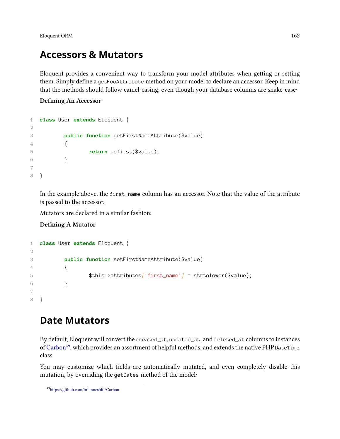## **Accessors & Mutators**

Eloquent provides a convenient way to transform your model attributes when getting or setting them. Simply define a getFooAttribute method on your model to declare an accessor. Keep in mind that the methods should follow camel-casing, even though your database columns are snake-case:

### **Defining An Accessor**

```
1 class User extends Eloquent {
2
3 public function getFirstNameAttribute($value)
4 {
5 return ucfirst($value);
6 }
7
8 }
```
In the example above, the first\_name column has an accessor. Note that the value of the attribute is passed to the accessor.

Mutators are declared in a similar fashion:

### **Defining A Mutator**

```
1 class User extends Eloquent {
2
3 public function setFirstNameAttribute($value)
4 {
5 $this->attributes['first_name'] = strtolower($value);
6 }
7
8 }
```
## <span id="page-171-0"></span>**Date Mutators**

By default, Eloquent will convert the created\_at, updated\_at, and deleted\_at columns to instances of [Carbon](https://github.com/briannesbitt/Carbon)<sup>49</sup>, which provides an assortment of helpful methods, and extends the native PHP DateTime class.

You may customize which fields are automatically mutated, and even completely disable this mutation, by overriding the getDates method of the model:

<span id="page-171-1"></span>⁴⁹<https://github.com/briannesbitt/Carbon>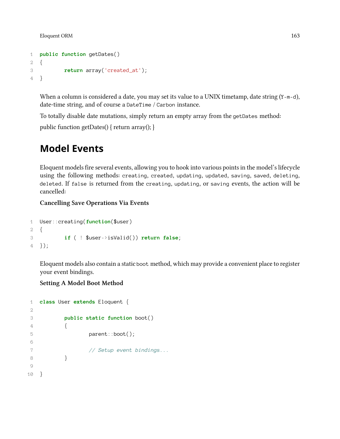```
1 public function getDates()
2 {
3 return array('created_at');
4 }
```
When a column is considered a date, you may set its value to a UNIX timetamp, date string (Y-m-d), date-time string, and of course a DateTime / Carbon instance.

To totally disable date mutations, simply return an empty array from the getDates method:

<span id="page-172-0"></span>public function getDates() { return array(); }

## **Model Events**

Eloquent models fire several events, allowing you to hook into various points in the model's lifecycle using the following methods: creating, created, updating, updated, saving, saved, deleting, deleted. If false is returned from the creating, updating, or saving events, the action will be cancelled:

**Cancelling Save Operations Via Events**

```
1 User::creating(function($user)
2 {
3 if ( ! $user->isValid()) return false;
4 });
```
Eloquent models also contain a static boot method, which may provide a convenient place to register your event bindings.

### **Setting A Model Boot Method**

```
1 class User extends Eloquent {
2
3 public static function boot()
4 {
5 parent::boot();
6
7 // Setup event bindings...
8 }
9
10 }
```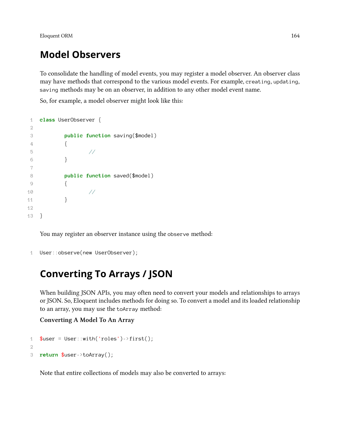## **Model Observers**

To consolidate the handling of model events, you may register a model observer. An observer class may have methods that correspond to the various model events. For example, creating, updating, saving methods may be on an observer, in addition to any other model event name.

So, for example, a model observer might look like this:

```
1 class UserObserver {
2
3 public function saving($model)
4 {
5 //
6 }
7
8 public function saved($model)
9 {
10 //
11 }
12
13 }
```
You may register an observer instance using the observe method:

```
1 User::observe(new UserObserver);
```
## <span id="page-173-0"></span>**Converting To Arrays / JSON**

When building JSON APIs, you may often need to convert your models and relationships to arrays or JSON. So, Eloquent includes methods for doing so. To convert a model and its loaded relationship to an array, you may use the toArray method:

### **Converting A Model To An Array**

```
1 $user = User::with('roles') - > first();
2
3 return $user->toArray();
```
Note that entire collections of models may also be converted to arrays: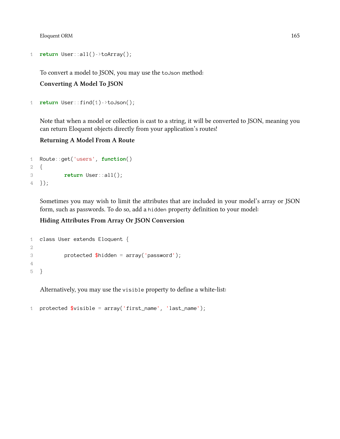```
1 return User::all()->toArray();
```
To convert a model to JSON, you may use the toJson method:

**Converting A Model To JSON**

```
1 return User::find(1)->toJson();
```
Note that when a model or collection is cast to a string, it will be converted to JSON, meaning you can return Eloquent objects directly from your application's routes!

### **Returning A Model From A Route**

```
1 Route::get('users', function()
2 {
3 return User::all();
4 });
```
Sometimes you may wish to limit the attributes that are included in your model's array or JSON form, such as passwords. To do so, add a hidden property definition to your model:

### **Hiding Attributes From Array Or JSON Conversion**

```
1 class User extends Eloquent {
2
3 protected $hidden = array('password');
4
5 }
```
Alternatively, you may use the visible property to define a white-list:

```
1 protected $visible = array('first_name', 'last_name');
```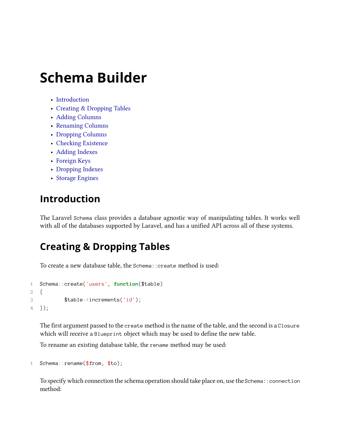- [Introduction](#page-175-0)
- [Creating & Dropping Tables](#page-175-1)
- [Adding Columns](#page-176-0)
- [Renaming Columns](#page-177-0)
- [Dropping Columns](#page-177-1)
- [Checking Existence](#page-177-2)
- [Adding Indexes](#page-178-0)
- [Foreign Keys](#page-178-1)
- [Dropping Indexes](#page-179-0)
- [Storage Engines](#page-179-1)

## <span id="page-175-0"></span>**Introduction**

The Laravel Schema class provides a database agnostic way of manipulating tables. It works well with all of the databases supported by Laravel, and has a unified API across all of these systems.

## <span id="page-175-1"></span>**Creating & Dropping Tables**

To create a new database table, the Schema::create method is used:

```
1 Schema::create('users', function($table)
2 {
3 $table->increments('id');
4 });
```
The first argument passed to the create method is the name of the table, and the second is a Closure which will receive a Blueprint object which may be used to define the new table.

To rename an existing database table, the rename method may be used:

```
1 Schema::rename($from, $to);
```
To specify which connection the schema operation should take place on, use the Schema::connection method: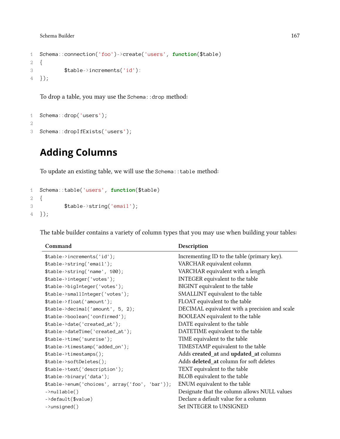```
1 Schema::connection('foo')->create('users', function($table)
2 {
3 $table->increments('id'):
4 });
```
To drop a table, you may use the Schema::drop method:

```
1 Schema::drop('users');
2
3 Schema::dropIfExists('users');
```
## <span id="page-176-0"></span>**Adding Columns**

To update an existing table, we will use the Schema::table method:

```
1 Schema::table('users', function($table)
2 {
3 $table->string('email');
4 });
```
**Command Description** \$table->increments('id'); Incrementing ID to the table (primary key). \$table->string('email'); VARCHAR equivalent column \$table->string('name', 100); VARCHAR equivalent with a length \$table->integer('votes'); INTEGER equivalent to the table \$table->bigInteger('votes'); BIGINT equivalent to the table \$table->smallInteger('votes'); SMALLINT equivalent to the table \$table->float('amount'); FLOAT equivalent to the table \$table->decimal('amount', 5, 2); DECIMAL equivalent with a precision and scale \$table->boolean('confirmed'); BOOLEAN equivalent to the table \$table->date('created\_at'); DATE equivalent to the table \$table->dateTime('created\_at'); DATETIME equivalent to the table \$table->time('sunrise'); TIME equivalent to the table \$table->timestamp('added\_on'); TIMESTAMP equivalent to the table \$table->timestamps(); Adds **created\_at** and **updated\_at** columns \$table->softDeletes(); Adds **deleted\_at** column for soft deletes \$table->text('description'); TEXT equivalent to the table \$table->binary('data'); BLOB equivalent to the table \$table->enum('choices', array('foo', 'bar')); ENUM equivalent to the table ->nullable() Designate that the column allows NULL values ->default(\$value) Declare a default value for a column ->unsigned() Set INTEGER to UNSIGNED

The table builder contains a variety of column types that you may use when building your tables: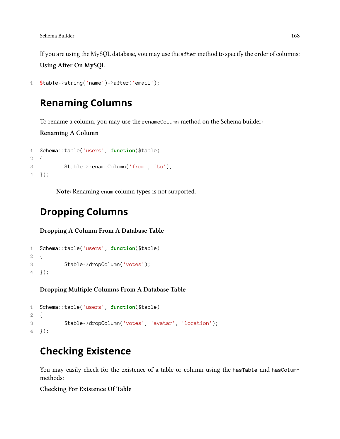If you are using the MySQL database, you may use the after method to specify the order of columns: **Using After On MySQL**

```
1 $table->string('name')->after('email');
```
## <span id="page-177-0"></span>**Renaming Columns**

To rename a column, you may use the renameColumn method on the Schema builder:

**Renaming A Column**

```
1 Schema::table('users', function($table)
2 {
3 $table->renameColumn('from', 'to');
4 });
```
**Note:** Renaming enum column types is not supported.

## <span id="page-177-1"></span>**Dropping Columns**

**Dropping A Column From A Database Table**

```
1 Schema::table('users', function($table)
2 {
3 $table->dropColumn('votes');
4 });
```
**Dropping Multiple Columns From A Database Table**

```
1 Schema::table('users', function($table)
2 {
3 $table->dropColumn('votes', 'avatar', 'location');
4 });
```
## <span id="page-177-2"></span>**Checking Existence**

You may easily check for the existence of a table or column using the hasTable and hasColumn methods:

**Checking For Existence Of Table**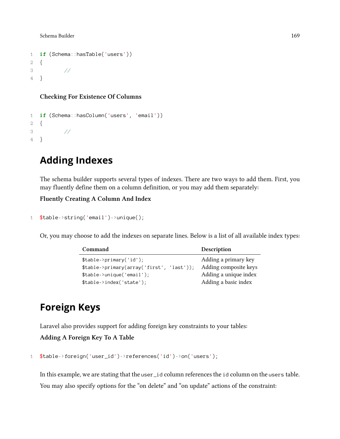```
1 if (Schema::hasTable('users'))
2 {
3 //
4 }
```
### **Checking For Existence Of Columns**

```
1 if (Schema::hasColumn('users', 'email'))
2 {
3 //
4 }
```
## <span id="page-178-0"></span>**Adding Indexes**

The schema builder supports several types of indexes. There are two ways to add them. First, you may fluently define them on a column definition, or you may add them separately:

### **Fluently Creating A Column And Index**

```
1 $table->string('email')->unique();
```
Or, you may choose to add the indexes on separate lines. Below is a list of all available index types:

| Command                                   | Description           |
|-------------------------------------------|-----------------------|
| $$table->primary('id');$                  | Adding a primary key  |
| \$table->primary(array('first', 'last')); | Adding composite keys |
| $$table->unique('email');$                | Adding a unique index |
| $$table->index('state');$                 | Adding a basic index  |

## <span id="page-178-1"></span>**Foreign Keys**

Laravel also provides support for adding foreign key constraints to your tables:

**Adding A Foreign Key To A Table**

```
1 $table->foreign('user_id')->references('id')->on('users');
```
In this example, we are stating that the user\_id column references the id column on the users table. You may also specify options for the "on delete" and "on update" actions of the constraint: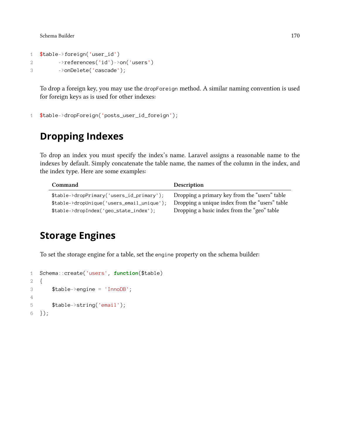```
1 $table->foreign('user_id')
2 ->references('id')->on('users')
3 ->onDelete('cascade');
```
To drop a foreign key, you may use the dropForeign method. A similar naming convention is used for foreign keys as is used for other indexes:

```
1 $table->dropForeign('posts_user_id_foreign');
```
## <span id="page-179-0"></span>**Dropping Indexes**

To drop an index you must specify the index's name. Laravel assigns a reasonable name to the indexes by default. Simply concatenate the table name, the names of the column in the index, and the index type. Here are some examples:

| Command                                    | Description                                    |
|--------------------------------------------|------------------------------------------------|
| \$table->dropPrimary('users_id_primary');  | Dropping a primary key from the "users" table  |
| \$table->dropUnique('users_email_unique'); | Dropping a unique index from the "users" table |
| \$table->dropIndex('geo_state_index');     | Dropping a basic index from the "geo" table    |

## <span id="page-179-1"></span>**Storage Engines**

To set the storage engine for a table, set the engine property on the schema builder:

```
1 Schema::create('users', function($table)
2 {
3 $table->engine = 'InnoDB';
4
5 $table->string('email');
6 });
```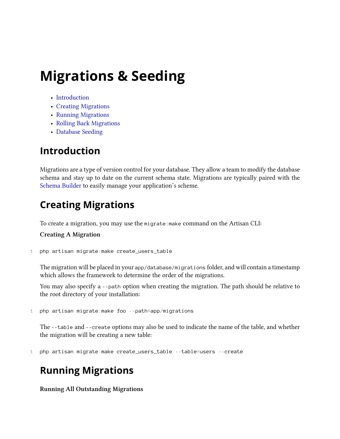# **Migrations & Seeding**

- [Introduction](#page-180-0)
- [Creating Migrations](#page-180-1)
- [Running Migrations](#page-180-2)
- [Rolling Back Migrations](#page-181-0)
- [Database Seeding](#page-181-1)

# <span id="page-180-0"></span>**Introduction**

Migrations are a type of version control for your database. They allow a team to modify the database schema and stay up to date on the current schema state. Migrations are typically paired with the [Schema Builder](#page-175-0) to easily manage your application's scheme.

# <span id="page-180-1"></span>**Creating Migrations**

To create a migration, you may use the migrate:make command on the Artisan CLI:

## **Creating A Migration**

1 php artisan migrate:make create\_users\_table

The migration will be placed in your app/database/migrations folder, and will contain a timestamp which allows the framework to determine the order of the migrations.

You may also specify a --path option when creating the migration. The path should be relative to the root directory of your installation:

```
1 php artisan migrate:make foo --path=app/migrations
```
The --table and --create options may also be used to indicate the name of the table, and whether the migration will be creating a new table:

1 php artisan migrate:make create\_users\_table --table=users --create

# <span id="page-180-2"></span>**Running Migrations**

**Running All Outstanding Migrations**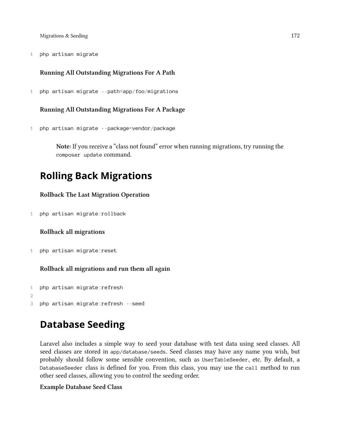Migrations & Seeding 172

1 php artisan migrate

### **Running All Outstanding Migrations For A Path**

1 php artisan migrate --path=app/foo/migrations

#### **Running All Outstanding Migrations For A Package**

1 php artisan migrate --package=vendor/package

**Note:** If you receive a "class not found" error when running migrations, try running the composer update command.

## <span id="page-181-0"></span>**Rolling Back Migrations**

### **Rollback The Last Migration Operation**

1 php artisan migrate:rollback

#### **Rollback all migrations**

1 php artisan migrate:reset

**Rollback all migrations and run them all again**

```
1 php artisan migrate:refresh
2
3 php artisan migrate:refresh --seed
```
# <span id="page-181-1"></span>**Database Seeding**

Laravel also includes a simple way to seed your database with test data using seed classes. All seed classes are stored in app/database/seeds. Seed classes may have any name you wish, but probably should follow some sensible convention, such as UserTableSeeder, etc. By default, a DatabaseSeeder class is defined for you. From this class, you may use the call method to run other seed classes, allowing you to control the seeding order.

### **Example Database Seed Class**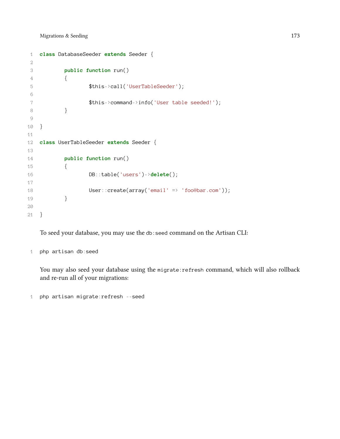```
1 class DatabaseSeeder extends Seeder {
2
3 public function run()
4 {
5 $this->call('UserTableSeeder');
6
7 $this->command->info('User table seeded!');
 8 }
9
10 }
11
12 class UserTableSeeder extends Seeder {
13
14 public function run()
15 {
16 DB::table('users')->delete();
17
18 User::create(array('email' => 'foo@bar.com'));
19 }
20
21 }
```
To seed your database, you may use the db:seed command on the Artisan CLI:

php artisan db:seed

You may also seed your database using the migrate: refresh command, which will also rollback and re-run all of your migrations:

php artisan migrate:refresh --seed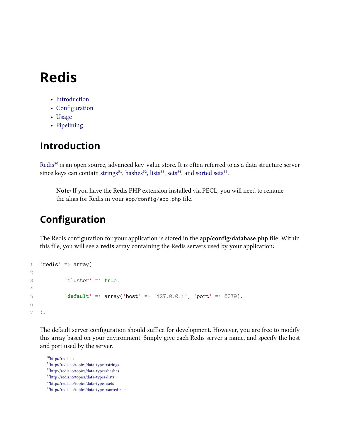# **Redis**

- [Introduction](#page-183-0)
- [Configuration](#page-183-1)
- [Usage](#page-184-0)
- [Pipelining](#page-185-0)

# <span id="page-183-0"></span>**Introduction**

[Redis](http://redis.io)<sup>50</sup> is an open source, advanced key-value store. It is often referred to as a data structure server since keys can contain [strings](http://redis.io/topics/data-types#strings)<sup>51</sup>, [hashes](http://redis.io/topics/data-types#hashes)<sup>52</sup>, [lists](http://redis.io/topics/data-types#lists)<sup>53</sup>, [sets](http://redis.io/topics/data-types#sets)<sup>54</sup>, and [sorted sets](http://redis.io/topics/data-types#sorted-sets)<sup>55</sup>.

**Note:** If you have the Redis PHP extension installed via PECL, you will need to rename the alias for Redis in your app/config/app.php file.

# <span id="page-183-1"></span>**Configuration**

The Redis configuration for your application is stored in the **app/config/database.php** file. Within this file, you will see a **redis** array containing the Redis servers used by your application:

```
1 'redis' \Rightarrow array(
2
3 'cluster' => true,
\Delta5 'default' => array('host' => '127.0.0.1', 'port' => 6379),
6
7 ),
```
The default server configuration should suffice for development. However, you are free to modify this array based on your environment. Simply give each Redis server a name, and specify the host and port used by the server.

<span id="page-183-2"></span> $\rm ^{50}$ <http://redis.io>

<span id="page-183-3"></span><sup>51</sup><http://redis.io/topics/data-types#strings>

<span id="page-183-4"></span> $\rm ^{52}$  <http://redis.io/topics/data-types#hashes>

<span id="page-183-5"></span> $\rm ^{53}$  <http://redis.io/topics/data-types#lists>

<span id="page-183-6"></span>⁵⁴<http://redis.io/topics/data-types#sets>

<span id="page-183-7"></span>⁵⁵<http://redis.io/topics/data-types#sorted-sets>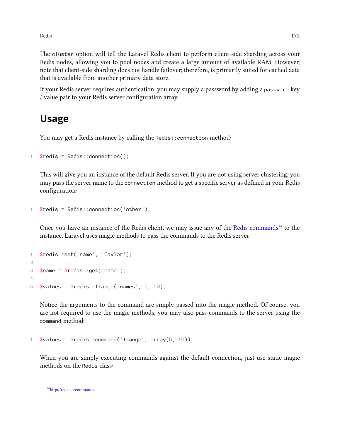Redis 175

The cluster option will tell the Laravel Redis client to perform client-side sharding across your Redis nodes, allowing you to pool nodes and create a large amount of available RAM. However, note that client-side sharding does not handle failover; therefore, is primarily suited for cached data that is available from another primary data store.

If your Redis server requires authentication, you may supply a password by adding a password key / value pair to your Redis server configuration array.

## <span id="page-184-0"></span>**Usage**

You may get a Redis instance by calling the Redis:: connection method:

```
1 $redis = Redis::connection();
```
This will give you an instance of the default Redis server. If you are not using server clustering, you may pass the server name to the connection method to get a specific server as defined in your Redis configuration:

```
1 $redis = Redis:: connection('other');
```
Once you have an instance of the Redis client, we may issue any of the [Redis commands](http://redis.io/commands)<sup>56</sup> to the instance. Laravel uses magic methods to pass the commands to the Redis server:

```
1 $redis->set('name', 'Taylor');
2
3 $name = $redis->get('name');
4
5 $values = $redis->lrange('names', 5, 10);
```
Notice the arguments to the command are simply passed into the magic method. Of course, you are not required to use the magic methods, you may also pass commands to the server using the command method:

```
1 \text{values} = \text{fredis} > \text{command('Image'}, array(5, 10));
```
When you are simply executing commands against the default connection, just use static magic methods on the Redis class:

<span id="page-184-1"></span>⁵⁶<http://redis.io/commands>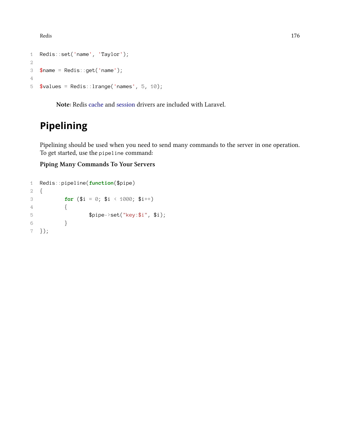Redis and the set of the set of the set of the set of the set of the set of the set of the set of the set of the set of the set of the set of the set of the set of the set of the set of the set of the set of the set of the

```
1 Redis::set('name', 'Taylor');
2
3 $name = Redis::get('name');
4
5 $values = Redis:: lrange('names', 5, 10);
```
**Note:** Redis [cache](#page-54-0) and [session](#page-115-0) drivers are included with Laravel.

# <span id="page-185-0"></span>**Pipelining**

Pipelining should be used when you need to send many commands to the server in one operation. To get started, use the pipeline command:

**Piping Many Commands To Your Servers**

```
1 Redis::pipeline(function($pipe)
2 {
3 for (\$i = 0; \$i \ \leq 1000; \$i++)4 \qquad \qquad \{5 $pipe->set("key:$i", $i);
6 }
7 });
```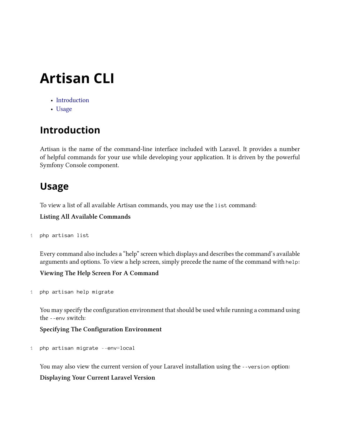# **Artisan CLI**

- [Introduction](#page-186-0)
- [Usage](#page-186-1)

# <span id="page-186-0"></span>**Introduction**

Artisan is the name of the command-line interface included with Laravel. It provides a number of helpful commands for your use while developing your application. It is driven by the powerful Symfony Console component.

# <span id="page-186-1"></span>**Usage**

To view a list of all available Artisan commands, you may use the list command:

**Listing All Available Commands**

```
1 php artisan list
```
Every command also includes a "help" screen which displays and describes the command's available arguments and options. To view a help screen, simply precede the name of the command with help:

**Viewing The Help Screen For A Command**

1 php artisan help migrate

You may specify the configuration environment that should be used while running a command using the --env switch:

**Specifying The Configuration Environment**

1 php artisan migrate --env=local

You may also view the current version of your Laravel installation using the --version option:

**Displaying Your Current Laravel Version**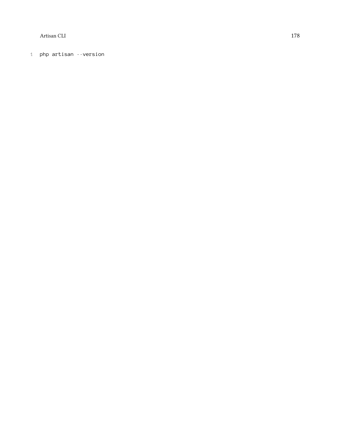Artisan CLI 178

1 php artisan - -version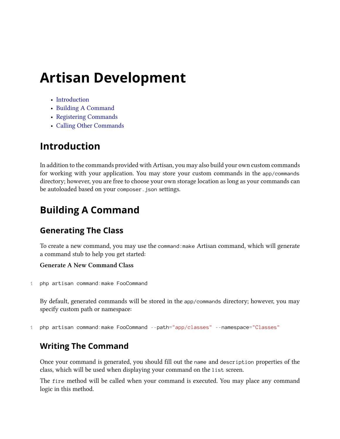- [Introduction](#page-188-0)
- [Building A Command](#page-188-1)
- [Registering Commands](#page-191-0)
- [Calling Other Commands](#page-191-1)

# <span id="page-188-0"></span>**Introduction**

In addition to the commands provided with Artisan, you may also build your own custom commands for working with your application. You may store your custom commands in the app/commands directory; however, you are free to choose your own storage location as long as your commands can be autoloaded based on your composer.json settings.

# <span id="page-188-1"></span>**Building A Command**

## **Generating The Class**

To create a new command, you may use the command:make Artisan command, which will generate a command stub to help you get started:

## **Generate A New Command Class**

1 php artisan command:make FooCommand

By default, generated commands will be stored in the app/commands directory; however, you may specify custom path or namespace:

1 php artisan command:make FooCommand --path="app/classes" --namespace="Classes"

## **Writing The Command**

Once your command is generated, you should fill out the name and description properties of the class, which will be used when displaying your command on the list screen.

The fire method will be called when your command is executed. You may place any command logic in this method.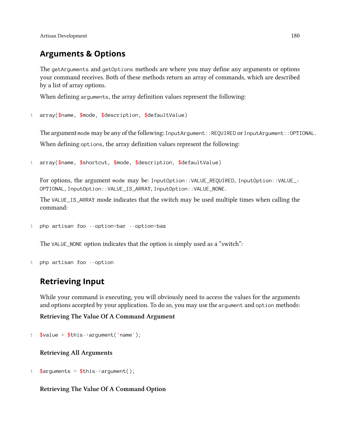## **Arguments & Options**

The getArguments and getOptions methods are where you may define any arguments or options your command receives. Both of these methods return an array of commands, which are described by a list of array options.

When defining arguments, the array definition values represent the following:

```
1 array($name, $mode, $description, $defaultValue)
```
The argument mode may be any of the following: InputArgument::REQUIRED or InputArgument::OPTIONAL. When defining options, the array definition values represent the following:

```
1 array($name, $shortcut, $mode, $description, $defaultValue)
```
For options, the argument mode may be: InputOption::VALUE\_REQUIRED, InputOption::VALUE\_-OPTIONAL, InputOption::VALUE\_IS\_ARRAY, InputOption::VALUE\_NONE.

The VALUE\_IS\_ARRAY mode indicates that the switch may be used multiple times when calling the command:

```
1 php artisan foo --option=bar --option=baz
```
The VALUE\_NONE option indicates that the option is simply used as a "switch":

```
1 php artisan foo --option
```
## **Retrieving Input**

While your command is executing, you will obviously need to access the values for the arguments and options accepted by your application. To do so, you may use the argument and option methods:

**Retrieving The Value Of A Command Argument**

```
1 \text{value} = \text{}_\text{this}\rightarrow \text{argument('name')};
```
## **Retrieving All Arguments**

1 \$arguments =  $$this$ ->argument();

## **Retrieving The Value Of A Command Option**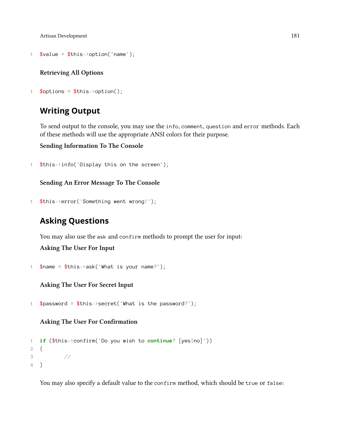```
1 \text{value} = \text{}_0: \this->option('name');
```
#### **Retrieving All Options**

1  $$$ options =  $$$ this->option();

## **Writing Output**

To send output to the console, you may use the info, comment, question and error methods. Each of these methods will use the appropriate ANSI colors for their purpose.

**Sending Information To The Console**

1 \$this->info('Display this on the screen');

**Sending An Error Message To The Console**

1 \$this->error('Something went wrong!');

## **Asking Questions**

You may also use the ask and confirm methods to prompt the user for input:

**Asking The User For Input**

```
1 $name = $this->ask('What is your name?');
```
**Asking The User For Secret Input**

1 \$password = \$this->secret('What is the password?');

**Asking The User For Confirmation**

```
1 if ($this->confirm('Do you wish to continue? [yes|no]'))
2 {
3 //
4 }
```
You may also specify a default value to the confirm method, which should be true or false: